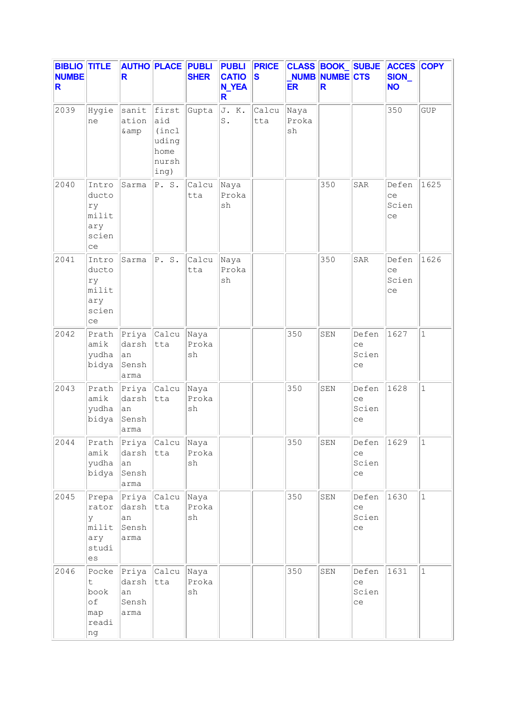| <b>BIBLIO TITLE</b><br><b>NUMBE</b><br>R |                                                                            | R                                                     |                                                         | <b>AUTHO PLACE PUBLI</b><br><b>SHER</b> | <b>PUBLI</b><br><b>CATIO</b><br><b>N_YEA</b><br>R | <b>PRICE</b><br>S | <b>ER</b>           | <b>NUMB NUMBE CTS</b><br>R. |                            | CLASS BOOK SUBJE ACCES COPY<br>SION_<br><b>NO</b> |              |
|------------------------------------------|----------------------------------------------------------------------------|-------------------------------------------------------|---------------------------------------------------------|-----------------------------------------|---------------------------------------------------|-------------------|---------------------|-----------------------------|----------------------------|---------------------------------------------------|--------------|
| 2039                                     | Hygie<br>ne                                                                | sanit<br>ation<br>&                                   | first<br>aid<br>(incl<br>uding<br>home<br>nursh<br>ing) | Gupta                                   | J. K.<br>$S$ .                                    | Calcu<br>tta      | Naya<br>Proka<br>sh |                             |                            | 350                                               | GUP          |
| 2040                                     | Intro<br>ducto<br>ry<br>milit<br>ary<br>scien<br>ce                        | Sarma                                                 | P.S.                                                    | Calcu<br>tta                            | Naya<br>Proka<br>sh                               |                   |                     | 350                         | SAR                        | Defen<br>ce<br>Scien<br>ce                        | 1625         |
| 2041                                     | Intro<br>ducto<br>ry<br>milit<br>ary<br>scien<br>ce                        | Sarma                                                 | P.S.                                                    | Calcu<br>tta                            | Naya<br>Proka<br>sh                               |                   |                     | 350                         | SAR                        | Defen<br>ce<br>Scien<br>ce                        | 1626         |
| 2042                                     | Prath<br>amik<br>yudha<br>bidya                                            | Priya Calcu<br>darsh<br> an<br>Sensh<br>arma          | tta                                                     | Naya<br>Proka<br>sh                     |                                                   |                   | 350                 | SEN                         | Defen<br>ce<br>Scien<br>ce | 1627                                              | $\mathbf{1}$ |
| 2043                                     | Prath<br>amik<br>yudha<br>bidya                                            | Priya<br>darsh<br>an<br>Sensh<br>arma                 | Calcu<br>tta                                            | Naya<br>Proka<br>sh                     |                                                   |                   | 350                 | SEN                         | Defen<br>ce<br>Scien<br>ce | 1628                                              | $\mathbf{1}$ |
| 2044                                     | Prath<br>amik<br>yudha<br>bidya                                            | Priya   Calcu   Naya<br>darsh<br> an<br>Sensh<br>arma | tta                                                     | Proka<br>sh                             |                                                   |                   | 350                 | SEN                         | Defen<br>ce<br>Scien<br>ce | 1629                                              | 1            |
| 2045                                     | Prepa<br>rator<br>У<br>milit<br>ary<br>studi<br>$\mathop{\rm es}\nolimits$ | Priya<br>darsh<br>an<br>Sensh<br>arma                 | Calcu Naya<br> tta                                      | Proka<br>sh                             |                                                   |                   | 350                 | ${\tt SEM}$                 | Defen<br>ce<br>Scien<br>ce | 1630                                              | $\mathbf{1}$ |
| 2046                                     | Pocke<br>t.<br>book<br>оf<br>map<br>readi<br>ng                            | darsh<br>an<br>Sensh<br>arma                          | $Priya$ $ Calcu$<br>tta                                 | Naya<br>Proka<br>$\operatorname{sh}$    |                                                   |                   | 350                 | SEN                         | Defen<br>ce<br>Scien<br>ce | 1631                                              | $\mathbf{1}$ |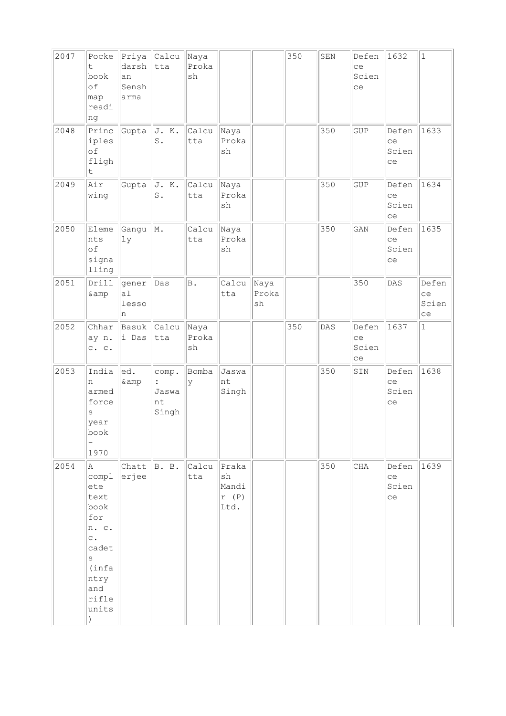| 2047 | Pocke<br>t.<br>book<br>of<br>map<br>readi<br>ng                                                                         | Priya<br>darsh<br>an<br>Sensh<br>arma | Calcu<br>tta                                    | Naya<br>Proka<br>sh                  |                                      |                     | 350 | SEN            | Defen<br>ce<br>Scien<br>ce | 1632                       | $\mathbf{1}$               |
|------|-------------------------------------------------------------------------------------------------------------------------|---------------------------------------|-------------------------------------------------|--------------------------------------|--------------------------------------|---------------------|-----|----------------|----------------------------|----------------------------|----------------------------|
| 2048 | Princ<br>iples<br>of<br>fligh<br>$\sf t$                                                                                | Gupta                                 | J. K.<br>$\texttt{S}$ .                         | Calcu<br>tta                         | Naya<br>Proka<br>sh                  |                     |     | 350            | $\operatorname{GUP}$       | Defen<br>ce<br>Scien<br>ce | 1633                       |
| 2049 | Air<br>wing                                                                                                             | Gupta                                 | J. K.<br>$\texttt{S}$ .                         | Calcu<br>tta                         | Naya<br>Proka<br>sh                  |                     |     | 350            | <b>GUP</b>                 | Defen<br>ce<br>Scien<br>ce | 1634                       |
| 2050 | Eleme<br>nts<br>of<br>signa<br>lling                                                                                    | Gangu<br>lу                           | M.                                              | Calcu<br>tta                         | Naya<br>Proka<br>sh                  |                     |     | 350            | GAN                        | Defen<br>ce<br>Scien<br>ce | 1635                       |
| 2051 | Drill<br>& amp                                                                                                          | gener<br>a1<br>lesso<br>n             | Das                                             | $\mathbb B$ .                        | Calcu<br>tta                         | Naya<br>Proka<br>sh |     |                | 350                        | DAS                        | Defen<br>ce<br>Scien<br>ce |
| 2052 | Chhar<br>ay n.<br>c. c.                                                                                                 | Basuk<br>i Das                        | Calcu<br>tta                                    | Naya<br>Proka<br>$\operatorname{sh}$ |                                      |                     | 350 | $\mathtt{DAS}$ | Defen<br>ce<br>Scien<br>ce | 1637                       | $\mathbf{1}$               |
| 2053 | India<br>n<br>armed<br>force<br>$\rm s$<br>year<br>book<br>1970                                                         | ed.<br>& amp                          | comp.<br>$\ddot{\cdot}$<br>Jaswa<br>nt<br>Singh | Bomba<br>У                           | Jaswa<br>nt<br>Singh                 |                     |     | 350            | $\texttt{SIN}$             | Defen<br>ce<br>Scien<br>ce | 1638                       |
| 2054 | A<br>compl<br>ete<br>text<br>book<br>for<br>n. c.<br>$\circ$ .<br>cadet<br>S<br>(infa)<br>ntry<br>and<br>rifle<br>units | Chatt<br>erjee                        | B. B.                                           | Calcu<br>tta                         | Praka<br>sh<br>Mandi<br>r(P)<br>Ltd. |                     |     | 350            | CHA                        | Defen<br>ce<br>Scien<br>ce | 1639                       |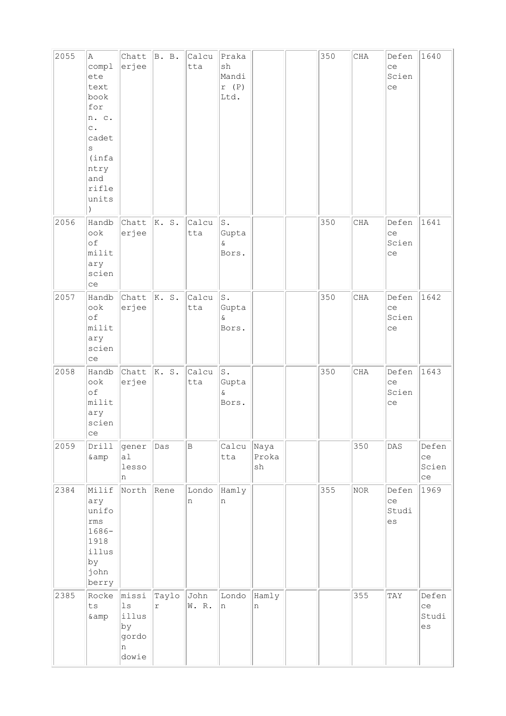| 2055 | A<br>compl<br>ete<br>text<br>book<br>for<br>n. c.<br>$\infty$ .<br>cadet<br>S<br>(infa<br>ntry<br>and<br>rifle<br>units | Chatt<br>erjee                                             | $\parallel$ B. B.   | Calcu<br>tta  | Praka<br>sh<br>Mandi<br>r(P)<br>Ltd.         |                     | 350 | CHA | Defen<br>ce<br>Scien<br>ce | 1640                       |
|------|-------------------------------------------------------------------------------------------------------------------------|------------------------------------------------------------|---------------------|---------------|----------------------------------------------|---------------------|-----|-----|----------------------------|----------------------------|
| 2056 | Handb<br>ook<br>оf<br>milit<br>ary<br>scien<br>ce                                                                       | Chatt<br>erjee                                             | K. S.               | Calcu<br>tta  | $\mathtt{S}$ .<br>Gupta<br>$\&$<br>Bors.     |                     | 350 | CHA | Defen<br>ce<br>Scien<br>ce | 1641                       |
| 2057 | Handb<br>ook<br>of<br>milit<br>ary<br>scien<br>ce                                                                       | Chatt $\ $ K. S.<br>erjee                                  |                     | Calcu<br>tta  | $\texttt{S}$ .<br>Gupta<br>$\delta$<br>Bors. |                     | 350 | CHA | Defen<br>ce<br>Scien<br>ce | 1642                       |
| 2058 | Handb<br>ook<br>оf<br>milit<br>ary<br>scien<br>ce                                                                       | Chatt<br>erjee                                             | $\ K. S.$           | Calcu<br>tta  | $\mathbb S$ .<br>Gupta<br>Q.<br>Bors.        |                     | 350 | CHA | Defen<br>ce<br>Scien<br>ce | 1643                       |
| 2059 | Drill<br>& amp                                                                                                          | gener<br>al<br>lesso<br>n                                  | $\vert$ Das         | B             | Calcu<br>tta                                 | Naya<br>Proka<br>sh |     | 350 | DAS                        | Defen<br>ce<br>Scien<br>ce |
| 2384 | Milif<br>ary<br>unifo<br>rms<br>$1686 -$<br>1918<br>illus<br>by<br>john<br>berry                                        | North                                                      | Rene                | Londo<br>n    | Hamly<br>n                                   |                     | 355 | NOR | Defen<br>ce<br>Studi<br>es | 1969                       |
| 2385 | Rocke<br>${\tt ts}$<br>& amp                                                                                            | missi<br>$_{\rm 1s}$<br>illus<br>by<br>gordo<br>n<br>dowie | Taylo<br>$\Upsilon$ | John<br>W. R. | Londo<br>n                                   | Hamly<br>n          |     | 355 | TAY                        | Defen<br>ce<br>Studi<br>es |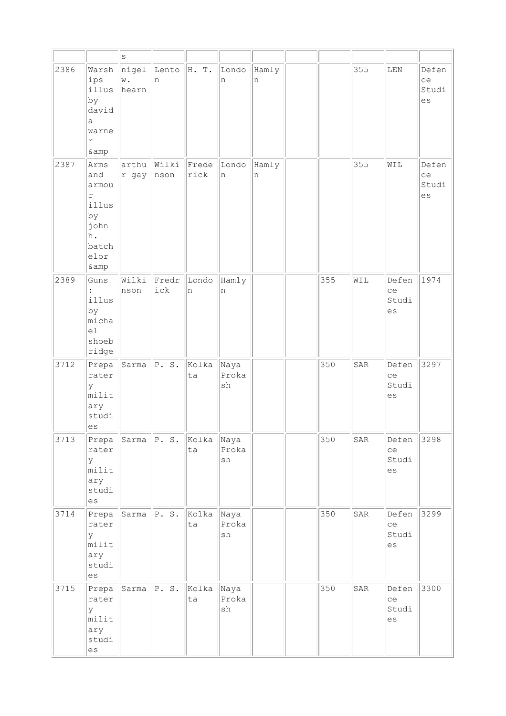|      |                                                                                           | $\rm s$                  |                  |               |                     |            |     |             |                            |                            |
|------|-------------------------------------------------------------------------------------------|--------------------------|------------------|---------------|---------------------|------------|-----|-------------|----------------------------|----------------------------|
| 2386 | Warsh<br>ips<br>illus<br>by<br>david<br>a<br>warne<br>$\Upsilon$<br>& amp                 | nigel<br>w.<br>hearn     | Lento H. T.<br>n |               | Londo<br>n          | Hamly<br>n |     | 355         | LEN                        | Defen<br>ce<br>Studi<br>es |
| 2387 | Arms<br>and<br>armou<br>$\Upsilon$<br>illus<br>by<br>john<br>h.<br>batch<br>elor<br>& amp | arthu<br>r gay           | Wilki<br>nson    | Frede<br>rick | Londo<br>n          | Hamly<br>n |     | 355         | WIL                        | Defen<br>ce<br>Studi<br>es |
| 2389 | Guns<br>$\ddot{\cdot}$<br>illus<br>by<br>micha<br>el<br>shoeb<br>ridge                    | Wilki<br>nson            | Fredr<br>ick     | Londo<br>n    | Hamly<br>n          |            | 355 | WIL         | Defen<br>ce<br>Studi<br>es | 1974                       |
| 3712 | Prepa<br>rater<br>У<br>milit<br>ary<br>studi<br>es                                        | Sarma                    | P.S.             | Kolka<br>ta   | Naya<br>Proka<br>sh |            | 350 | SAR         | Defen<br>ce<br>Studi<br>es | 3297                       |
| 3713 | Prepa<br>rater<br>У<br>milit<br>ary<br>studi<br>es                                        | $ \texttt{Sarma}  P. S.$ |                  | Kolka<br>ta   | Naya<br>Proka<br>sh |            | 350 | ${\tt SAR}$ | Defen<br>ce<br>Studi<br>es | 3298                       |
| 3714 | Prepa<br>rater<br>У<br>milit<br>ary<br>studi<br>es                                        | Sarma                    | P. S.            | Kolka<br>ta   | Naya<br>Proka<br>sh |            | 350 | SAR         | Defen<br>ce<br>Studi<br>es | 3299                       |
| 3715 | Prepa<br>rater<br>У<br>milit<br>ary<br>studi<br>es                                        | Sarma                    | P. S.            | Kolka<br>ta   | Naya<br>Proka<br>sh |            | 350 | SAR         | Defen<br>ce<br>Studi<br>es | 3300                       |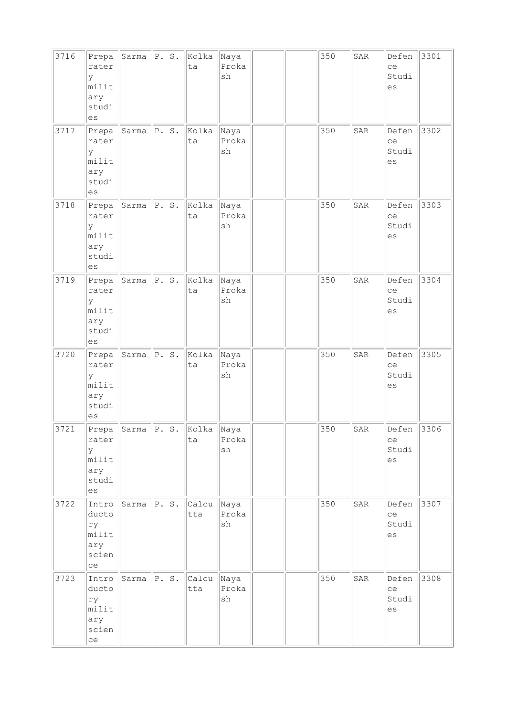| 3716 | Prepa<br>rater<br>У<br>milit<br>ary<br>studi<br>es  | Sarma $ P. S.$                                          |      | Kolka<br>ta                                                          | Naya<br>Proka<br>sh                  |  | 350 | SAR         | Defen<br>ce<br>Studi<br>es | 3301 |
|------|-----------------------------------------------------|---------------------------------------------------------|------|----------------------------------------------------------------------|--------------------------------------|--|-----|-------------|----------------------------|------|
| 3717 | Prepa<br>rater<br>У<br>milit<br>ary<br>studi<br>es  | Sarma                                                   | P.S. | Kolka<br>ta                                                          | Naya<br>Proka<br>$\operatorname{sh}$ |  | 350 | SAR         | Defen<br>ce<br>Studi<br>es | 3302 |
| 3718 | Prepa<br>rater<br>У<br>milit<br>ary<br>studi<br>es  | Sarma P.S.                                              |      | Kolka<br>ta                                                          | Naya<br>Proka<br>sh                  |  | 350 | SAR         | Defen<br>ce<br>Studi<br>es | 3303 |
| 3719 | Prepa<br>rater<br>У<br>milit<br>ary<br>studi<br>es  | Sarma $ P. S.$                                          |      | Kolka<br>ta                                                          | Naya<br>Proka<br>$\operatorname{sh}$ |  | 350 | SAR         | Defen<br>ce<br>Studi<br>es | 3304 |
| 3720 | Prepa<br>rater<br>У<br>milit<br>ary<br>studi<br>es  | $\left \text{Sarma}\right $ $\left \text{P. S.}\right $ |      | Kolka<br>ta                                                          | Naya<br>Proka<br>sh                  |  | 350 | SAR         | Defen<br>ce<br>Studi<br>es | 3305 |
| 3721 | rater<br>У<br>milit<br>ary<br>studi<br>es           |                                                         |      | Prepa $ \texttt{Sarma}  P. S.  \texttt{Kolka}  \texttt{Naya} $<br>ta | Proka<br>sh                          |  | 350 | ${\tt SAR}$ | Defen<br>ce<br>Studi<br>es | 3306 |
| 3722 | Intro<br>ducto<br>ry<br>milit<br>ary<br>scien<br>ce | Sarma $ P. S.$                                          |      | Calcu<br>tta                                                         | Naya<br>Proka<br>sh                  |  | 350 | SAR         | Defen<br>ce<br>Studi<br>es | 3307 |
| 3723 | Intro<br>ducto<br>ry<br>milit<br>ary<br>scien<br>ce | Sarma                                                   | P.S. | Calcu<br>tta                                                         | Naya<br>Proka<br>sh                  |  | 350 | ${\tt SAR}$ | Defen<br>ce<br>Studi<br>es | 3308 |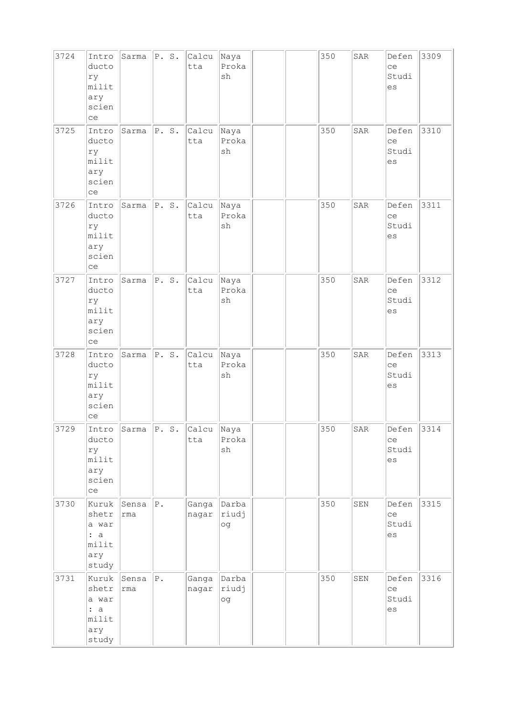| 3724 | Intro<br>ducto<br>ry<br>milit<br>ary<br>scien<br>ce     | Sarma $\Vert P. S.$                                            |        | Calcu<br>tta      | Naya<br>Proka<br>sh                  |  | 350 | SAR         | Defen<br>ce<br>Studi<br>es | 3309 |
|------|---------------------------------------------------------|----------------------------------------------------------------|--------|-------------------|--------------------------------------|--|-----|-------------|----------------------------|------|
| 3725 | Intro<br>ducto<br>ry<br>milit<br>ary<br>scien<br>ce     | Sarma                                                          | P. S.  | Calcu<br>tta      | Naya<br>Proka<br>$\operatorname{sh}$ |  | 350 | SAR         | Defen<br>ce<br>Studi<br>es | 3310 |
| 3726 | Intro<br>ducto<br>ry<br>milit<br>ary<br>scien<br>ce     | Sarma $ P. S.$                                                 |        | Calcu Naya<br>tta | Proka<br>sh                          |  | 350 | SAR         | Defen<br>ce<br>Studi<br>es | 3311 |
| 3727 | Intro<br>ducto<br>ry<br>milit<br>ary<br>scien<br>ce     | Sarma $ P. S.$                                                 |        | Calcu<br>tta      | Naya<br>Proka<br>sh                  |  | 350 | SAR         | Defen<br>ce<br>Studi<br>es | 3312 |
| 3728 | Intro<br>ducto<br>ry<br>milit<br>ary<br>scien<br>ce     | Sarma                                                          | P. S.  | Calcu<br>tta      | Naya<br>Proka<br>sh                  |  | 350 | SAR         | Defen<br>ce<br>Studi<br>es | 3313 |
| 3729 | ducto<br>ry<br>milit<br>ary<br>scien<br>ce              | Intro $\left \mathtt{Sarma}\right \left \mathtt{P. S.}\right $ |        | Calcu Naya<br>tta | Proka<br>$\operatorname{sh}$         |  | 350 | ${\tt SAR}$ | Defen<br>ce<br>Studi<br>es | 3314 |
| 3730 | Kuruk<br>shetr<br>a war<br>: a<br>milit<br>ary<br>study | Sensa<br>rma                                                   | $ P$ . | Ganga<br>nagar    | Darba<br>riudj<br>og                 |  | 350 | ${\tt SEN}$ | Defen<br>ce<br>Studi<br>es | 3315 |
| 3731 | Kuruk<br>shetr<br>a war<br>: a<br>milit<br>ary<br>study | Sensa<br>rma                                                   | $P$ .  | Ganga<br>nagar    | Darba<br>riudj<br>og                 |  | 350 | ${\tt SEN}$ | Defen<br>ce<br>Studi<br>es | 3316 |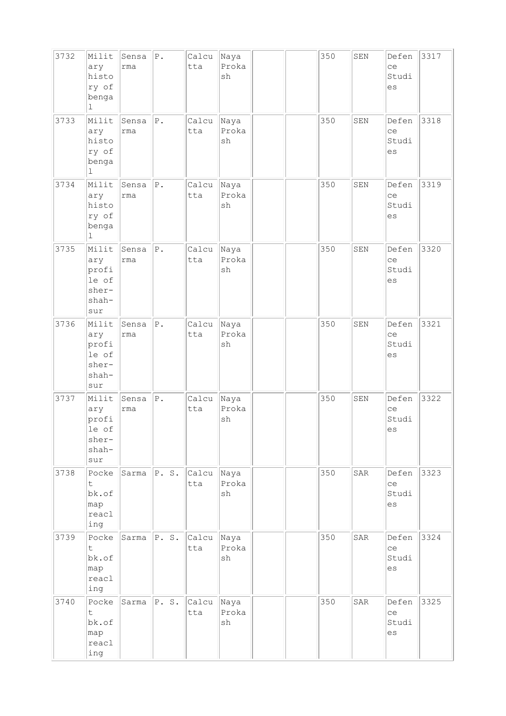| 3732 | Milit<br>ary<br>histo<br>ry of<br>benga<br>1                    | Sensa<br>rma | ${\mathbb P}$ . | Calcu<br>tta | Naya<br>Proka<br>sh |  | 350 | ${\tt SEN}$ | Defen<br>ce<br>Studi<br>es | 3317 |
|------|-----------------------------------------------------------------|--------------|-----------------|--------------|---------------------|--|-----|-------------|----------------------------|------|
| 3733 | Milit<br>ary<br>histo<br>ry of<br>benga<br>$\mathbf 1$          | Sensa<br>rma | ${\bf P}$ .     | Calcu<br>tta | Naya<br>Proka<br>sh |  | 350 | ${\tt SEN}$ | Defen<br>ce<br>Studi<br>es | 3318 |
| 3734 | Milit<br>ary<br>histo<br>ry of<br>benga<br>1                    | Sensa<br>rma | ${\bf P}$ .     | Calcu<br>tta | Naya<br>Proka<br>sh |  | 350 | SEN         | Defen<br>ce<br>Studi<br>es | 3319 |
| 3735 | Milit<br>ary<br>profi<br>le of<br>sher-<br>shah-<br>sur         | Sensa<br>rma | ${\bf P}$ .     | Calcu<br>tta | Naya<br>Proka<br>sh |  | 350 | ${\tt SEN}$ | Defen<br>ce<br>Studi<br>es | 3320 |
| 3736 | Milit<br>ary<br>profi<br>le of<br>sher-<br>shah-<br>sur         | Sensa<br>rma | ${\bf P}$ .     | Calcu<br>tta | Naya<br>Proka<br>sh |  | 350 | ${\tt SEM}$ | Defen<br>ce<br>Studi<br>es | 3321 |
| 3737 | Milit<br>ary<br>profi<br>le of<br>sher-<br>$shah-$<br>$\tt sur$ | Sensa<br>rma | $P$ .           | Calcu<br>tta | Naya<br>Proka<br>sh |  | 350 | ${\tt SEM}$ | Defen<br>ce<br>Studi<br>es | 3322 |
| 3738 | Pocke<br>t<br>bk.of<br>map<br>reacl<br>ing                      | Sarma        | P. S.           | Calcu<br>tta | Naya<br>Proka<br>sh |  | 350 | SAR         | Defen<br>ce<br>Studi<br>es | 3323 |
| 3739 | Pocke<br>$\mathsf t$<br>bk.of<br>map<br>reacl<br>ing            | Sarma        | P.S.            | Calcu<br>tta | Naya<br>Proka<br>sh |  | 350 | SAR         | Defen<br>ce<br>Studi<br>es | 3324 |
| 3740 | Pocke<br>t.<br>bk.of<br>map<br>reacl<br>ing                     | Sarma        | P.S.            | Calcu<br>tta | Naya<br>Proka<br>sh |  | 350 | SAR         | Defen<br>ce<br>Studi<br>es | 3325 |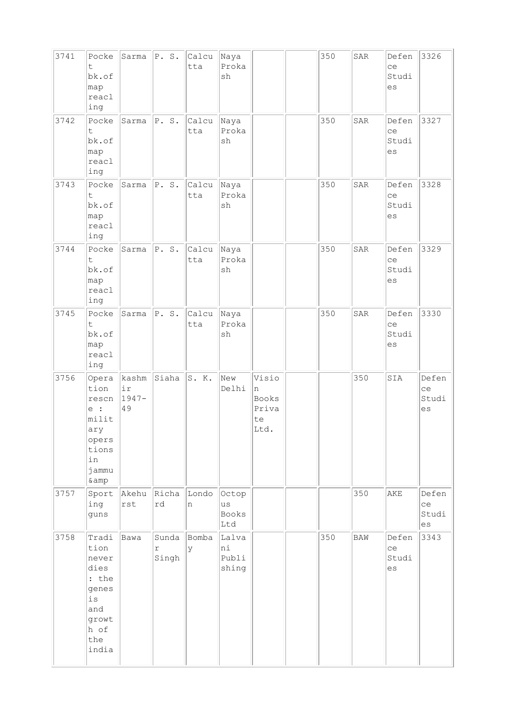| 3741 | Pocke<br>t<br>bk.of<br>map<br>reacl<br>ing                                                     | Sarma                         | P.S.                         | Calcu<br>tta | Naya<br>Proka<br>sh                  |                                            | 350 | SAR | Defen<br>ce<br>Studi<br>es | 3326                       |
|------|------------------------------------------------------------------------------------------------|-------------------------------|------------------------------|--------------|--------------------------------------|--------------------------------------------|-----|-----|----------------------------|----------------------------|
| 3742 | Pocke<br>t<br>bk.of<br>map<br>reacl<br>ing                                                     | Sarma                         | P. S.                        | Calcu<br>tta | Naya<br>Proka<br>sh                  |                                            | 350 | SAR | Defen<br>ce<br>Studi<br>es | 3327                       |
| 3743 | Pocke<br>t<br>bk.of<br>map<br>reacl<br>ing                                                     | Sarma                         | P.S.                         | Calcu<br>tta | Naya<br>Proka<br>sh                  |                                            | 350 | SAR | Defen<br>ce<br>Studi<br>es | 3328                       |
| 3744 | Pocke<br>t<br>bk.of<br>map<br>reacl<br>ing                                                     | Sarma                         | P. S.                        | Calcu<br>tta | Naya<br>Proka<br>$\operatorname{sh}$ |                                            | 350 | SAR | Defen<br>ce<br>Studi<br>es | 3329                       |
| 3745 | Pocke<br>t<br>bk.of<br>map<br>reacl<br>ing                                                     | Sarma                         | P.S.                         | Calcu<br>tta | Naya<br>Proka<br>sh                  |                                            | 350 | SAR | Defen<br>ce<br>Studi<br>es | 3330                       |
| 3756 | Opera<br>tion<br>rescn<br>e :<br>milit<br>ary<br>opers<br>tions<br>in<br>jammu<br>&            | kashm<br>ir<br>$1947 -$<br>49 | Siaha                        | S. K.        | New<br>Delhi                         | Visio<br>n<br>Books<br>Priva<br>te<br>Ltd. |     | 350 | SIA                        | Defen<br>ce<br>Studi<br>es |
| 3757 | Sport<br>ing<br>guns                                                                           | Akehu<br>$\texttt{rst}$       | Richa<br>rd                  | Londo<br>n   | Octop<br>us<br>Books<br>Ltd          |                                            |     | 350 | AKE                        | Defen<br>ce<br>Studi<br>es |
| 3758 | Tradi<br>tion<br>never<br>dies<br>: the<br>genes<br>is<br>and<br>growt<br>h of<br>the<br>india | Bawa                          | Sunda<br>$\Upsilon$<br>Singh | Bomba<br>У   | Lalva<br>ni<br>Publi<br>shing        |                                            | 350 | BAW | Defen<br>ce<br>Studi<br>es | 3343                       |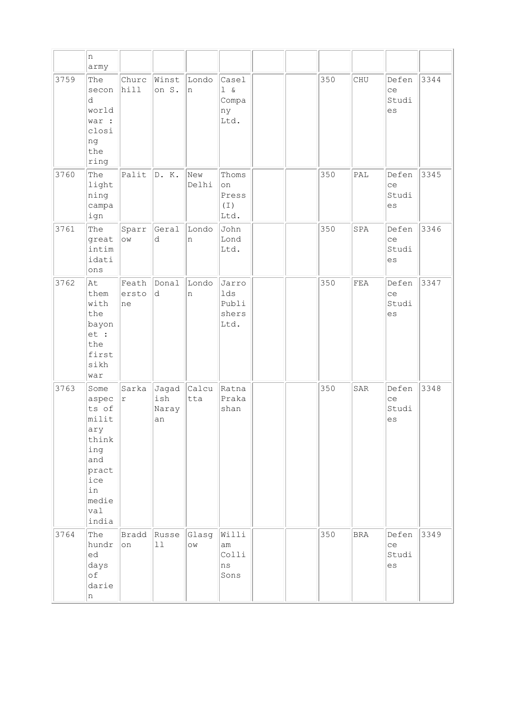|      | n<br>army                                                                                                    |                      |                             |                              |                                                    |  |     |            |                            |      |
|------|--------------------------------------------------------------------------------------------------------------|----------------------|-----------------------------|------------------------------|----------------------------------------------------|--|-----|------------|----------------------------|------|
| 3759 | The<br>secon<br>d<br>world<br>war :<br>closi<br>ng<br>the<br>ring                                            | Churc<br>hill        | Winst<br>on S.              | Londo<br>n                   | $\vert$ Casel<br>$1\!-\!\&$<br>Compa<br>ny<br>Ltd. |  | 350 | CHU        | Defen<br>ce<br>Studi<br>es | 3344 |
| 3760 | The<br>light<br>ning<br>campa<br>ign                                                                         | Palit                | D. K.                       | New<br>Delhi                 | Thoms<br>on<br>Press<br>(I)<br>Ltd.                |  | 350 | PAL        | Defen<br>ce<br>Studi<br>es | 3345 |
| 3761 | The<br>great<br>intim<br>idati<br>$\verb ons $                                                               | Sparr<br>$\circ$     | Geral<br>d                  | Londo<br>n                   | John<br>Lond<br>Ltd.                               |  | 350 | SPA        | Defen<br>ce<br>Studi<br>es | 3346 |
| 3762 | At<br>them<br>with<br>the<br>bayon<br>et :<br>the<br>first<br>sikh<br>war                                    | Feath<br>ersto<br>ne | Donal<br>d.                 | Londo<br>n                   | Jarro<br>lds<br>Publi<br>shers<br>Ltd.             |  | 350 | FEA        | Defen<br>ce<br>Studi<br>es | 3347 |
| 3763 | Some<br>aspec<br>ts of<br>milit<br>ary<br>think<br>ing<br>and<br>pract<br>ice<br>in<br>medie<br>val<br>india | Sarka<br>r           | Jagad<br>ish<br>Naray<br>an | $ $ Calcu $ $<br>tta         | Ratna<br>Praka<br>shan                             |  | 350 | SAR        | Defen<br>ce<br>Studi<br>es | 3348 |
| 3764 | The<br>hundr<br>ed<br>days<br>$\circ f$<br>darie<br>n                                                        | Bradd<br>on          | Russe<br>$11\,$             | Glasg<br>$\hbox{O\,{\sc W}}$ | Willi<br>am<br>Colli<br>ns<br>Sons                 |  | 350 | <b>BRA</b> | Defen<br>ce<br>Studi<br>es | 3349 |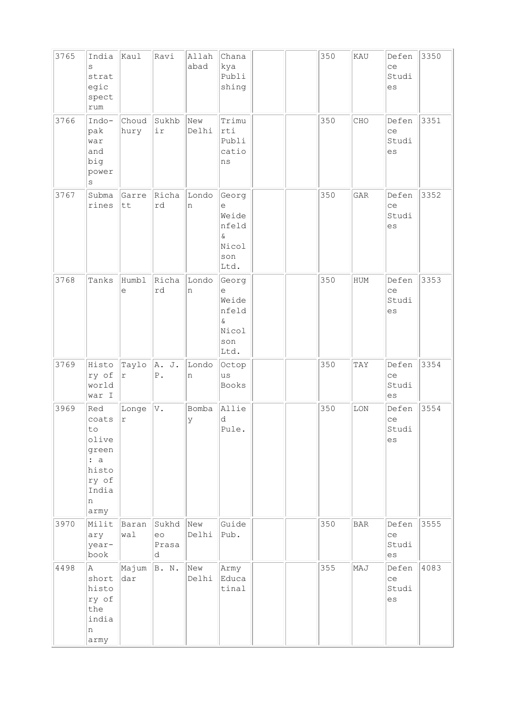| 3765 | India<br>S<br>strat<br>egic<br>spect<br>rum                                         | Kaul                | Ravi                           | Allah<br>abad | Chana<br>kya<br>Publi<br>shing                                   |  | 350 | KAU         | Defen<br>ce<br>Studi<br>es | 3350 |
|------|-------------------------------------------------------------------------------------|---------------------|--------------------------------|---------------|------------------------------------------------------------------|--|-----|-------------|----------------------------|------|
| 3766 | Indo-<br>pak<br>war<br>and<br>big<br>power<br>$\rm s$                               | Choud<br>hury       | Sukhb<br>ir                    | New<br>Delhi  | Trimu<br>rti<br>Publi<br>catio<br>ns                             |  | 350 | CHO         | Defen<br>ce<br>Studi<br>es | 3351 |
| 3767 | Subma<br>rines                                                                      | Garre<br>tt         | Richa<br>rd                    | Londo<br>n    | Georg<br>e<br>Weide<br>nfeld<br>$\delta$<br>Nicol<br>son<br>Ltd. |  | 350 | GAR         | Defen<br>ce<br>Studi<br>es | 3352 |
| 3768 | Tanks                                                                               | Humbl<br>е          | Richa<br>rd                    | Londo<br>n    | Georg<br>е<br>Weide<br>nfeld<br>Ŷ.<br>Nicol<br>son<br>Ltd.       |  | 350 | ${\tt HUM}$ | Defen<br>ce<br>Studi<br>es | 3353 |
| 3769 | Histo<br>ry of<br>world<br>war I                                                    | Taylo<br>$\Upsilon$ | A. J.<br>${\mathbb P}$ .       | Londo<br>n    | Octop<br>us<br>Books                                             |  | 350 | TAY         | Defen<br>ce<br>Studi<br>es | 3354 |
| 3969 | Red<br>coats<br>to<br>olive<br>green<br>: a<br>histo<br>ry of<br>India<br>n<br>army | Longe<br>r          | V.                             | Bomba<br>У    | Allie<br>d<br>Pule.                                              |  | 350 | LON         | Defen<br>ce<br>Studi<br>es | 3554 |
| 3970 | Milit<br>ary<br>year-<br>book                                                       | Baran<br>wal        | Sukhd New<br>eo<br>Prasa<br>d. | Delhi         | Guide<br>Pub.                                                    |  | 350 | <b>BAR</b>  | Defen<br>ce<br>Studi<br>es | 3555 |
| 4498 | Α<br>short<br>histo<br>ry of<br>the<br>india<br>n<br>army                           | Majum<br>dar        | B. N.                          | New<br>Delhi  | Army<br>Educa<br>tinal                                           |  | 355 | MAJ         | Defen<br>ce<br>Studi<br>es | 4083 |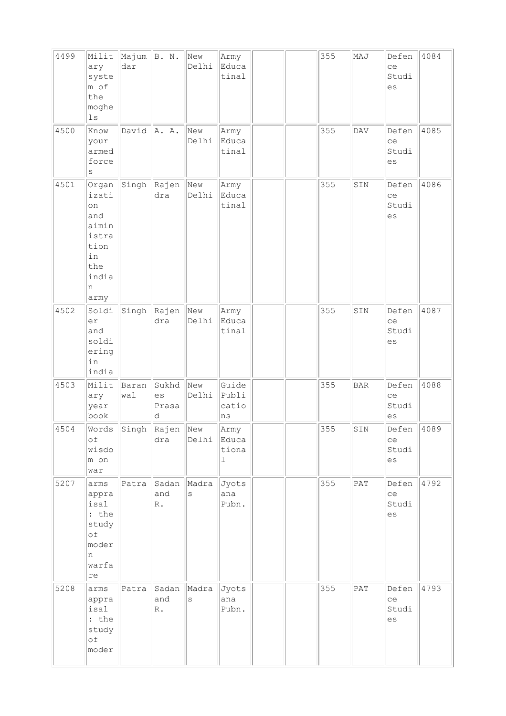| 4499 | Milit<br>ary<br>syste<br>m of<br>the<br>moghe<br>$_{\rm 1s}$                             | Majum<br>dar | B. N.                     | New<br>Delhi     | Army<br>Educa<br>tinal        |  | 355 | MAJ                              | Defen<br>ce<br>Studi<br>es | 4084 |
|------|------------------------------------------------------------------------------------------|--------------|---------------------------|------------------|-------------------------------|--|-----|----------------------------------|----------------------------|------|
| 4500 | Know<br>your<br>armed<br>force<br>$\rm S$                                                | David        | A. A.                     | New<br>Delhi     | Army<br>Educa<br>tinal        |  | 355 | $\mathbf{D}\mathbf{A}\mathbf{V}$ | Defen<br>ce<br>Studi<br>es | 4085 |
| 4501 | Organ<br>izati<br>on<br>and<br>aimin<br>istra<br>tion<br>in<br>the<br>india<br>n<br>army | Singh Rajen  | dra                       | New<br>Delhi     | Army<br>Educa<br>tinal        |  | 355 | $\texttt{SIN}$                   | Defen<br>ce<br>Studi<br>es | 4086 |
| 4502 | Soldi<br>er<br>and<br>soldi<br>ering<br>in<br>india                                      | Singh        | Rajen<br>dra              | New<br>Delhi     | Army<br>Educa<br>tinal        |  | 355 | SIN                              | Defen<br>ce<br>Studi<br>es | 4087 |
| 4503 | Milit<br>ary<br>year<br>book                                                             | Baran<br>wal | Sukhd<br>es<br>Prasa<br>d | New<br>Delhi     | Guide<br>Publi<br>catio<br>ns |  | 355 | $\rm BAR$                        | Defen<br>ce<br>Studi<br>es | 4088 |
| 4504 | оf<br>wisdo<br>m on<br>war                                                               | Words Singh  | Rajen New<br>dra          | Delhi            | Army<br>Educa<br>tiona<br>ı   |  | 355 | SIN                              | Defen<br>ce<br>Studi<br>es | 4089 |
| 5207 | arms<br>appra<br>isal<br>: the<br>study<br>of<br>moder<br>n<br>warfa<br>re               | Patra        | Sadan<br>and<br>$R$ .     | Madra<br>$\rm s$ | Jyots<br>ana<br>Pubn.         |  | 355 | PAT                              | Defen<br>ce<br>Studi<br>es | 4792 |
| 5208 | arms<br>appra<br>isal<br>: the<br>study<br>of<br>moder                                   | Patra        | Sadan<br>and<br>R.        | Madra<br>$\rm s$ | Jyots<br>ana<br>Pubn.         |  | 355 | PAT                              | Defen<br>ce<br>Studi<br>es | 4793 |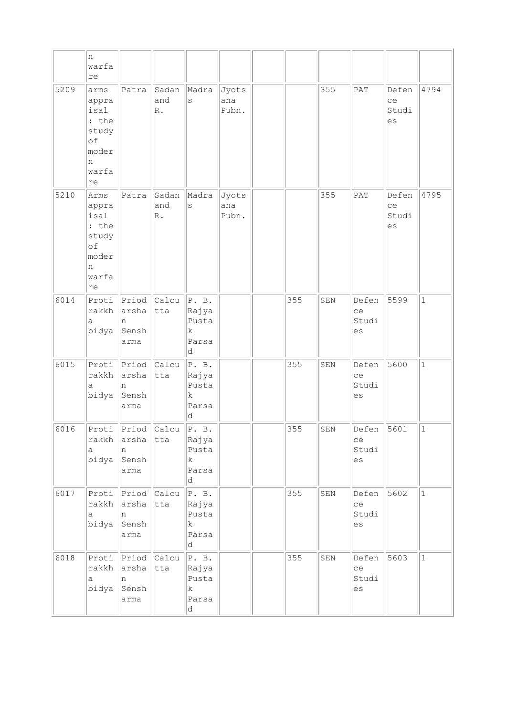|      | n<br>warfa<br>re                                                           |                                                    |                               |                                                      |                       |     |             |                                                    |                            |              |
|------|----------------------------------------------------------------------------|----------------------------------------------------|-------------------------------|------------------------------------------------------|-----------------------|-----|-------------|----------------------------------------------------|----------------------------|--------------|
| 5209 | arms<br>appra<br>isal<br>: the<br>study<br>оf<br>moder<br>n<br>warfa<br>re | Patra                                              | Sadan<br>and<br>$\mathbb R$ . | Madra<br>S                                           | Jyots<br>ana<br>Pubn. |     | 355         | PAT                                                | Defen<br>ce<br>Studi<br>es | 4794         |
| 5210 | Arms<br>appra<br>isal<br>: the<br>study<br>of<br>moder<br>n<br>warfa<br>re | Patra                                              | Sadan<br>and<br>$\mathbb R$ . | Madra<br>S                                           | Jyots<br>ana<br>Pubn. |     | 355         | PAT                                                | Defen<br>ce<br>Studi<br>es | 4795         |
| 6014 | Proti<br>rakkh<br>a<br>bidya                                               | Priod<br>arsha<br>n<br>Sensh<br>arma               | <b>Calcu</b><br>tta           | P. B.<br>Rajya<br>Pusta<br>k<br>Parsa<br>d           |                       | 355 | SEN         | Defen<br>ce<br>Studi<br>es                         | 5599                       | $\mathbf{1}$ |
| 6015 | Proti<br>rakkh<br>а<br>bidya                                               | Priod<br>arsha<br>n<br>Sensh<br>arma               | <b>Calcu</b><br>tta           | P. B.<br>Rajya<br>Pusta<br>k<br>Parsa<br>d           |                       | 355 | ${\tt SEM}$ | Defen<br>ce<br>Studi<br>es                         | 5600                       | $\mathbf{1}$ |
| 6016 | rakkh<br>а<br>bidya                                                        | $ $ Proti $ $ Priod<br>arsha<br>n<br>Sensh<br>arma | Calcu<br>tta                  | P. B.<br>Rajya<br>Pusta<br>k<br>Parsa<br>d           |                       | 355 | ${\tt SEN}$ | Defen<br>ce<br>Studi<br>$\mathop{\rm es}\nolimits$ | 5601                       | $\vert$ 1    |
| 6017 | Proti<br>rakkh<br>а<br>bidya                                               | Priod<br>arsha<br>n<br>Sensh<br>arma               | Calcu<br>tta                  | P. B.<br>Rajya<br>Pusta<br>$\mathbf k$<br>Parsa<br>d |                       | 355 | SEN         | Defen<br>ce<br>Studi<br>es                         | 5602                       | $\vert$ 1    |
| 6018 | Proti<br>rakkh<br>а<br>bidya                                               | Priod<br>arsha<br>n<br>Sensh<br>arma               | Calcu<br>tta                  | P. B.<br>Rajya<br>Pusta<br>k<br>Parsa<br>d           |                       | 355 | SEN         | Defen<br>ce<br>Studi<br>es                         | 5603                       | $1\,$        |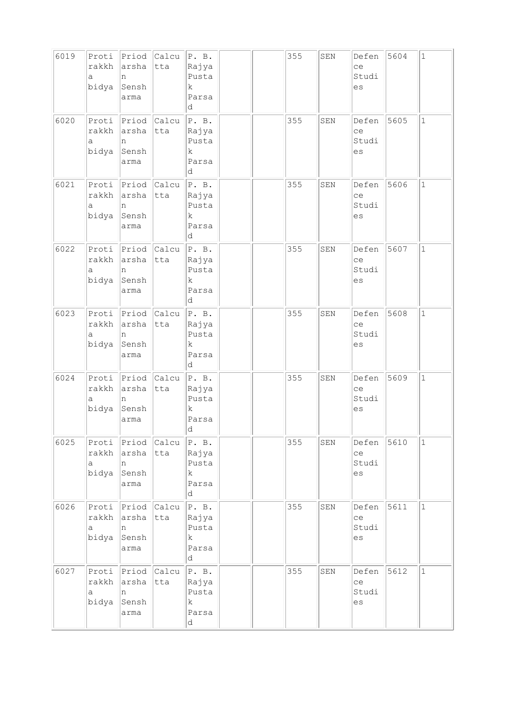| 6019 | Proti<br>rakkh<br>а<br>bidya | Priod Calcu<br>arsha<br>n<br>Sensh<br>arma             | tta | P. B.<br>Rajya<br>Pusta<br>k<br>Parsa<br>d           |  | 355 | SEN         | Defen<br>ce<br>Studi<br>es | 5604 | $1\,$        |
|------|------------------------------|--------------------------------------------------------|-----|------------------------------------------------------|--|-----|-------------|----------------------------|------|--------------|
| 6020 | Proti<br>rakkh<br>а<br>bidya | Priod Calcu<br>arsha<br>n<br>Sensh<br>arma             | tta | P. B.<br>Rajya<br>Pusta<br>k<br>Parsa<br>d           |  | 355 | SEN         | Defen<br>ce<br>Studi<br>es | 5605 | $\mathbf{1}$ |
| 6021 | Proti<br>rakkh<br>a<br>bidya | Priod Calcu<br>arsha<br>n<br>Sensh<br>arma             | tta | P. B.<br>Rajya<br>Pusta<br>k<br>Parsa<br>d           |  | 355 | SEN         | Defen<br>ce<br>Studi<br>es | 5606 | $\mathbf{1}$ |
| 6022 | rakkh<br>а<br>bidya          | Proti Priod Calcu<br>arsha<br>n<br>Sensh<br>arma       | tta | P. B.<br>Rajya<br>Pusta<br>k<br>Parsa<br>d           |  | 355 | SEN         | Defen<br>ce<br>Studi<br>es | 5607 | $\mathbf{1}$ |
| 6023 | rakkh<br>а<br>bidya          | Proti Priod Calcu<br>arsha<br>n<br>Sensh<br>arma       | tta | P. B.<br>Rajya<br>Pusta<br>k<br>Parsa<br>d           |  | 355 | SEN         | Defen<br>ce<br>Studi<br>es | 5608 | $\mathbf{1}$ |
| 6024 | Proti<br>rakkh<br>a<br>bidya | Priod Calcu<br>arsha<br>n<br>Sensh<br>arma             | tta | P. B.<br>Rajya<br>Pusta<br>k<br>Parsa<br> d          |  | 355 | SEN         | Defen<br>ce<br>Studi<br>es | 5609 | $\mathbf{1}$ |
| 6025 | rakkh<br>а                   | Proti Priod Calcu<br>arsha<br>n<br>bidya Sensh<br>arma | tta | P. B.<br>Rajya<br>Pusta<br>k<br>Parsa<br>d           |  | 355 | ${\tt SEM}$ | Defen<br>ce<br>Studi<br>es | 5610 | $\mathbf 1$  |
| 6026 | Proti<br>rakkh<br>а<br>bidya | Priod Calcu<br>arsha<br>n<br>Sensh<br>arma             | tta | P. B.<br>Rajya<br>Pusta<br>$\mathbf k$<br>Parsa<br>d |  | 355 | ${\tt SEM}$ | Defen<br>ce<br>Studi<br>es | 5611 | $\mathbf 1$  |
| 6027 | rakkh<br>a<br>bidya          | Proti Priod Calcu<br>arsha<br>n<br>Sensh<br>arma       | tta | P. B.<br>Rajya<br>Pusta<br>k<br>Parsa<br>d           |  | 355 | SEN         | Defen<br>ce<br>Studi<br>es | 5612 | $\mathbf 1$  |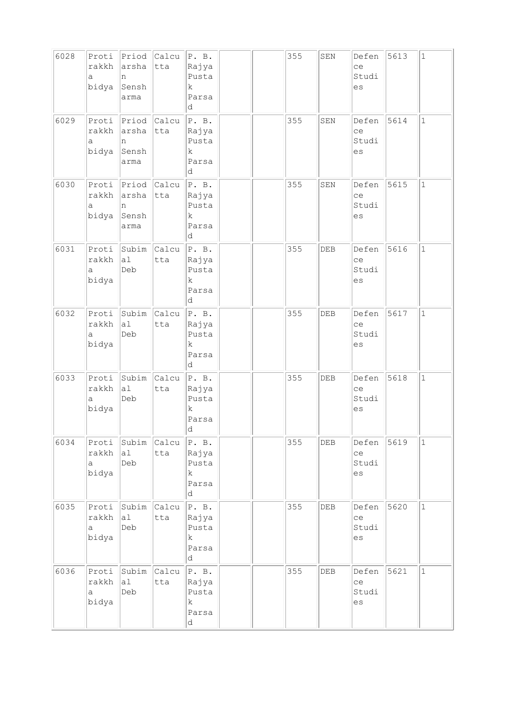| 6028 | Proti<br>rakkh<br>а<br>bidya | Priod Calcu<br>arsha<br>n<br>Sensh<br>arma           | tta                | P. B.<br>Rajya<br>Pusta<br>k<br>Parsa<br>d  |  | 355 | SEN         | Defen<br>ce<br>Studi<br>es                         | 5613 | $\mathbf{1}$ |
|------|------------------------------|------------------------------------------------------|--------------------|---------------------------------------------|--|-----|-------------|----------------------------------------------------|------|--------------|
| 6029 | Proti<br>rakkh<br>а<br>bidya | $\ $ Priod $\ $ Calcu<br>arsha<br>n<br>Sensh<br>arma | tta                | P. B.<br>Rajya<br>Pusta<br>k<br>Parsa<br>d  |  | 355 | SEN         | Defen<br>ce<br>Studi<br>es                         | 5614 | $\mathbf 1$  |
| 6030 | Proti<br>rakkh<br>a<br>bidya | Priod Calcu<br>arsha<br>n<br>Sensh<br>arma           | tta                | P. B.<br>Rajya<br>Pusta<br>k<br>Parsa<br>d  |  | 355 | SEN         | Defen<br>ce<br>Studi<br>es                         | 5615 | $\mathbf{1}$ |
| 6031 | Proti<br>rakkh<br>а<br>bidya | al<br>Deb                                            | Subim Calcu<br>tta | P. B.<br>Rajya<br>Pusta<br>k<br>Parsa<br>d  |  | 355 | DEB         | Defen<br>ce<br>Studi<br>es                         | 5616 | $\mathbf{1}$ |
| 6032 | Proti<br>rakkh<br>а<br>bidya | Subim<br> a1<br>Deb                                  | Calcu<br>tta       | P. B.<br>Rajya<br>Pusta<br>k<br>Parsa<br>d  |  | 355 | DEB         | Defen<br>ce<br>Studi<br>es                         | 5617 | $\mathbf{1}$ |
| 6033 | Proti<br>rakkh<br>a<br>bidya | Subim<br>al<br>Deb                                   | Calcu<br>tta       | P. B.<br>Rajya<br>Pusta<br>k<br>Parsa<br> d |  | 355 | DEB         | Defen<br>ce<br>Studi<br>es                         | 5618 | $\mathbf 1$  |
| 6034 | Proti<br>rakkh<br>a<br>bidya | Subim<br> a1 <br>Deb                                 | Calcu<br>tta       | P. B.<br>Rajya<br>Pusta<br>k<br>Parsa<br>d  |  | 355 | DEB         | Defen<br>ce<br>Studi<br>es                         | 5619 | $1\,$        |
| 6035 | Proti<br>rakkh<br>а<br>bidya | Subim<br> a1<br>Deb                                  | Calcu<br>tta       | P. B.<br>Rajya<br>Pusta<br>k<br>Parsa<br>d  |  | 355 | ${\rm DEB}$ | Defen<br>ce<br>Studi<br>$\mathop{\rm es}\nolimits$ | 5620 | $\mathbf{1}$ |
| 6036 | Proti<br>rakkh<br>a<br>bidya | Subim<br> a1 <br>Deb                                 | Calcu<br>tta       | P. B.<br>Rajya<br>Pusta<br>k<br>Parsa<br>d  |  | 355 | DEB         | Defen<br>ce<br>Studi<br>es                         | 5621 | $\mathbf{1}$ |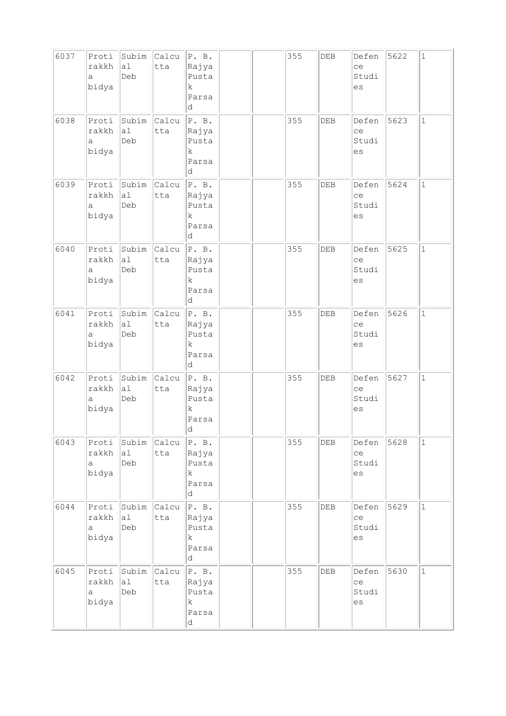| 6037 | Proti<br>rakkh<br>a<br>bidya | Subim<br>al<br>Deb   | Calcu<br>tta | P. B.<br>Rajya<br>Pusta<br>k<br>Parsa<br>d              |  | 355 | DEB         | Defen<br>ce<br>Studi<br>es | 5622 | $1\,$        |
|------|------------------------------|----------------------|--------------|---------------------------------------------------------|--|-----|-------------|----------------------------|------|--------------|
| 6038 | Proti<br>rakkh<br>а<br>bidya | Subim<br>a1<br>Deb   | Calcu<br>tta | P. B.<br>Rajya<br>Pusta<br>k<br>Parsa<br>d              |  | 355 | DEB         | Defen<br>ce<br>Studi<br>es | 5623 | $\mathbf 1$  |
| 6039 | Proti<br>rakkh<br>a<br>bidya | Subim<br> al<br>Deb  | Calcu<br>tta | P. B.<br>Rajya<br>Pusta<br>k<br>Parsa<br>d              |  | 355 | ${\rm DEB}$ | Defen<br>ce<br>Studi<br>es | 5624 | $\mathbf{1}$ |
| 6040 | Proti<br>rakkh<br>а<br>bidya | Subim<br>a1<br>Deb   | Calcu<br>tta | P. B.<br>Rajya<br>Pusta<br>k<br>Parsa<br>d              |  | 355 | DEB         | Defen<br>ce<br>Studi<br>es | 5625 | $\mathbf{1}$ |
| 6041 | Proti<br>rakkh<br>а<br>bidya | Subim<br> a <br>Deb  | Calcu<br>tta | P. B.<br>Rajya<br>Pusta<br>k<br>Parsa<br>d              |  | 355 | DEB         | Defen<br>ce<br>Studi<br>es | 5626 | $\mathbf{1}$ |
| 6042 | Proti<br>rakkh<br>a<br>bidya | Subim<br>al<br>Deb   | Calcu<br>tta | P. B.<br>Rajya<br>Pusta<br>k<br>Parsa<br>$\frac{d}{dx}$ |  | 355 | DEB         | Defen<br>ce<br>Studi<br>es | 5627 | $\mathbf{1}$ |
| 6043 | Proti<br>rakkh<br>а<br>bidya | Subim<br> a1<br>Deb  | Calcu<br>tta | P. B.<br>Rajya<br>Pusta<br>k<br>Parsa<br>d              |  | 355 | DEB         | Defen<br>ce<br>Studi<br>es | 5628 | $1\,$        |
| 6044 | Proti<br>rakkh<br>а<br>bidya | Subim<br>al<br>Deb   | Calcu<br>tta | P. B.<br>Rajya<br>Pusta<br>k<br>Parsa<br>d              |  | 355 | ${\rm DEB}$ | Defen<br>ce<br>Studi<br>es | 5629 | $\mathbf{1}$ |
| 6045 | Proti<br>rakkh<br>a<br>bidya | Subim<br> a1 <br>Deb | Calcu<br>tta | P. B.<br>Rajya<br>Pusta<br>k<br>Parsa<br>d              |  | 355 | DEB         | Defen<br>ce<br>Studi<br>es | 5630 | $\mathbf 1$  |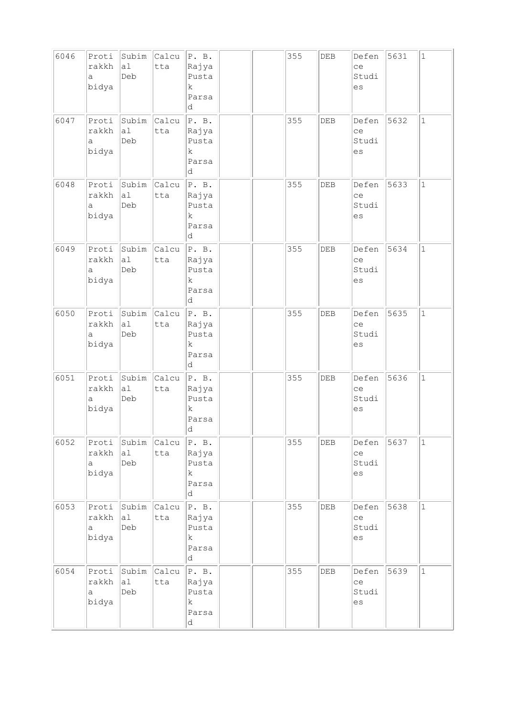| 6046 | Proti<br>rakkh<br>a<br>bidya | Subim<br>al<br>Deb   | Calcu<br>tta | P. B.<br>Rajya<br>Pusta<br>k<br>Parsa<br>d  |  | 355 | DEB         | Defen<br>ce<br>Studi<br>es | 5631 | $1\,$        |
|------|------------------------------|----------------------|--------------|---------------------------------------------|--|-----|-------------|----------------------------|------|--------------|
| 6047 | Proti<br>rakkh<br>а<br>bidya | Subim<br>a1<br>Deb   | Calcu<br>tta | P. B.<br>Rajya<br>Pusta<br>k<br>Parsa<br>d  |  | 355 | DEB         | Defen<br>ce<br>Studi<br>es | 5632 | $\mathbf 1$  |
| 6048 | Proti<br>rakkh<br>a<br>bidya | Subim<br> al<br>Deb  | Calcu<br>tta | P. B.<br>Rajya<br>Pusta<br>k<br>Parsa<br>d  |  | 355 | DEB         | Defen<br>ce<br>Studi<br>es | 5633 | $\mathbf{1}$ |
| 6049 | Proti<br>rakkh<br>а<br>bidya | Subim<br>a1<br>Deb   | Calcu<br>tta | P. B.<br>Rajya<br>Pusta<br>k<br>Parsa<br>d  |  | 355 | DEB         | Defen<br>ce<br>Studi<br>es | 5634 | $\mathbf{1}$ |
| 6050 | Proti<br>rakkh<br>а<br>bidya | Subim<br> a <br>Deb  | Calcu<br>tta | P. B.<br>Rajya<br>Pusta<br>k<br>Parsa<br>d  |  | 355 | DEB         | Defen<br>ce<br>Studi<br>es | 5635 | $\mathbf{1}$ |
| 6051 | Proti<br>rakkh<br>a<br>bidya | Subim<br>al<br>Deb   | Calcu<br>tta | P. B.<br>Rajya<br>Pusta<br>k<br>Parsa<br> d |  | 355 | DEB         | Defen<br>ce<br>Studi<br>es | 5636 | $\mathbf{1}$ |
| 6052 | Proti<br>rakkh<br>а<br>bidya | Subim<br> a1<br>Deb  | Calcu<br>tta | P. B.<br>Rajya<br>Pusta<br>k<br>Parsa<br>d  |  | 355 | DEB         | Defen<br>ce<br>Studi<br>es | 5637 | $1\,$        |
| 6053 | Proti<br>rakkh<br>а<br>bidya | Subim<br>al<br>Deb   | Calcu<br>tta | P. B.<br>Rajya<br>Pusta<br>k<br>Parsa<br>d  |  | 355 | ${\rm DEB}$ | Defen<br>ce<br>Studi<br>es | 5638 | $\mathbf{1}$ |
| 6054 | Proti<br>rakkh<br>a<br>bidya | Subim<br> a1 <br>Deb | Calcu<br>tta | P. B.<br>Rajya<br>Pusta<br>k<br>Parsa<br>d  |  | 355 | DEB         | Defen<br>ce<br>Studi<br>es | 5639 | $\mathbf 1$  |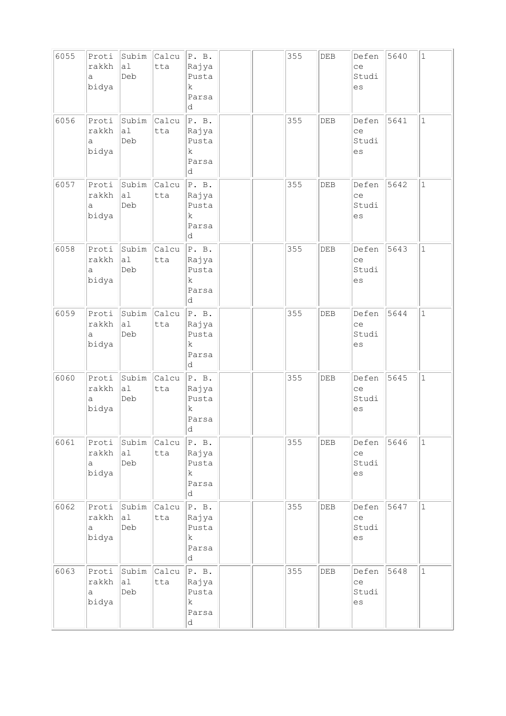| 6055 | Proti<br>rakkh<br>a<br>bidya | Subim<br>al<br>Deb   | Calcu<br>tta | P. B.<br>Rajya<br>Pusta<br>k<br>Parsa<br>d  |  | 355 | DEB         | Defen<br>ce<br>Studi<br>es | 5640 | $1\,$        |
|------|------------------------------|----------------------|--------------|---------------------------------------------|--|-----|-------------|----------------------------|------|--------------|
| 6056 | Proti<br>rakkh<br>а<br>bidya | Subim<br>a1<br>Deb   | Calcu<br>tta | P. B.<br>Rajya<br>Pusta<br>k<br>Parsa<br>d  |  | 355 | DEB         | Defen<br>ce<br>Studi<br>es | 5641 | $\mathbf 1$  |
| 6057 | Proti<br>rakkh<br>a<br>bidya | Subim<br> al<br>Deb  | Calcu<br>tta | P. B.<br>Rajya<br>Pusta<br>k<br>Parsa<br>d  |  | 355 | ${\tt DEB}$ | Defen<br>ce<br>Studi<br>es | 5642 | $\mathbf{1}$ |
| 6058 | Proti<br>rakkh<br>а<br>bidya | Subim<br>a1<br>Deb   | Calcu<br>tta | P. B.<br>Rajya<br>Pusta<br>k<br>Parsa<br>d  |  | 355 | DEB         | Defen<br>ce<br>Studi<br>es | 5643 | $\mathbf{1}$ |
| 6059 | Proti<br>rakkh<br>а<br>bidya | Subim<br>al<br>Deb   | Calcu<br>tta | P. B.<br>Rajya<br>Pusta<br>k<br>Parsa<br>d  |  | 355 | DEB         | Defen<br>ce<br>Studi<br>es | 5644 | $\mathbf{1}$ |
| 6060 | Proti<br>rakkh<br>a<br>bidya | Subim<br>al<br>Deb   | Calcu<br>tta | P. B.<br>Rajya<br>Pusta<br>k<br>Parsa<br> d |  | 355 | DEB         | Defen<br>ce<br>Studi<br>es | 5645 | $\mathbf 1$  |
| 6061 | Proti<br>rakkh<br>а<br>bidya | Subim<br> a1<br>Deb  | Calcu<br>tta | P. B.<br>Rajya<br>Pusta<br>k<br>Parsa<br>d  |  | 355 | DEB         | Defen<br>ce<br>Studi<br>es | 5646 | $1\,$        |
| 6062 | Proti<br>rakkh<br>а<br>bidya | Subim<br>al<br>Deb   | Calcu<br>tta | P. B.<br>Rajya<br>Pusta<br>k<br>Parsa<br>d  |  | 355 | ${\rm DEB}$ | Defen<br>ce<br>Studi<br>es | 5647 | $\mathbf{1}$ |
| 6063 | Proti<br>rakkh<br>a<br>bidya | Subim<br> a1 <br>Deb | Calcu<br>tta | P. B.<br>Rajya<br>Pusta<br>k<br>Parsa<br>d  |  | 355 | DEB         | Defen<br>ce<br>Studi<br>es | 5648 | $\mathbf 1$  |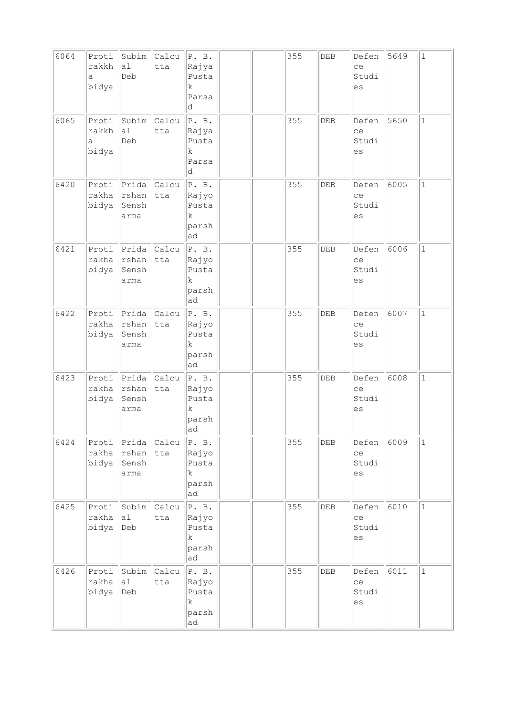| 6064 | Proti<br>rakkh<br>а<br>bidya | Subim<br> a <br>Deb                   | Calcu<br>tta        | P. B.<br>Rajya<br>Pusta<br>k<br>Parsa<br>d   |  | 355 | DEB | Defen<br>ce<br>Studi<br>es | 5649 | $\mathbf{1}$ |
|------|------------------------------|---------------------------------------|---------------------|----------------------------------------------|--|-----|-----|----------------------------|------|--------------|
| 6065 | Proti<br>rakkh<br>а<br>bidya | Subim<br> a <br>Deb                   | Calcu<br>tta        | P. B.<br>Rajya<br>Pusta<br>k<br>Parsa<br>d   |  | 355 | DEB | Defen<br>ce<br>Studi<br>es | 5650 | $\mathbf 1$  |
| 6420 | Proti<br>rakha<br>bidya      | Prida<br>rshan<br>Sensh<br>arma       | Calcu<br>tta        | P. B.<br>Rajyo<br>Pusta<br>k<br>parsh<br>ad  |  | 355 | DEB | Defen<br>ce<br>Studi<br>es | 6005 | $\mathbf{1}$ |
| 6421 | Proti<br>rakha<br>bidya      | Prida<br>rshan<br>Sensh<br>arma       | <b>Calcu</b><br>tta | P. B.<br>Rajyo<br>Pusta<br>k<br>parsh<br>ad  |  | 355 | DEB | Defen<br>ce<br>Studi<br>es | 6006 | $\mathbf{1}$ |
| 6422 | Proti<br>rakha<br>bidya      | Prida Calcu<br>rshan<br>Sensh<br>arma | tta                 | P. B.<br>Rajyo<br>Pusta<br>k<br>parsh<br>ad  |  | 355 | DEB | Defen<br>ce<br>Studi<br>es | 6007 | $\mathbf{1}$ |
| 6423 | Proti<br>rakha<br>bidya      | Prida<br>rshan<br>Sensh<br>arma       | Calcu<br>tta        | P. B.<br>Rajyo<br>Pusta<br>k<br>parsh<br> ad |  | 355 | DEB | Defen<br>ce<br>Studi<br>es | 6008 | $\mathbf{1}$ |
| 6424 | Proti<br>rakha<br>bidya      | Prida<br>rshan<br>Sensh<br>arma       | Calcu<br>tta        | P. B.<br>Rajyo<br>Pusta<br>k<br>parsh<br>ad  |  | 355 | DEB | Defen<br>ce<br>Studi<br>es | 6009 | $1\,$        |
| 6425 | Proti<br>rakha<br>bidya      | Subim<br> a1<br>Deb                   | Calcu<br>tta        | P. B.<br>Rajyo<br>Pusta<br>k<br>parsh<br>ad  |  | 355 | DEB | Defen<br>ce<br>Studi<br>es | 6010 | $\mathbf{1}$ |
| 6426 | Proti<br>rakha<br>bidya      | Subim<br> a1 <br>$ $ Deb              | Calcu<br>tta        | P. B.<br>Rajyo<br>Pusta<br>k<br>parsh<br>ad  |  | 355 | DEB | Defen<br>ce<br>Studi<br>es | 6011 | $\mathbf 1$  |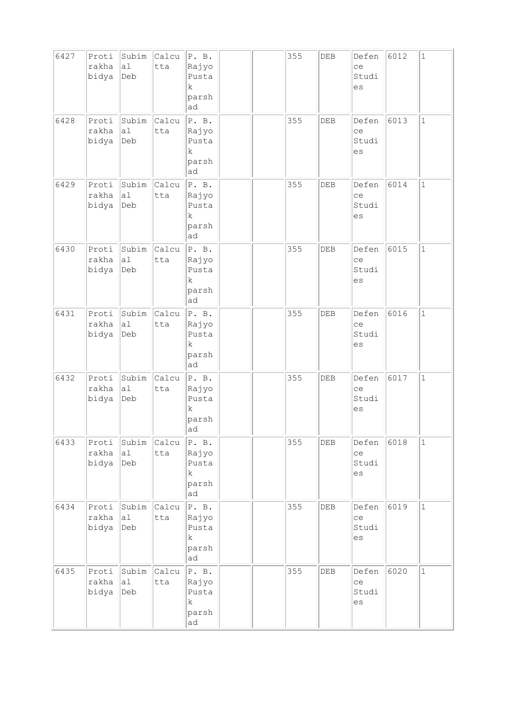| 6427 | Proti<br>rakha<br>bidya | Subim<br>al<br>$ $ Deb  | $ $ Calcu $ $<br>tta | P. B.<br>Rajyo<br>Pusta<br>k<br>parsh<br>ad           |  | 355 | DEB | Defen<br>ce<br>Studi<br>es | 6012 | $\mathbf{1}$ |
|------|-------------------------|-------------------------|----------------------|-------------------------------------------------------|--|-----|-----|----------------------------|------|--------------|
| 6428 | Proti<br>rakha<br>bidya | Subim<br>al<br>Deb      | Calcu<br>tta         | P. B.<br>Rajyo<br>Pusta<br>k<br>parsh<br>ad           |  | 355 | DEB | Defen<br>ce<br>Studi<br>es | 6013 | $\mathbf 1$  |
| 6429 | Proti<br>rakha<br>bidya | Subim<br> a1<br>$ $ Deb | Calcu<br>tta         | P. B.<br>Rajyo<br>Pusta<br>k<br>parsh<br>ad           |  | 355 | DEB | Defen<br>ce<br>Studi<br>es | 6014 | $\mathbf{1}$ |
| 6430 | Proti<br>rakha<br>bidya | Subim<br>al<br>Deb      | Calcu<br>tta         | P. B.<br>Rajyo<br>Pusta<br>k<br>parsh<br>ad           |  | 355 | DEB | Defen<br>ce<br>Studi<br>es | 6015 | $\mathbf{1}$ |
| 6431 | Proti<br>rakha<br>bidya | Subim<br> a1<br>Deb     | Calcu<br>tta         | P. B.<br>Rajyo<br>Pusta<br>k<br>parsh<br>ad           |  | 355 | DEB | Defen<br>ce<br>Studi<br>es | 6016 | $\mathbf 1$  |
| 6432 | Proti<br>rakha<br>bidya | Subim<br>al<br>$ $ Deb  | Calcu<br>tta         | P. B.<br>Rajyo<br>Pusta<br>k<br>parsh<br>ad           |  | 355 | DEB | Defen<br>ce<br>Studi<br>es | 6017 | $\mathbf{1}$ |
| 6433 | Proti<br>rakha<br>bidya | Subim<br>a1<br>Deb      | Calcu<br>tta         | P. B.<br>Rajyo<br>Pusta<br>k<br>parsh<br>ad           |  | 355 | DEB | Defen<br>ce<br>Studi<br>es | 6018 | $1\,$        |
| 6434 | Proti<br>rakha<br>bidya | Subim<br>al<br>Deb      | Calcu<br>tta         | P. B.<br>Rajyo<br>Pusta<br>$\mathbf k$<br>parsh<br>ad |  | 355 | DEB | Defen<br>ce<br>Studi<br>es | 6019 | $\mathbf{1}$ |
| 6435 | Proti<br>rakha<br>bidya | Subim<br>al<br>$ $ Deb  | Calcu<br>tta         | P. B.<br>Rajyo<br>Pusta<br>k<br>parsh<br>ad           |  | 355 | DEB | Defen<br>ce<br>Studi<br>es | 6020 | $\mathbf 1$  |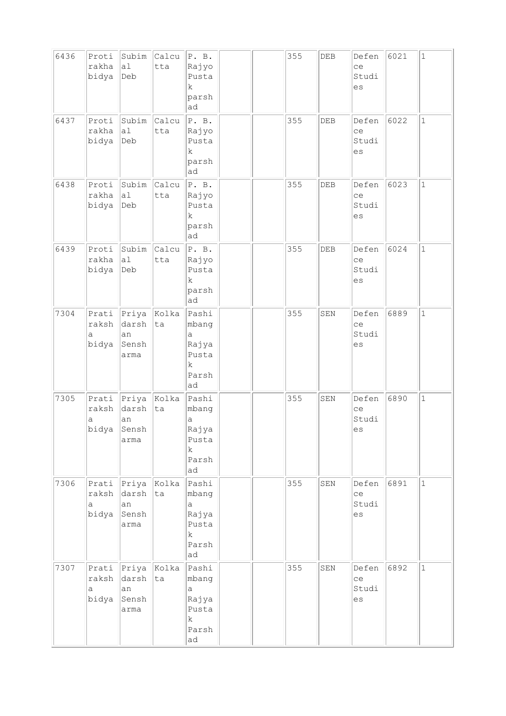| 6436 | Proti<br>rakha<br>bidya      | Subim<br>al<br>$ $ Deb                                      | Calcu<br>tta | P. B.<br>Rajyo<br>Pusta<br>k.<br>parsh<br>ad                         |  | 355 | DEB | Defen<br>ce<br>Studi<br>es                         | 6021 | $\mathbf{1}$ |
|------|------------------------------|-------------------------------------------------------------|--------------|----------------------------------------------------------------------|--|-----|-----|----------------------------------------------------|------|--------------|
| 6437 | Proti<br>rakha<br>bidya      | Subim<br>al<br>$ $ Deb                                      | Calcu<br>tta | P. B.<br>Rajyo<br>Pusta<br>k<br>parsh<br>ad                          |  | 355 | DEB | Defen<br>ce<br>Studi<br>es                         | 6022 | $\mathbf 1$  |
| 6438 | Proti<br>rakha<br>bidya      | Subim<br> a1<br>$ $ Deb                                     | Calcu<br>tta | P. B.<br>Rajyo<br>Pusta<br>k<br>parsh<br>ad                          |  | 355 | DEB | Defen<br>ce<br>Studi<br>es                         | 6023 | $\mathbf{1}$ |
| 6439 | Proti<br>rakha<br>bidya      | Subim<br>al<br>Deb                                          | Calcu<br>tta | P. B.<br>Rajyo<br>Pusta<br>k<br>parsh<br>ad                          |  | 355 | DEB | Defen<br>ce<br>Studi<br>es                         | 6024 | $\mathbf{1}$ |
| 7304 | Prati<br>raksh<br>а<br>bidya | $\ $ Priya $\ $ Kolka<br>darsh<br>an<br>Sensh<br>arma       | ta           | Pashi<br>mbang<br>а<br>Rajya<br>Pusta<br>k<br>Parsh<br>ad            |  | 355 | SEN | Defen<br>ce<br>Studi<br>es                         | 6889 | $\mathbf{1}$ |
| 7305 | Prati<br>raksh<br>а          | $\ $ Priya $\ $ Kolka<br>darsh<br>an<br>bidya Sensh<br>arma | ta           | Pashi<br>mbang<br>a<br>∣Rajya<br>Pusta<br>$\mathbf k$<br>Parsh<br>ad |  | 355 | SEN | Defen<br>ce<br>Studi<br>$\mathop{\rm es}\nolimits$ | 6890 | $\mathbf 1$  |
| 7306 | Prati<br>raksh<br>а<br>bidya | $ Priya $ Kolka<br>darsh<br>an<br>Sensh<br>arma             | ta           | Pashi<br>mbang<br>а<br>Rajya<br>Pusta<br>k<br>Parsh<br>ad            |  | 355 | SEN | Defen<br>ce<br>Studi<br>es                         | 6891 | $\mathbf{1}$ |
| 7307 | Prati<br>raksh<br>а<br>bidya | Priya Kolka<br>darsh<br>an<br>Sensh<br>arma                 | ta           | Pashi<br>mbang<br>a<br>Rajya<br>Pusta<br>$\mathbf k$<br>Parsh<br>ad  |  | 355 | SEN | Defen<br>ce<br>Studi<br>es                         | 6892 | $\mathbf{1}$ |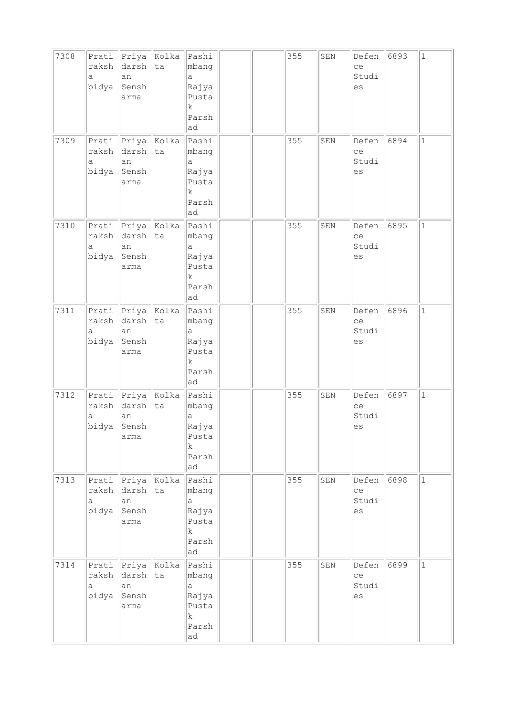| 7308 | Prati<br>raksh<br>a<br>bidya            | Priya Kolka<br>darsh<br>an<br>Sensh<br>arma           | ta          | Pashi<br>mbang<br>а<br>Rajya<br>Pusta<br>$\mathbf{k}$<br>Parsh<br>ad           |  | 355 | ${\tt SEN}$ | Defen<br>ce<br>Studi<br>es | 6893 | $\mathbf{1}$ |
|------|-----------------------------------------|-------------------------------------------------------|-------------|--------------------------------------------------------------------------------|--|-----|-------------|----------------------------|------|--------------|
| 7309 | Prati<br>raksh<br>а<br>bidya            | $\ $ Priya $\ $ Kolka<br>darsh<br>an<br>Sensh<br>arma | ta          | Pashi<br>mbang<br>а<br>Rajya<br>Pusta<br>$\rm k$<br>Parsh<br>ad                |  | 355 | SEN         | Defen<br>ce<br>Studi<br>es | 6894 | $\mathbf{1}$ |
| 7310 | Prati<br>raksh<br>a<br>bidya            | Priya  Kolka<br>darsh<br>an<br>Sensh<br>arma          | ta          | Pashi<br>mbang<br>$\mathsf{a}$<br>Rajya<br>Pusta<br>k<br>Parsh<br>ad           |  | 355 | SEN         | Defen<br>ce<br>Studi<br>es | 6895 | $\mathbf{1}$ |
| 7311 | Prati<br>raksh<br>а<br>bidya            | Priya Kolka<br>darsh<br>an<br>Sensh<br>arma           | ta          | Pashi<br>mbang<br>a<br>Rajya<br>Pusta<br>$\mathbf k$<br>Parsh<br>ad            |  | 355 | SEN         | Defen<br>ce<br>Studi<br>es | 6896 | $\mathbf{1}$ |
| 7312 | Prati<br>raksh<br>а<br>bidya            | $\ $ Priya $\ $ Kolka<br>darsh<br>an<br>Sensh<br>arma | ta          | Pashi<br>mbang<br>а<br>Rajya<br>Pusta<br>$\mathbf k$<br>Parsh<br>ad            |  | 355 | ${\tt SEN}$ | Defen<br>ce<br>Studi<br>es | 6897 | $\mathbf{1}$ |
| 7313 | Prati<br>raksh<br>a<br>bidya            | Priya<br>darsh<br>an<br>Sensh<br>arma                 | Kolka<br>ta | Pashi<br>mbang<br>$\mathsf{a}$<br>Rajya<br>Pusta<br>$\mathbf k$<br>Parsh<br>ad |  | 355 | SEN         | Defen<br>ce<br>Studi<br>es | 6898 | $\mathbf{1}$ |
| 7314 | Prati<br>raksh<br>$\mathsf{a}$<br>bidya | Priya<br>darsh<br>an<br>Sensh<br>arma                 | Kolka<br>ta | Pashi<br>mbang<br>a<br>Rajya<br>Pusta<br>$\rm k$<br>Parsh<br>ad                |  | 355 | ${\tt SEM}$ | Defen<br>ce<br>Studi<br>es | 6899 | $\mathbf{1}$ |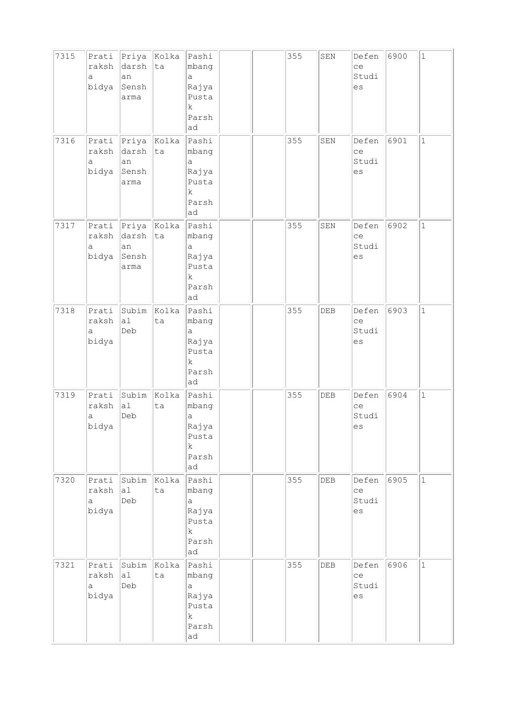| 7315 | Prati<br>raksh<br>a<br>bidya            | Priya Kolka<br>darsh<br>an<br>Sensh<br>arma     | ta                 | Pashi<br>mbang<br>а<br>Rajya<br>Pusta<br>$\mathbf{k}$<br>Parsh<br>ad           |  | 355 | ${\tt SEN}$ | Defen<br>ce<br>Studi<br>es | 6900 | $\mathbf{1}$ |
|------|-----------------------------------------|-------------------------------------------------|--------------------|--------------------------------------------------------------------------------|--|-----|-------------|----------------------------|------|--------------|
| 7316 | Prati<br>raksh<br>а<br>bidya            | $ Priya $ Kolka<br>darsh<br>an<br>Sensh<br>arma | ta                 | Pashi<br>mbang<br>а<br>Rajya<br>Pusta<br>$\rm k$<br>Parsh<br>ad                |  | 355 | ${\tt SEN}$ | Defen<br>ce<br>Studi<br>es | 6901 | $\mathbf{1}$ |
| 7317 | Prati<br>raksh<br>a<br>bidya            | darsh<br>an<br>Sensh<br>arma                    | Priya  Kolka<br>ta | Pashi<br>mbang<br>$\mathsf{a}$<br>Rajya<br>Pusta<br>k<br>Parsh<br>ad           |  | 355 | SEN         | Defen<br>ce<br>Studi<br>es | 6902 | $\mathbf{1}$ |
| 7318 | Prati<br>raksh<br>а<br>bidya            | Subim<br>a1<br>Deb                              | Kolka<br>ta        | Pashi<br>mbang<br>a<br>Rajya<br>Pusta<br>$\mathbf k$<br>Parsh<br>ad            |  | 355 | DEB         | Defen<br>ce<br>Studi<br>es | 6903 | $\mathbf{1}$ |
| 7319 | Prati<br>raksh<br>а<br>bidya            | Subim<br>a1<br>Deb                              | Kolka<br>ta        | Pashi<br>mbang<br>а<br>Rajya<br>Pusta<br>$\mathbf k$<br>Parsh<br>ad            |  | 355 | DEB         | Defen<br>ce<br>Studi<br>es | 6904 | $\mathbf{1}$ |
| 7320 | Prati<br>raksh<br>a<br>bidya            | Subim<br>a1<br>Deb                              | Kolka<br>ta        | Pashi<br>mbang<br>$\mathsf{a}$<br>Rajya<br>Pusta<br>$\mathbf k$<br>Parsh<br>ad |  | 355 | DEB         | Defen<br>ce<br>Studi<br>es | 6905 | $\mathbf{1}$ |
| 7321 | Prati<br>raksh<br>$\mathsf{a}$<br>bidya | Subim<br>a1<br>Deb                              | Kolka<br>ta        | Pashi<br>mbang<br>a<br>Rajya<br>Pusta<br>$\rm k$<br>Parsh<br>ad                |  | 355 | ${\rm DEB}$ | Defen<br>ce<br>Studi<br>es | 6906 | $\mathbf{1}$ |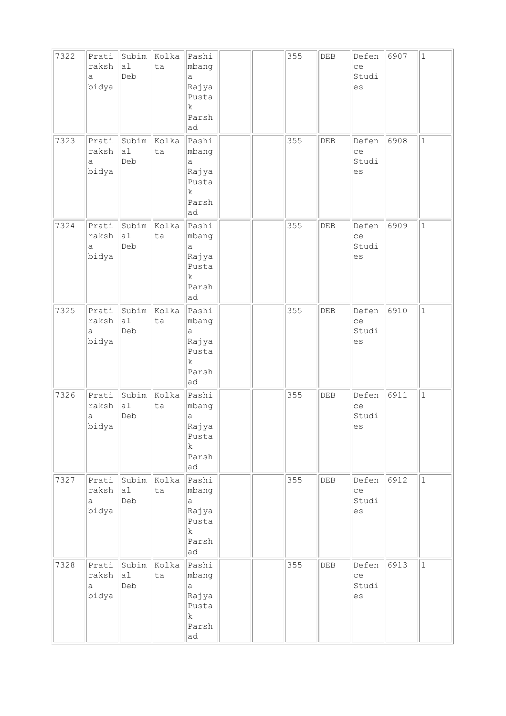| 7322 | Prati<br>raksh<br>а<br>bidya | Subim<br>al<br>Deb  | Kolka<br>ta | Pashi<br>mbang<br>а<br>Rajya<br>Pusta<br>k<br>Parsh<br>ad            |  | 355 | ${\rm DEB}$ | Defen<br>ce<br>Studi<br>es | 6907 | $\mathbf 1$  |
|------|------------------------------|---------------------|-------------|----------------------------------------------------------------------|--|-----|-------------|----------------------------|------|--------------|
| 7323 | Prati<br>raksh<br>а<br>bidya | Subim<br> a1<br>Deb | Kolka<br>ta | Pashi<br>mbang<br>а<br>Rajya<br>Pusta<br>k<br>Parsh<br>ad            |  | 355 | ${\rm DEB}$ | Defen<br>ce<br>Studi<br>es | 6908 | $\mathbf{1}$ |
| 7324 | Prati<br>raksh<br>a<br>bidya | Subim<br>al<br>Deb  | Kolka<br>ta | Pashi<br>mbang<br>$\mathsf{a}$<br>Rajya<br>Pusta<br>k<br>Parsh<br>ad |  | 355 | ${\rm DEB}$ | Defen<br>ce<br>Studi<br>es | 6909 | $\mathbf{1}$ |
| 7325 | Prati<br>raksh<br>а<br>bidya | Subim<br>al<br>Deb  | Kolka<br>ta | Pashi<br>mbang<br>а<br>Rajya<br>Pusta<br>k<br>Parsh<br>ad            |  | 355 | DEB         | Defen<br>ce<br>Studi<br>es | 6910 | $\mathbf{1}$ |
| 7326 | Prati<br>raksh<br>а<br>bidya | Subim<br> a1<br>Deb | Kolka<br>ta | Pashi<br>mbang<br>а<br>Rajya<br>Pusta<br>k<br>Parsh<br>ad            |  | 355 | ${\rm DEB}$ | Defen<br>ce<br>Studi<br>es | 6911 | $\mathbf{1}$ |
| 7327 | Prati<br>raksh<br>a<br>bidya | Subim<br> a <br>Deb | Kolka<br>ta | Pashi<br>mbang<br>$\mathsf{a}$<br>Rajya<br>Pusta<br>k<br>Parsh<br>ad |  | 355 | DEB         | Defen<br>ce<br>Studi<br>es | 6912 | $\mathbf{1}$ |
| 7328 | Prati<br>raksh<br>a<br>bidya | Subim<br>al<br>Deb  | Kolka<br>ta | Pashi<br>mbang<br>$\rm{a}$<br>Rajya<br>Pusta<br>k<br>Parsh<br>ad     |  | 355 | ${\rm DEB}$ | Defen<br>ce<br>Studi<br>es | 6913 | $\mathbf{1}$ |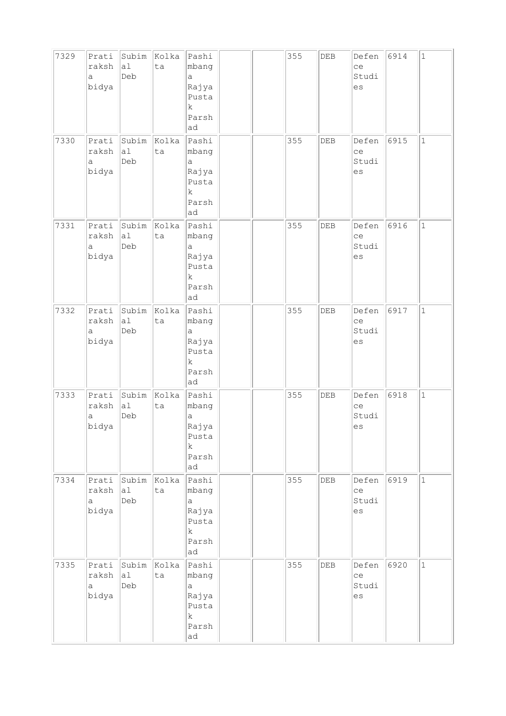| 7329 | Prati<br>raksh<br>а<br>bidya | Subim<br>al<br>Deb  | Kolka<br>ta | Pashi<br>mbang<br>а<br>Rajya<br>Pusta<br>k<br>Parsh<br>ad            |  | 355 | ${\rm DEB}$ | Defen<br>ce<br>Studi<br>es | 6914 | $\mathbf{1}$ |
|------|------------------------------|---------------------|-------------|----------------------------------------------------------------------|--|-----|-------------|----------------------------|------|--------------|
| 7330 | Prati<br>raksh<br>а<br>bidya | Subim<br> a1<br>Deb | Kolka<br>ta | Pashi<br>mbang<br>а<br>Rajya<br>Pusta<br>k<br>Parsh<br>ad            |  | 355 | ${\rm DEB}$ | Defen<br>ce<br>Studi<br>es | 6915 | $\mathbf{1}$ |
| 7331 | Prati<br>raksh<br>a<br>bidya | Subim<br>al<br>Deb  | Kolka<br>ta | Pashi<br>mbang<br>$\mathsf{a}$<br>Rajya<br>Pusta<br>k<br>Parsh<br>ad |  | 355 | ${\rm DEB}$ | Defen<br>ce<br>Studi<br>es | 6916 | $\mathbf{1}$ |
| 7332 | Prati<br>raksh<br>а<br>bidya | Subim<br>al<br>Deb  | Kolka<br>ta | Pashi<br>mbang<br>а<br>Rajya<br>Pusta<br>k<br>Parsh<br>ad            |  | 355 | DEB         | Defen<br>ce<br>Studi<br>es | 6917 | $\mathbf{1}$ |
| 7333 | Prati<br>raksh<br>а<br>bidya | Subim<br> a1<br>Deb | Kolka<br>ta | Pashi<br>mbang<br>а<br>Rajya<br>Pusta<br>k<br>Parsh<br>ad            |  | 355 | ${\rm DEB}$ | Defen<br>ce<br>Studi<br>es | 6918 | $\mathbf{1}$ |
| 7334 | Prati<br>raksh<br>a<br>bidya | Subim<br> a <br>Deb | Kolka<br>ta | Pashi<br>mbang<br>$\mathsf{a}$<br>Rajya<br>Pusta<br>k<br>Parsh<br>ad |  | 355 | DEB         | Defen<br>ce<br>Studi<br>es | 6919 | $\mathbf{1}$ |
| 7335 | Prati<br>raksh<br>a<br>bidya | Subim<br>al<br>Deb  | Kolka<br>ta | Pashi<br>mbang<br>$\rm{a}$<br>Rajya<br>Pusta<br>k<br>Parsh<br>ad     |  | 355 | ${\rm DEB}$ | Defen<br>ce<br>Studi<br>es | 6920 | $\mathbf{1}$ |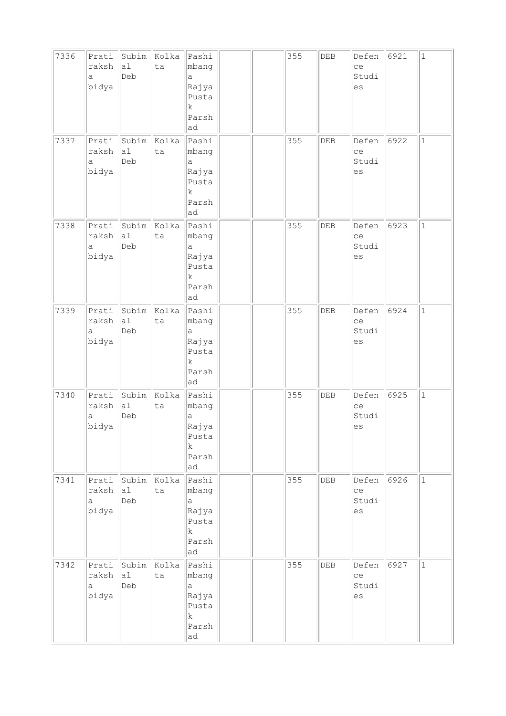| 7336 | Prati<br>raksh<br>а<br>bidya | Subim<br>al<br>Deb  | Kolka<br>ta | Pashi<br>mbang<br>а<br>Rajya<br>Pusta<br>k<br>Parsh<br>ad            |  | 355 | ${\rm DEB}$ | Defen<br>ce<br>Studi<br>es | 6921 | $\mathbf{1}$ |
|------|------------------------------|---------------------|-------------|----------------------------------------------------------------------|--|-----|-------------|----------------------------|------|--------------|
| 7337 | Prati<br>raksh<br>а<br>bidya | Subim<br> a1<br>Deb | Kolka<br>ta | Pashi<br>mbang<br>а<br>Rajya<br>Pusta<br>k<br>Parsh<br>ad            |  | 355 | ${\rm DEB}$ | Defen<br>ce<br>Studi<br>es | 6922 | $\mathbf{1}$ |
| 7338 | Prati<br>raksh<br>a<br>bidya | Subim<br>al<br>Deb  | Kolka<br>ta | Pashi<br>mbang<br>$\mathsf{a}$<br>Rajya<br>Pusta<br>k<br>Parsh<br>ad |  | 355 | ${\rm DEB}$ | Defen<br>ce<br>Studi<br>es | 6923 | $\mathbf{1}$ |
| 7339 | Prati<br>raksh<br>а<br>bidya | Subim<br>al<br>Deb  | Kolka<br>ta | Pashi<br>mbang<br>а<br>Rajya<br>Pusta<br>k<br>Parsh<br>ad            |  | 355 | DEB         | Defen<br>ce<br>Studi<br>es | 6924 | $\mathbf{1}$ |
| 7340 | Prati<br>raksh<br>а<br>bidya | Subim<br> a1<br>Deb | Kolka<br>ta | Pashi<br>mbang<br>а<br>Rajya<br>Pusta<br>k<br>Parsh<br>ad            |  | 355 | ${\rm DEB}$ | Defen<br>ce<br>Studi<br>es | 6925 | $\mathbf{1}$ |
| 7341 | Prati<br>raksh<br>a<br>bidya | Subim<br> a <br>Deb | Kolka<br>ta | Pashi<br>mbang<br>$\mathsf{a}$<br>Rajya<br>Pusta<br>k<br>Parsh<br>ad |  | 355 | DEB         | Defen<br>ce<br>Studi<br>es | 6926 | $\mathbf{1}$ |
| 7342 | Prati<br>raksh<br>a<br>bidya | Subim<br>al<br>Deb  | Kolka<br>ta | Pashi<br>mbang<br>$\rm{a}$<br>Rajya<br>Pusta<br>k<br>Parsh<br>ad     |  | 355 | ${\rm DEB}$ | Defen<br>ce<br>Studi<br>es | 6927 | $\mathbf{1}$ |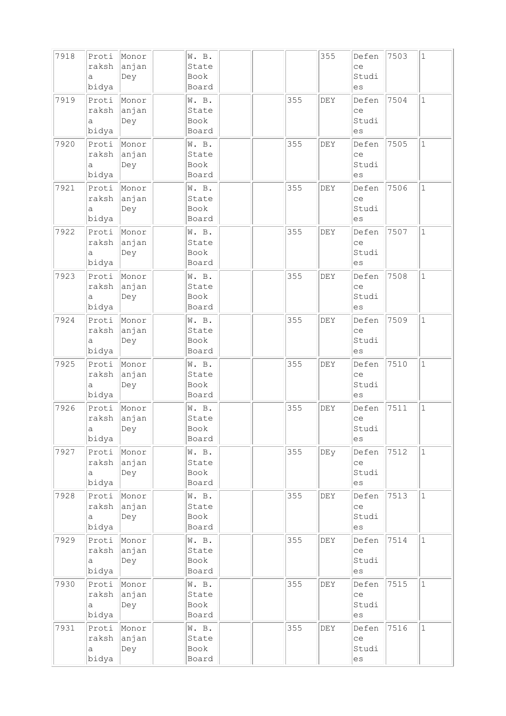| 7918 | Proti<br>raksh<br>a<br>bidya            | Monor<br>anjan<br>Dey | W. B.<br>State<br>Book<br>Board        |     | 355                         | Defen<br>ce<br>Studi<br>es                         | 7503 | $\vert$ 1    |
|------|-----------------------------------------|-----------------------|----------------------------------------|-----|-----------------------------|----------------------------------------------------|------|--------------|
| 7919 | Proti<br>raksh<br>a<br>bidya            | Monor<br>anjan<br>Dey | W. B.<br>State<br><b>Book</b><br>Board | 355 | DEY                         | Defen<br>ce<br>Studi<br>es                         | 7504 | $\mathbf{1}$ |
| 7920 | Proti<br>raksh<br>а<br>bidya            | Monor<br>anjan<br>Dey | W. B.<br>State<br>Book<br>Board        | 355 | <b>DEY</b>                  | Defen<br>ce<br>Studi<br>es                         | 7505 | $\mathbf{1}$ |
| 7921 | Proti<br>raksh<br>a<br>bidya            | Monor<br>anjan<br>Dey | W. B.<br>State<br>Book<br>Board        | 355 | <b>DEY</b>                  | Defen<br>ce<br>Studi<br>es                         | 7506 | $\mathbf{1}$ |
| 7922 | Proti<br>raksh<br>а<br>bidya            | Monor<br>anjan<br>Dey | W. B.<br>State<br>Book<br>Board        | 355 | <b>DEY</b>                  | Defen<br>ce<br>Studi<br>es                         | 7507 | $\mathbf{1}$ |
| 7923 | Proti<br>raksh<br>a<br>bidya            | Monor<br>anjan<br>Dey | W. B.<br>State<br><b>Book</b><br>Board | 355 | <b>DEY</b>                  | Defen<br>ce<br>Studi<br>es                         | 7508 | $\mathbf{1}$ |
| 7924 | Proti<br>raksh<br>a<br>bidya            | Monor<br>anjan<br>Dey | W. B.<br>State<br>Book<br>Board        | 355 | <b>DEY</b>                  | Defen<br>ce<br>Studi<br>es                         | 7509 | $\mathbf{1}$ |
| 7925 | Proti<br>raksh<br>а<br>bidya            | Monor<br>anjan<br>Dey | W. B.<br>State<br>Book<br>Board        | 355 | <b>DEY</b>                  | Defen<br>ce<br>Studi<br>es                         | 7510 | $\mathbf{1}$ |
| 7926 | Proti<br>raksh<br>$\mathsf{a}$<br>bidya | Monor<br>anjan<br>Dey | W. B.<br>State<br>Book<br>Board        | 355 | <b>DEY</b>                  | Defen<br>ce<br>Studi<br>es                         | 7511 | $\mathbf{1}$ |
| 7927 | Proti<br>raksh<br>a<br>bidya            | Monor<br>anjan<br>Dey | W. B.<br>State<br>Book<br>Board        | 355 | DEy                         | Defen<br>ce<br>Studi<br>es                         | 7512 | $\mathbf{1}$ |
| 7928 | Proti<br>raksh<br>а<br>bidya            | Monor<br>anjan<br>Dey | W. B.<br>State<br>Book<br>Board        | 355 | DEY                         | Defen<br>ce<br>Studi<br>es                         | 7513 | $\mathbf{1}$ |
| 7929 | Proti<br>raksh<br>a<br>bidya            | Monor<br>anjan<br>Dey | W. B.<br>State<br>Book<br>Board        | 355 | DEY                         | Defen<br>ce<br>Studi<br>es                         | 7514 | $\mathbf{1}$ |
| 7930 | Proti<br>raksh<br>a<br>bidya            | Monor<br>anjan<br>Dey | W. B.<br>State<br>Book<br>Board        | 355 | <b>DEY</b>                  | Defen<br>ce<br>Studi<br>es                         | 7515 | $\mathbf{1}$ |
| 7931 | Proti<br>raksh<br>а<br>bidya            | Monor<br>anjan<br>Dey | W. B.<br>State<br>Book<br>Board        | 355 | $\mathop{\rm DEY}\nolimits$ | Defen<br>ce<br>Studi<br>$\mathop{\rm es}\nolimits$ | 7516 | $\mathbf{1}$ |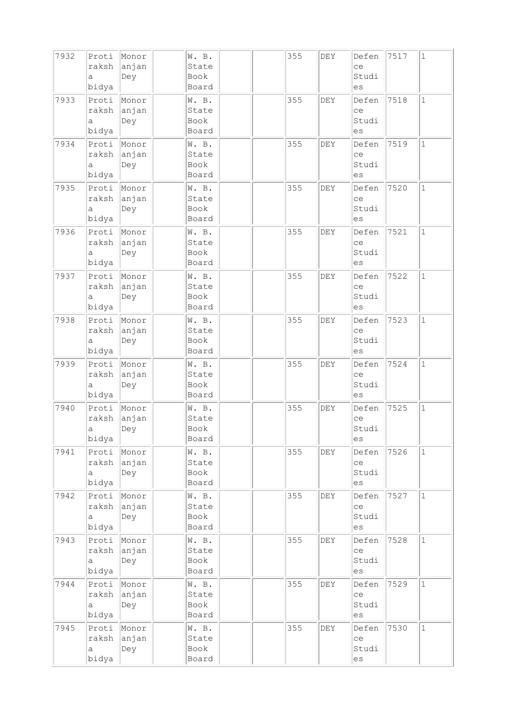| 7932 | Proti<br>raksh<br>a<br>bidya | Monor<br>anjan<br>Dey | W. B.<br>State<br>Book<br>Board        | 355 | <b>DEY</b>                  | Defen<br>ce<br>Studi<br>es | 7517 | $\vert$ 1    |
|------|------------------------------|-----------------------|----------------------------------------|-----|-----------------------------|----------------------------|------|--------------|
| 7933 | Proti<br>raksh<br>a<br>bidya | Monor<br>anjan<br>Dey | W. B.<br>State<br>Book<br>Board        | 355 | <b>DEY</b>                  | Defen<br>ce<br>Studi<br>es | 7518 | $\mathbf{1}$ |
| 7934 | Proti<br>raksh<br>а<br>bidya | Monor<br>anjan<br>Dey | W. B.<br>State<br>Book<br>Board        | 355 | <b>DEY</b>                  | Defen<br>ce<br>Studi<br>es | 7519 | $\mathbf{1}$ |
| 7935 | Proti<br>raksh<br>a<br>bidya | Monor<br>anjan<br>Dey | W. B.<br>State<br>Book<br>Board        | 355 | <b>DEY</b>                  | Defen<br>ce<br>Studi<br>es | 7520 | $\mathbf{1}$ |
| 7936 | Proti<br>raksh<br>a<br>bidya | Monor<br>anjan<br>Dey | W. B.<br>State<br>Book<br>Board        | 355 | <b>DEY</b>                  | Defen<br>ce<br>Studi<br>es | 7521 | $\mathbf{1}$ |
| 7937 | Proti<br>raksh<br>a<br>bidya | Monor<br>anjan<br>Dey | W. B.<br>State<br><b>Book</b><br>Board | 355 | <b>DEY</b>                  | Defen<br>ce<br>Studi<br>es | 7522 | $\mathbf{1}$ |
| 7938 | Proti<br>raksh<br>a<br>bidya | Monor<br>anjan<br>Dey | W. B.<br>State<br>Book<br>Board        | 355 | <b>DEY</b>                  | Defen<br>ce<br>Studi<br>es | 7523 | $\mathbf{1}$ |
| 7939 | Proti<br>raksh<br>а<br>bidya | Monor<br>anjan<br>Dey | W. B.<br>State<br>Book<br>Board        | 355 | DEY                         | Defen<br>ce<br>Studi<br>es | 7524 | $\mathbf{1}$ |
| 7940 | Proti<br>raksh<br>a<br>bidya | Monor<br>anjan<br>Dey | W. B.<br>State<br>Book<br>Board        | 355 | <b>DEY</b>                  | Defen<br>ce<br>Studi<br>es | 7525 | $\mathbf{1}$ |
| 7941 | Proti<br>raksh<br>a<br>bidya | Monor<br>anjan<br>Dey | W. B.<br>State<br>Book<br>Board        | 355 | $\mathop{\rm DEY}\nolimits$ | Defen<br>ce<br>Studi<br>es | 7526 | $\mathbf{1}$ |
| 7942 | Proti<br>raksh<br>а<br>bidya | Monor<br>anjan<br>Dey | W. B.<br>State<br>Book<br>Board        | 355 | <b>DEY</b>                  | Defen<br>ce<br>Studi<br>es | 7527 | $\mathbf{1}$ |
| 7943 | Proti<br>raksh<br>a<br>bidya | Monor<br>anjan<br>Dey | W. B.<br>State<br>Book<br>Board        | 355 | <b>DEY</b>                  | Defen<br>ce<br>Studi<br>es | 7528 | $\mathbf{1}$ |
| 7944 | Proti<br>raksh<br>а<br>bidya | Monor<br>anjan<br>Dey | W. B.<br>State<br>Book<br>Board        | 355 | <b>DEY</b>                  | Defen<br>ce<br>Studi<br>es | 7529 | $\mathbf{1}$ |
| 7945 | Proti<br>raksh<br>а<br>bidya | Monor<br>anjan<br>Dey | W. B.<br>State<br>Book<br>Board        | 355 | DEY                         | Defen<br>ce<br>Studi<br>es | 7530 | $\mathbf{1}$ |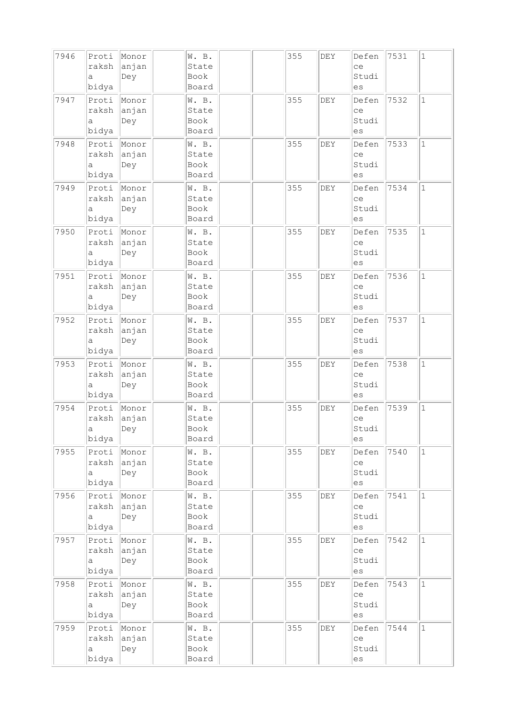| 7946 | Proti<br>raksh<br>a<br>bidya | Monor<br>anjan<br>Dey | W. B.<br>State<br>Book<br>Board        | 355 | <b>DEY</b>                  | Defen<br>ce<br>Studi<br>es | 7531 | $\vert$ 1    |
|------|------------------------------|-----------------------|----------------------------------------|-----|-----------------------------|----------------------------|------|--------------|
| 7947 | Proti<br>raksh<br>a<br>bidya | Monor<br>anjan<br>Dey | W. B.<br>State<br>Book<br>Board        | 355 | <b>DEY</b>                  | Defen<br>ce<br>Studi<br>es | 7532 | $\mathbf{1}$ |
| 7948 | Proti<br>raksh<br>а<br>bidya | Monor<br>anjan<br>Dey | W. B.<br>State<br>Book<br>Board        | 355 | <b>DEY</b>                  | Defen<br>ce<br>Studi<br>es | 7533 | $\mathbf{1}$ |
| 7949 | Proti<br>raksh<br>a<br>bidya | Monor<br>anjan<br>Dey | W. B.<br>State<br>Book<br>Board        | 355 | <b>DEY</b>                  | Defen<br>ce<br>Studi<br>es | 7534 | $\mathbf{1}$ |
| 7950 | Proti<br>raksh<br>a<br>bidya | Monor<br>anjan<br>Dey | W. B.<br>State<br>Book<br>Board        | 355 | <b>DEY</b>                  | Defen<br>ce<br>Studi<br>es | 7535 | $\mathbf{1}$ |
| 7951 | Proti<br>raksh<br>a<br>bidya | Monor<br>anjan<br>Dey | W. B.<br>State<br><b>Book</b><br>Board | 355 | <b>DEY</b>                  | Defen<br>ce<br>Studi<br>es | 7536 | $\mathbf{1}$ |
| 7952 | Proti<br>raksh<br>a<br>bidya | Monor<br>anjan<br>Dey | W. B.<br>State<br>Book<br>Board        | 355 | <b>DEY</b>                  | Defen<br>ce<br>Studi<br>es | 7537 | $\mathbf{1}$ |
| 7953 | Proti<br>raksh<br>а<br>bidya | Monor<br>anjan<br>Dey | W. B.<br>State<br>Book<br>Board        | 355 | DEY                         | Defen<br>ce<br>Studi<br>es | 7538 | $\mathbf{1}$ |
| 7954 | Proti<br>raksh<br>a<br>bidya | Monor<br>anjan<br>Dey | W. B.<br>State<br>Book<br>Board        | 355 | <b>DEY</b>                  | Defen<br>ce<br>Studi<br>es | 7539 | $1\,$        |
| 7955 | Proti<br>raksh<br>a<br>bidya | Monor<br>anjan<br>Dey | W. B.<br>State<br>Book<br>Board        | 355 | $\mathop{\rm DEY}\nolimits$ | Defen<br>ce<br>Studi<br>es | 7540 | $\mathbf{1}$ |
| 7956 | Proti<br>raksh<br>а<br>bidya | Monor<br>anjan<br>Dey | W. B.<br>State<br>Book<br>Board        | 355 | <b>DEY</b>                  | Defen<br>ce<br>Studi<br>es | 7541 | $\mathbf{1}$ |
| 7957 | Proti<br>raksh<br>a<br>bidya | Monor<br>anjan<br>Dey | W. B.<br>State<br>Book<br>Board        | 355 | <b>DEY</b>                  | Defen<br>ce<br>Studi<br>es | 7542 | $\mathbf{1}$ |
| 7958 | Proti<br>raksh<br>а<br>bidya | Monor<br>anjan<br>Dey | W. B.<br>State<br>Book<br>Board        | 355 | <b>DEY</b>                  | Defen<br>ce<br>Studi<br>es | 7543 | $\mathbf{1}$ |
| 7959 | Proti<br>raksh<br>а<br>bidya | Monor<br>anjan<br>Dey | W. B.<br>State<br>Book<br>Board        | 355 | $\mathop{\rm DEY}\nolimits$ | Defen<br>ce<br>Studi<br>es | 7544 | $\mathbf{1}$ |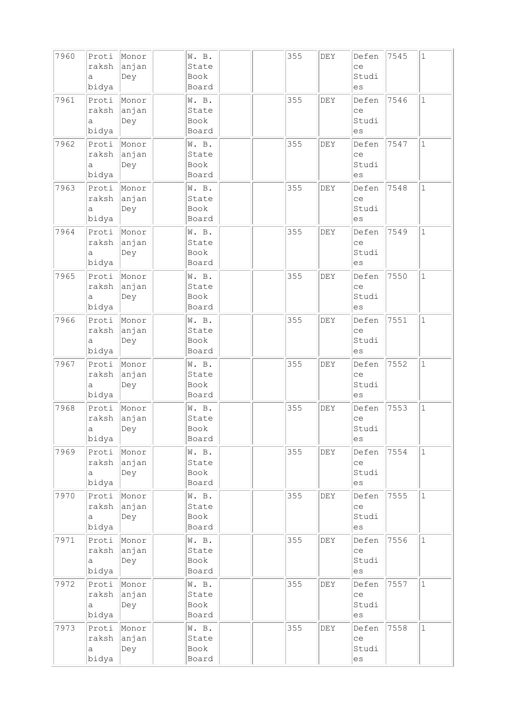| 7960 | Proti<br>raksh<br>a<br>bidya | Monor<br>anjan<br>Dey | W. B.<br>State<br>Book<br>Board        | 355 | <b>DEY</b>                  | Defen<br>ce<br>Studi<br>es | 7545 | $\vert$ 1    |
|------|------------------------------|-----------------------|----------------------------------------|-----|-----------------------------|----------------------------|------|--------------|
| 7961 | Proti<br>raksh<br>a<br>bidya | Monor<br>anjan<br>Dey | W. B.<br>State<br>Book<br>Board        | 355 | <b>DEY</b>                  | Defen<br>ce<br>Studi<br>es | 7546 | $\mathbf{1}$ |
| 7962 | Proti<br>raksh<br>а<br>bidya | Monor<br>anjan<br>Dey | W. B.<br>State<br>Book<br>Board        | 355 | <b>DEY</b>                  | Defen<br>ce<br>Studi<br>es | 7547 | $\mathbf{1}$ |
| 7963 | Proti<br>raksh<br>a<br>bidya | Monor<br>anjan<br>Dey | W. B.<br>State<br>Book<br>Board        | 355 | <b>DEY</b>                  | Defen<br>ce<br>Studi<br>es | 7548 | $\mathbf{1}$ |
| 7964 | Proti<br>raksh<br>a<br>bidya | Monor<br>anjan<br>Dey | W. B.<br>State<br>Book<br>Board        | 355 | <b>DEY</b>                  | Defen<br>ce<br>Studi<br>es | 7549 | $\mathbf{1}$ |
| 7965 | Proti<br>raksh<br>a<br>bidya | Monor<br>anjan<br>Dey | W. B.<br>State<br><b>Book</b><br>Board | 355 | <b>DEY</b>                  | Defen<br>ce<br>Studi<br>es | 7550 | $\mathbf{1}$ |
| 7966 | Proti<br>raksh<br>a<br>bidya | Monor<br>anjan<br>Dey | W. B.<br>State<br>Book<br>Board        | 355 | <b>DEY</b>                  | Defen<br>ce<br>Studi<br>es | 7551 | $\mathbf{1}$ |
| 7967 | Proti<br>raksh<br>а<br>bidya | Monor<br>anjan<br>Dey | W. B.<br>State<br>Book<br>Board        | 355 | DEY                         | Defen<br>ce<br>Studi<br>es | 7552 | $\mathbf{1}$ |
| 7968 | Proti<br>raksh<br>a<br>bidya | Monor<br>anjan<br>Dey | W. B.<br>State<br>Book<br>Board        | 355 | <b>DEY</b>                  | Defen<br>ce<br>Studi<br>es | 7553 | $1\,$        |
| 7969 | Proti<br>raksh<br>a<br>bidya | Monor<br>anjan<br>Dey | W. B.<br>State<br>Book<br>Board        | 355 | $\mathop{\rm DEY}\nolimits$ | Defen<br>ce<br>Studi<br>es | 7554 | $\mathbf{1}$ |
| 7970 | Proti<br>raksh<br>а<br>bidya | Monor<br>anjan<br>Dey | W. B.<br>State<br>Book<br>Board        | 355 | <b>DEY</b>                  | Defen<br>ce<br>Studi<br>es | 7555 | $\mathbf{1}$ |
| 7971 | Proti<br>raksh<br>a<br>bidya | Monor<br>anjan<br>Dey | W. B.<br>State<br>Book<br>Board        | 355 | <b>DEY</b>                  | Defen<br>ce<br>Studi<br>es | 7556 | $\mathbf{1}$ |
| 7972 | Proti<br>raksh<br>а<br>bidya | Monor<br>anjan<br>Dey | W. B.<br>State<br>Book<br>Board        | 355 | <b>DEY</b>                  | Defen<br>ce<br>Studi<br>es | 7557 | $\mathbf{1}$ |
| 7973 | Proti<br>raksh<br>а<br>bidya | Monor<br>anjan<br>Dey | W. B.<br>State<br>Book<br>Board        | 355 | $\mathop{\rm DEY}\nolimits$ | Defen<br>ce<br>Studi<br>es | 7558 | $\mathbf{1}$ |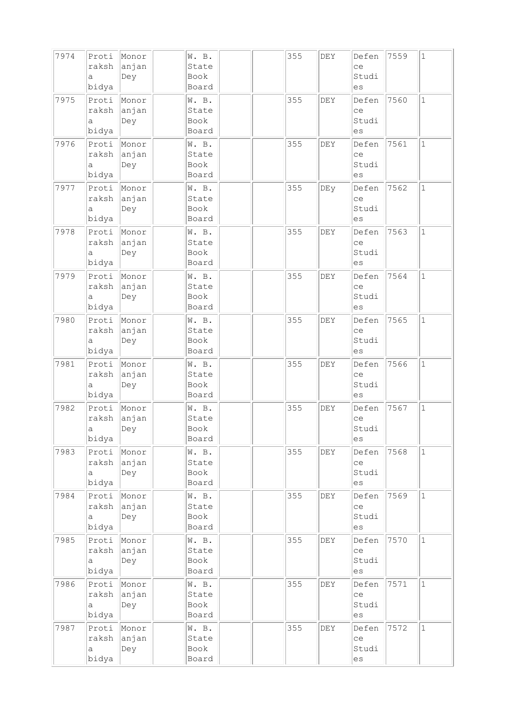| 7974 | Proti<br>raksh<br>a<br>bidya | Monor<br>anjan<br>Dey | W. B.<br>State<br>Book<br>Board        | 355 | <b>DEY</b> | Defen<br>ce<br>Studi<br>es | 7559 | $\vert$ 1    |
|------|------------------------------|-----------------------|----------------------------------------|-----|------------|----------------------------|------|--------------|
| 7975 | Proti<br>raksh<br>a<br>bidya | Monor<br>anjan<br>Dey | W. B.<br>State<br>Book<br>Board        | 355 | <b>DEY</b> | Defen<br>ce<br>Studi<br>es | 7560 | $\mathbf{1}$ |
| 7976 | Proti<br>raksh<br>а<br>bidya | Monor<br>anjan<br>Dey | W. B.<br>State<br>Book<br>Board        | 355 | <b>DEY</b> | Defen<br>ce<br>Studi<br>es | 7561 | $\mathbf{1}$ |
| 7977 | Proti<br>raksh<br>a<br>bidya | Monor<br>anjan<br>Dey | W. B.<br>State<br>Book<br>Board        | 355 | DEy        | Defen<br>ce<br>Studi<br>es | 7562 | $\mathbf{1}$ |
| 7978 | Proti<br>raksh<br>a<br>bidya | Monor<br>anjan<br>Dey | W. B.<br>State<br>Book<br>Board        | 355 | <b>DEY</b> | Defen<br>ce<br>Studi<br>es | 7563 | $\mathbf{1}$ |
| 7979 | Proti<br>raksh<br>a<br>bidya | Monor<br>anjan<br>Dey | W. B.<br>State<br><b>Book</b><br>Board | 355 | <b>DEY</b> | Defen<br>ce<br>Studi<br>es | 7564 | $\mathbf{1}$ |
| 7980 | Proti<br>raksh<br>a<br>bidya | Monor<br>anjan<br>Dey | W. B.<br>State<br>Book<br>Board        | 355 | <b>DEY</b> | Defen<br>ce<br>Studi<br>es | 7565 | $\mathbf{1}$ |
| 7981 | Proti<br>raksh<br>а<br>bidya | Monor<br>anjan<br>Dey | W. B.<br>State<br>Book<br>Board        | 355 | DEY        | Defen<br>ce<br>Studi<br>es | 7566 | $\mathbf{1}$ |
| 7982 | Proti<br>raksh<br>a<br>bidya | Monor<br>anjan<br>Dey | W. B.<br>State<br>Book<br>Board        | 355 | <b>DEY</b> | Defen<br>ce<br>Studi<br>es | 7567 | $\mathbf 1$  |
| 7983 | Proti<br>raksh<br>a<br>bidya | Monor<br>anjan<br>Dey | W. B.<br>State<br>Book<br>Board        | 355 | DEY        | Defen<br>ce<br>Studi<br>es | 7568 | $\mathbf{1}$ |
| 7984 | Proti<br>raksh<br>а<br>bidya | Monor<br>anjan<br>Dey | W. B.<br>State<br>Book<br>Board        | 355 | <b>DEY</b> | Defen<br>ce<br>Studi<br>es | 7569 | $\mathbf{1}$ |
| 7985 | Proti<br>raksh<br>a<br>bidya | Monor<br>anjan<br>Dey | W. B.<br>State<br>Book<br>Board        | 355 | <b>DEY</b> | Defen<br>ce<br>Studi<br>es | 7570 | $\mathbf{1}$ |
| 7986 | Proti<br>raksh<br>а<br>bidya | Monor<br>anjan<br>Dey | W. B.<br>State<br>Book<br>Board        | 355 | <b>DEY</b> | Defen<br>ce<br>Studi<br>es | 7571 | $\mathbf{1}$ |
| 7987 | Proti<br>raksh<br>а<br>bidya | Monor<br>anjan<br>Dey | W. B.<br>State<br>Book<br>Board        | 355 | DEY        | Defen<br>ce<br>Studi<br>es | 7572 | $\mathbf{1}$ |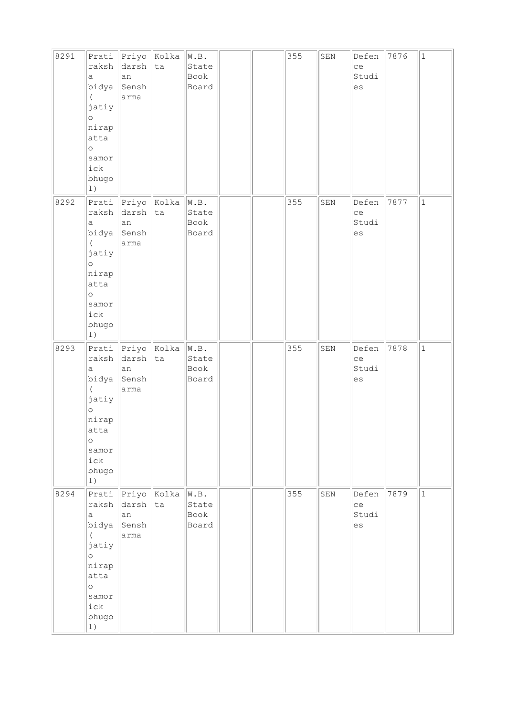| 8291 | raksh<br>a<br>bidya<br>$\left($<br>jatiy<br>$\circ$<br>nirap<br>atta<br>$\circ$<br>samor<br>ick<br>bhugo<br>$\perp$ )          | Prati Priyo Kolka<br>darsh<br>an<br>Sensh<br>arma     | ta          | W.B.<br>State<br>Book<br>Board |  | 355 | SEN | Defen<br>ce<br>Studi<br>es | 7876 | $\mathbf 1$ |
|------|--------------------------------------------------------------------------------------------------------------------------------|-------------------------------------------------------|-------------|--------------------------------|--|-----|-----|----------------------------|------|-------------|
| 8292 | raksh<br>а<br>bidya<br>$\left($<br>jatiy<br>$\circ$<br>nirap<br>atta<br>$\circ$<br>samor<br>ick<br>bhugo<br>1)                 | Prati Priyo Kolka<br>darsh<br>an<br>Sensh<br>arma     | ta          | W.B.<br>State<br>Book<br>Board |  | 355 | SEN | Defen<br>ce<br>Studi<br>es | 7877 | $\mathbf 1$ |
| 8293 | Prati<br>raksh<br>а<br>bidya<br>$\overline{ }$<br>jatiy<br>$\circ$<br>nirap<br>atta<br>$\circ$<br>samor<br>ick<br>bhugo<br>1)  | $\ $ Priyo $\ $ Kolka<br>darsh<br>an<br>Sensh<br>arma | ta          | W.B.<br>State<br>Book<br>Board |  | 355 | SEN | Defen<br>ce<br>Studi<br>es | 7878 | $\mathbf 1$ |
| 8294 | Prati<br>raksh<br>a<br>bidya<br>$\left($<br>jatiy<br>$\circ$<br>nirap<br>atta<br>$\circ$<br>samor<br>ick<br>bhugo<br>$\perp$ ) | Priyo <br>darsh<br>an<br>Sensh<br>arma                | Kolka<br>ta | W.B.<br>State<br>Book<br>Board |  | 355 | SEN | Defen<br>ce<br>Studi<br>es | 7879 | $\mathbf 1$ |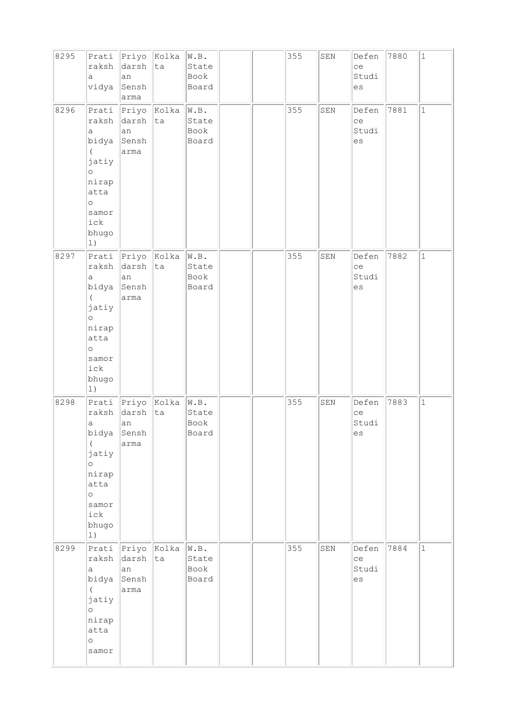| 8295 | Prati<br>raksh<br>a<br>vidya                                                                                             | $\vert$ Priyo $\vert$ Kolka<br>darsh ta<br>an<br>Sensh<br>arma |              | W.B.<br>State<br>Book<br>Board     |  | 355 | ${\tt SEN}$ | Defen<br>ce<br>Studi<br>es | 7880 | $\vert$ 1    |
|------|--------------------------------------------------------------------------------------------------------------------------|----------------------------------------------------------------|--------------|------------------------------------|--|-----|-------------|----------------------------|------|--------------|
| 8296 | Prati<br>raksh<br>a<br>bidya<br>$\left($<br>jatiy<br>$\circ$<br>nirap<br>atta<br>$\circ$<br>samor<br>ick<br>bhugo<br> 1) | $\vert$ Priyo $\vert$ Kolka<br>darsh<br>an<br>Sensh<br>arma    | ta           | W.B.<br>State<br>Book<br>Board     |  | 355 | ${\tt SEN}$ | Defen<br>ce<br>Studi<br>es | 7881 | $\mathbf{1}$ |
| 8297 | raksh<br>a<br>bidya<br>$\overline{ }$<br>jatiy<br>$\circ$<br>nirap<br>atta<br>$\circ$<br>samor<br>ick<br>bhugo<br> 1)    | Prati Priyo Kolka<br>darsh<br>an<br>Sensh<br>arma              | ta           | W.B.<br>State<br>Book<br>Board     |  | 355 | SEN         | Defen<br>ce<br>Studi<br>es | 7882 | $\vert$ 1    |
| 8298 | Prati<br>raksh<br>а<br>bidya<br>$\left($<br>jatiy<br>$\circ$<br>nirap<br>atta<br>$\circ$<br>samor<br>ick<br>bhugo<br> 1) | $\Vert$ Priyo $\Vert$ Kolka<br>darsh<br>an<br>Sensh<br>arma    | ta           | W.B.<br>State<br>Book<br>Board     |  | 355 | SEN         | Defen<br>ce<br>Studi<br>es | 7883 | $\mathbf{1}$ |
| 8299 | Prati<br>raksh<br>$\mathsf{a}$<br>bidya<br>$\left($<br>jatiy<br>$\circ$<br>nirap<br>atta<br>$\circ$<br>samor             | $ $ Priyo<br>darsh<br>lan<br>Sensh<br>arma                     | Kolka<br> ta | $W$ . B.<br>State<br>Book<br>Board |  | 355 | ${\tt SEN}$ | Defen<br>ce<br>Studi<br>es | 7884 | $\mathbf{1}$ |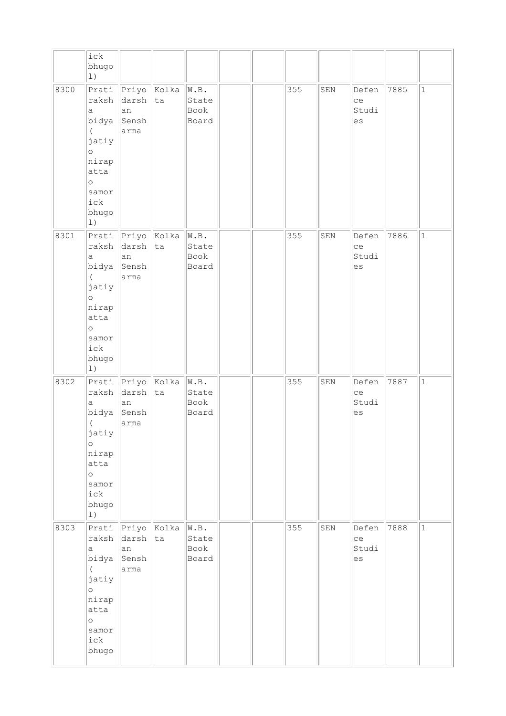|      | ick<br>bhugo<br>$\perp$ )                                                                                                            |                                                             |             |                                |  |     |             |                            |      |              |
|------|--------------------------------------------------------------------------------------------------------------------------------------|-------------------------------------------------------------|-------------|--------------------------------|--|-----|-------------|----------------------------|------|--------------|
| 8300 | Prati<br>raksh<br>а<br>bidya<br>$\overline{ }$<br>jatiy<br>$\circ$<br>nirap<br>atta<br>$\circ$<br>samor<br>ick<br>bhugo<br>$\perp$ ) | Priyo<br>darsh<br>an<br>Sensh<br>arma                       | Kolka<br>ta | W.B.<br>State<br>Book<br>Board |  | 355 | ${\tt SEM}$ | Defen<br>ce<br>Studi<br>es | 7885 | $\mathbf{1}$ |
| 8301 | Prati<br>raksh<br>a<br>bidya<br>$\left($<br>jatiy<br>$\circ$<br>nirap<br>atta<br>$\circ$<br>samor<br>ick<br>bhugo<br> 1)             | Priyo<br>darsh<br>an<br>Sensh<br>arma                       | Kolka<br>ta | W.B.<br>State<br>Book<br>Board |  | 355 | ${\tt SEN}$ | Defen<br>ce<br>Studi<br>es | 7886 | $\mathbf{1}$ |
| 8302 | Prati<br>raksh<br>а<br>bidya<br>$\overline{(}$<br>jatiy<br>$\circ$<br>nirap<br>atta<br>$\circ$<br>samor<br>ick<br>bhugo<br>1)        | $\Vert$ Priyo $\Vert$ Kolka<br>darsh<br>an<br>Sensh<br>arma | ta          | W.B.<br>State<br>Book<br>Board |  | 355 | ${\tt SEN}$ | Defen<br>ce<br>Studi<br>es | 7887 | $\mathbf{1}$ |
| 8303 | Prati<br>raksh<br>a<br>bidya<br>$\left($<br>jatiy<br>$\circ$<br>nirap<br>atta<br>$\circ$<br>samor<br>ick<br>bhugo                    | Priyo<br>darsh<br>an<br>Sensh<br>arma                       | Kolka<br>ta | W.B.<br>State<br>Book<br>Board |  | 355 | ${\tt SEN}$ | Defen<br>ce<br>Studi<br>es | 7888 | $1\,$        |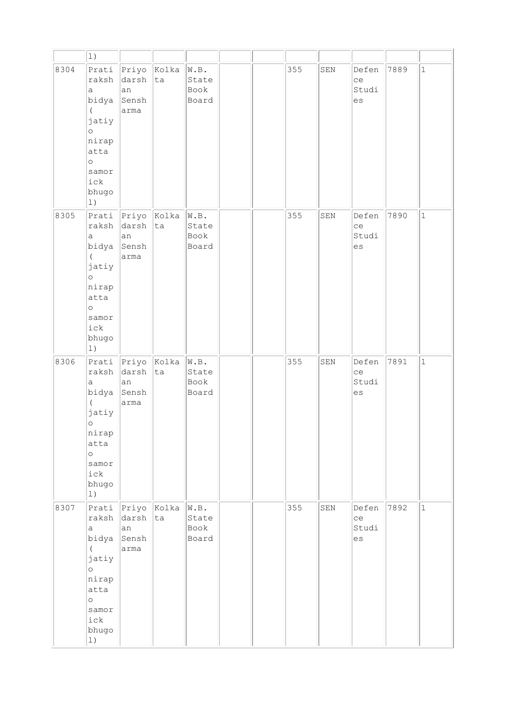|      | $\perp$ )                                                                                                                      |                                                       |              |                                |  |     |     |                            |      |              |
|------|--------------------------------------------------------------------------------------------------------------------------------|-------------------------------------------------------|--------------|--------------------------------|--|-----|-----|----------------------------|------|--------------|
| 8304 | Prati<br>raksh<br>а<br>bidya<br>$\left($<br>jatiy<br>$\circ$<br>nirap<br>atta<br>$\circ$<br>samor<br>ick<br>bhugo<br>$\perp$ ) | Priyo<br>darsh<br>an<br>Sensh<br>arma                 | Kolka<br>ta  | W.B.<br>State<br>Book<br>Board |  | 355 | SEN | Defen<br>ce<br>Studi<br>es | 7889 | $\mathbf 1$  |
| 8305 | raksh<br>a<br>bidya<br>$\overline{ }$<br>jatiy<br>$\circ$<br>nirap<br>atta<br>$\circ$<br>samor<br>ick<br>bhugo<br>1)           | Prati Priyo<br>darsh<br>an<br>Sensh<br>arma           | Kolka<br>ta  | W.B.<br>State<br>Book<br>Board |  | 355 | SEN | Defen<br>ce<br>Studi<br>es | 7890 | $\mathbf{1}$ |
| 8306 | Prati<br>raksh<br>a<br>bidya<br>$\overline{ }$<br>jatiy<br>$\circ$<br>nirap<br>atta<br>$\circ$<br>samor<br>ick<br>bhugo<br>1)  | $\ $ Priyo $\ $ Kolka<br>darsh<br>an<br>Sensh<br>arma | ta           | W.B.<br>State<br>Book<br>Board |  | 355 | SEN | Defen<br>ce<br>Studi<br>es | 7891 | $\mathbf{1}$ |
| 8307 | Prati<br>raksh<br>а<br>bidya<br>$\left($<br>jatiy<br>$\circ$<br>nirap<br>atta<br>$\circ$<br>samor<br>ick<br>bhugo<br>1)        | Priyo <br>darsh<br>an<br>Sensh<br>arma                | Kolka<br> ta | W.B.<br>State<br>Book<br>Board |  | 355 | SEN | Defen<br>ce<br>Studi<br>es | 7892 | $\mathbf 1$  |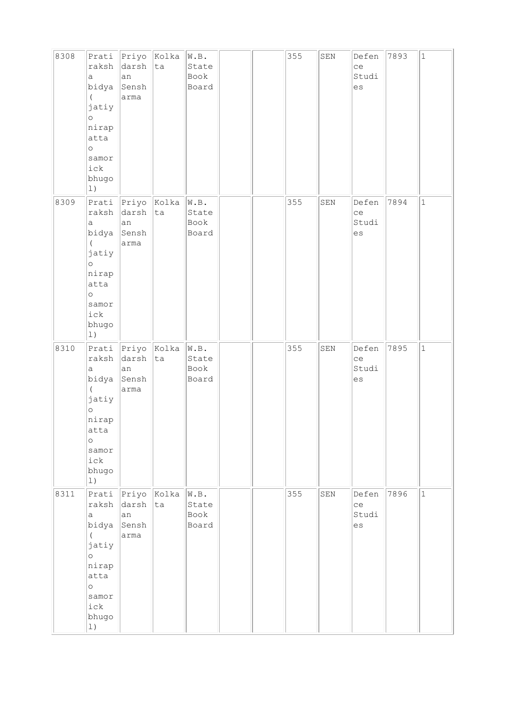| 8308 | raksh<br>a<br>bidya<br>$\left($<br>jatiy<br>$\circ$<br>nirap<br>atta<br>$\circ$<br>samor<br>ick<br>bhugo<br>$\perp$ )   | Prati Priyo Kolka<br>darsh<br>an<br>Sensh<br>arma           | ta | W.B.<br>State<br>Book<br>Board |  | 355 | ${\tt SEN}$ | Defen<br>ce<br>Studi<br>es | 7893 | $\mathbf 1$  |
|------|-------------------------------------------------------------------------------------------------------------------------|-------------------------------------------------------------|----|--------------------------------|--|-----|-------------|----------------------------|------|--------------|
| 8309 | raksh<br>а<br>bidya<br>$\left($<br>jatiy<br>$\circ$<br>nirap<br>atta<br>$\circ$<br>samor<br>ick<br>bhugo<br>1)          | Prati $\ $ Priyo $\ $ Kolka<br>darsh<br>an<br>Sensh<br>arma | ta | W.B.<br>State<br>Book<br>Board |  | 355 | SEN         | Defen<br>ce<br>Studi<br>es | 7894 | $\mathbf 1$  |
| 8310 | Prati<br>raksh<br>а<br>bidya<br>$\left($<br>jatiy<br>$\circ$<br>nirap<br>atta<br>$\circ$<br>samor<br>ick<br>bhugo<br>1) | $\ $ Priyo $\ $ Kolka<br>darsh ta<br>an<br>Sensh<br>arma    |    | W.B.<br>State<br>Book<br>Board |  | 355 | ${\tt SEN}$ | Defen<br>ce<br>Studi<br>es | 7895 | $\mathbf{1}$ |
| 8311 | raksh<br>a<br>bidya<br>$\left($<br>jatiy<br>$\circ$<br>nirap<br>atta<br>$\circ$<br>samor<br>ick<br>bhugo<br>$\perp$ )   | Prati Priyo Kolka<br>darsh<br>an<br>Sensh<br>arma           | ta | W.B.<br>State<br>Book<br>Board |  | 355 | SEN         | Defen<br>ce<br>Studi<br>es | 7896 | $\mathbf 1$  |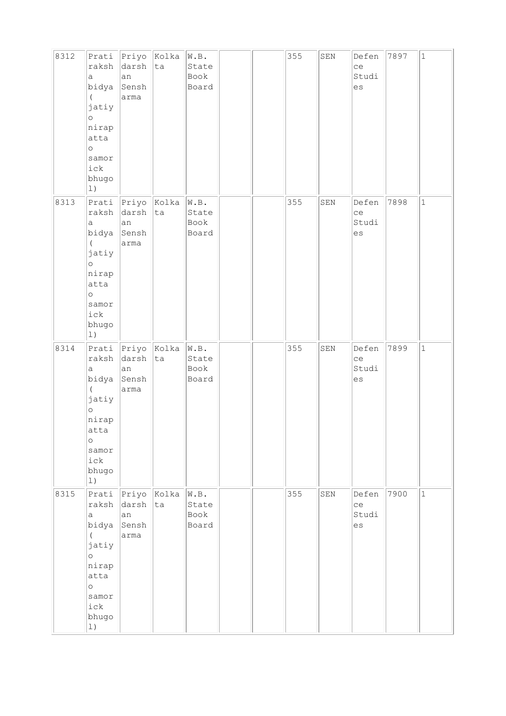| 8312 | raksh<br>a<br>bidya<br>$\left($<br>jatiy<br>$\circ$<br>nirap<br>atta<br>$\circ$<br>samor<br>ick<br>bhugo<br>$\perp$ )   | Prati Priyo Kolka<br>darsh<br>an<br>Sensh<br>arma        | ta | W.B.<br>State<br>Book<br>Board |  | 355 | ${\tt SEN}$ | Defen<br>ce<br>Studi<br>es | 7897 | $\mathbf 1$  |
|------|-------------------------------------------------------------------------------------------------------------------------|----------------------------------------------------------|----|--------------------------------|--|-----|-------------|----------------------------|------|--------------|
| 8313 | raksh<br>а<br>bidya Sensh<br>$\left($<br>jatiy<br>$\circ$<br>nirap<br>atta<br>$\circ$<br>samor<br>ick<br>bhugo<br>1)    | Prati $\ $ Priyo $\ $ Kolka<br>darsh<br>an<br>arma       | ta | W.B.<br>State<br>Book<br>Board |  | 355 | SEN         | Defen<br>ce<br>Studi<br>es | 7898 | $\mathbf 1$  |
| 8314 | Prati<br>raksh<br>а<br>bidya<br>$\left($<br>jatiy<br>$\circ$<br>nirap<br>atta<br>$\circ$<br>samor<br>ick<br>bhugo<br>1) | $\ $ Priyo $\ $ Kolka<br>darsh ta<br>an<br>Sensh<br>arma |    | W.B.<br>State<br>Book<br>Board |  | 355 | ${\tt SEN}$ | Defen<br>ce<br>Studi<br>es | 7899 | $\mathbf{1}$ |
| 8315 | raksh<br>a<br>bidya<br>$\left($<br>jatiy<br>$\circ$<br>nirap<br>atta<br>$\circ$<br>samor<br>ick<br>bhugo<br>$\perp$ )   | Prati Priyo Kolka<br>darsh<br>an<br>Sensh<br>arma        | ta | W.B.<br>State<br>Book<br>Board |  | 355 | SEN         | Defen<br>ce<br>Studi<br>es | 7900 | $\mathbf 1$  |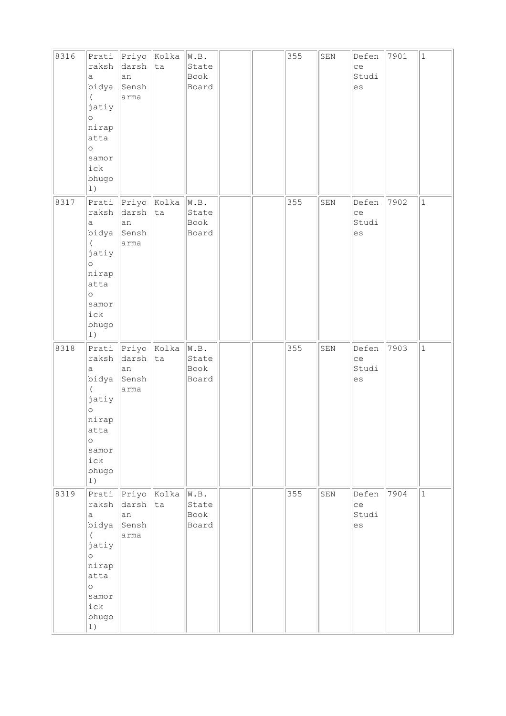| 8316 | raksh<br>a<br>bidya<br>$\left($<br>jatiy<br>$\circ$<br>nirap<br>atta<br>$\circ$<br>samor<br>ick<br>bhugo<br>$\perp$ )   | Prati Priyo Kolka<br>darsh<br>an<br>Sensh<br>arma           | ta | W.B.<br>State<br>Book<br>Board |  | 355 | ${\tt SEN}$ | Defen<br>ce<br>Studi<br>es | 7901 | $\mathbf 1$  |
|------|-------------------------------------------------------------------------------------------------------------------------|-------------------------------------------------------------|----|--------------------------------|--|-----|-------------|----------------------------|------|--------------|
| 8317 | raksh<br>а<br>bidya<br>$\left($<br>jatiy<br>$\circ$<br>nirap<br>atta<br>$\circ$<br>samor<br>ick<br>bhugo<br>1)          | Prati $\ $ Priyo $\ $ Kolka<br>darsh<br>an<br>Sensh<br>arma | ta | W.B.<br>State<br>Book<br>Board |  | 355 | SEN         | Defen<br>ce<br>Studi<br>es | 7902 | $\mathbf 1$  |
| 8318 | Prati<br>raksh<br>а<br>bidya<br>$\left($<br>jatiy<br>$\circ$<br>nirap<br>atta<br>$\circ$<br>samor<br>ick<br>bhugo<br>1) | $\ $ Priyo $\ $ Kolka<br>darsh ta<br>an<br>Sensh<br>arma    |    | W.B.<br>State<br>Book<br>Board |  | 355 | ${\tt SEN}$ | Defen<br>ce<br>Studi<br>es | 7903 | $\mathbf{1}$ |
| 8319 | raksh<br>a<br>bidya<br>$\left($<br>jatiy<br>$\circ$<br>nirap<br>atta<br>$\circ$<br>samor<br>ick<br>bhugo<br>$\perp$ )   | Prati Priyo Kolka<br>darsh<br>an<br>Sensh<br>arma           | ta | W.B.<br>State<br>Book<br>Board |  | 355 | SEN         | Defen<br>ce<br>Studi<br>es | 7904 | $\mathbf{1}$ |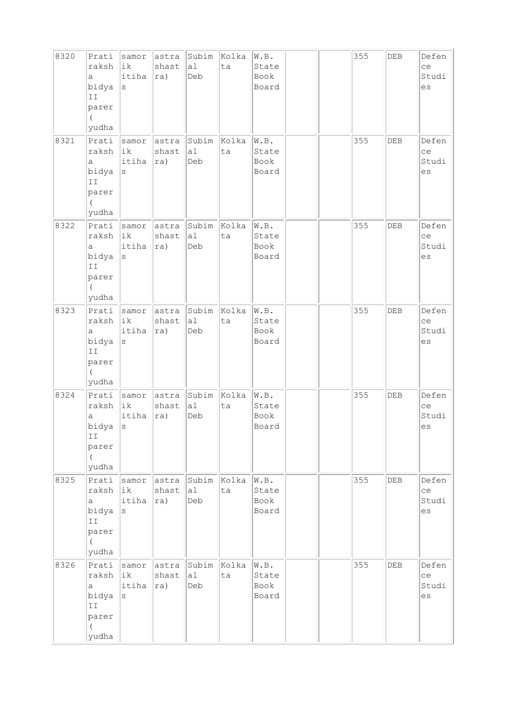| 8320 | Prati<br>raksh<br>а<br>bidya<br>II<br>parer<br>yudha                                            | samor<br>ik<br>itiha<br>$\rm s$      | astra<br>shast<br>ra) | Subim<br>a1<br>${\tt Deb}$ | Kolka<br>ta | W.B.<br>State<br>Book<br>Board |  | 355 | DEB         | Defen<br>ce<br>Studi<br>es |
|------|-------------------------------------------------------------------------------------------------|--------------------------------------|-----------------------|----------------------------|-------------|--------------------------------|--|-----|-------------|----------------------------|
| 8321 | Prati<br>raksh<br>а<br>bidya<br>II<br>parer<br>$\left($<br>yudha                                | samor<br>ik<br>itiha<br>$\rm s$      | astra<br>shast<br>ra) | Subim<br>a1<br>Deb         | Kolka<br>ta | W.B.<br>State<br>Book<br>Board |  | 355 | DEB         | Defen<br>ce<br>Studi<br>es |
| 8322 | Prati<br>raksh<br>a<br>bidya<br>II<br>parer<br>$\overline{ }$<br>yudha                          | samor<br>ik<br>itiha<br>$\rm s$      | astra<br>shast<br>ra) | Subim<br>a1<br>Deb         | Kolka<br>ta | W.B.<br>State<br>Book<br>Board |  | 355 | ${\rm DEB}$ | Defen<br>ce<br>Studi<br>es |
| 8323 | Prati<br>raksh<br>а<br>bidya<br>II<br>parer<br>yudha                                            | samor<br>ik<br>itiha<br>$\rm s$      | astra<br>shast<br>ra) | Subim<br>a1<br>Deb         | Kolka<br>ta | W.B.<br>State<br>Book<br>Board |  | 355 | ${\rm DEB}$ | Defen<br>ce<br>Studi<br>es |
| 8324 | Prati<br>raksh<br>а<br>bidya<br>II<br>parer<br>$\left($<br>yudha                                | samor<br>ik<br>itiha<br>$\mathbb S$  | astra<br>shast<br>ra) | Subim<br>a1<br>Deb         | Kolka<br>ta | W.B.<br>State<br>Book<br>Board |  | 355 | ${\rm DEB}$ | Defen<br>ce<br>Studi<br>es |
| 8325 | Prati<br>raksh<br>a<br>bidya<br>II<br>parer<br>$\left($<br>yudha                                | samor<br>ik<br>itiha<br>$\rm s$      | astra<br>shast<br>ra) | Subim<br>a1<br>Deb         | Kolka<br>ta | W.B.<br>State<br>Book<br>Board |  | 355 | ${\rm DEB}$ | Defen<br>ce<br>Studi<br>es |
| 8326 | Prati<br>raksh<br>а<br>bidya<br>$\mathbbm{I}$ $\mathbbm{I}$<br>parer<br>$\overline{(}$<br>yudha | samor<br>ik<br>itiha<br>$\mathtt{s}$ | astra<br>shast<br>ra) | Subim<br>a1<br>Deb         | Kolka<br>ta | W.B.<br>State<br>Book<br>Board |  | 355 | DEB         | Defen<br>ce<br>Studi<br>es |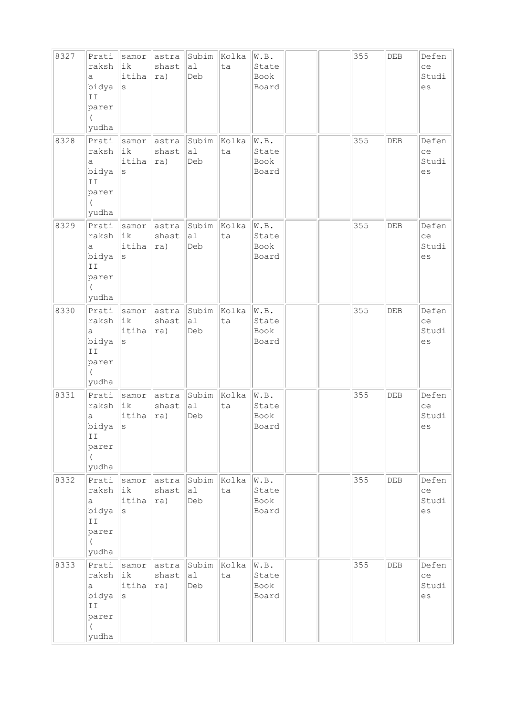| 8327 | Prati<br>raksh<br>а<br>bidya<br>II<br>parer<br>yudha                                            | samor<br>ik<br>itiha<br>$\rm s$      | astra<br>shast<br>ra) | Subim<br>a1<br>${\tt Deb}$ | Kolka<br>ta | W.B.<br>State<br>Book<br>Board |  | 355 | DEB         | Defen<br>ce<br>Studi<br>es |
|------|-------------------------------------------------------------------------------------------------|--------------------------------------|-----------------------|----------------------------|-------------|--------------------------------|--|-----|-------------|----------------------------|
| 8328 | Prati<br>raksh<br>а<br>bidya<br>II<br>parer<br>$\left($<br>yudha                                | samor<br>ik<br>itiha<br>$\rm s$      | astra<br>shast<br>ra) | Subim<br>a1<br>Deb         | Kolka<br>ta | W.B.<br>State<br>Book<br>Board |  | 355 | DEB         | Defen<br>ce<br>Studi<br>es |
| 8329 | Prati<br>raksh<br>a<br>bidya<br>II<br>parer<br>$\overline{ }$<br>yudha                          | samor<br>ik<br>itiha<br>$\rm s$      | astra<br>shast<br>ra) | Subim<br>a1<br>Deb         | Kolka<br>ta | W.B.<br>State<br>Book<br>Board |  | 355 | ${\rm DEB}$ | Defen<br>ce<br>Studi<br>es |
| 8330 | Prati<br>raksh<br>а<br>bidya<br>II<br>parer<br>yudha                                            | samor<br>ik<br>itiha<br>$\rm s$      | astra<br>shast<br>ra) | Subim<br>a1<br>Deb         | Kolka<br>ta | W.B.<br>State<br>Book<br>Board |  | 355 | ${\rm DEB}$ | Defen<br>ce<br>Studi<br>es |
| 8331 | Prati<br>raksh<br>а<br>bidya<br>II<br>parer<br>$\left($<br>yudha                                | samor<br>ik<br>itiha<br>$\mathbb S$  | astra<br>shast<br>ra) | Subim<br>a1<br>Deb         | Kolka<br>ta | W.B.<br>State<br>Book<br>Board |  | 355 | ${\rm DEB}$ | Defen<br>ce<br>Studi<br>es |
| 8332 | Prati<br>raksh<br>a<br>bidya<br>II<br>parer<br>$\left($<br>yudha                                | samor<br>ik<br>itiha<br>$\rm s$      | astra<br>shast<br>ra) | Subim<br>a1<br>Deb         | Kolka<br>ta | W.B.<br>State<br>Book<br>Board |  | 355 | ${\rm DEB}$ | Defen<br>ce<br>Studi<br>es |
| 8333 | Prati<br>raksh<br>а<br>bidya<br>$\mathbbm{I}$ $\mathbbm{I}$<br>parer<br>$\overline{(}$<br>yudha | samor<br>ik<br>itiha<br>$\mathtt{s}$ | astra<br>shast<br>ra) | Subim<br>a1<br>Deb         | Kolka<br>ta | W.B.<br>State<br>Book<br>Board |  | 355 | DEB         | Defen<br>ce<br>Studi<br>es |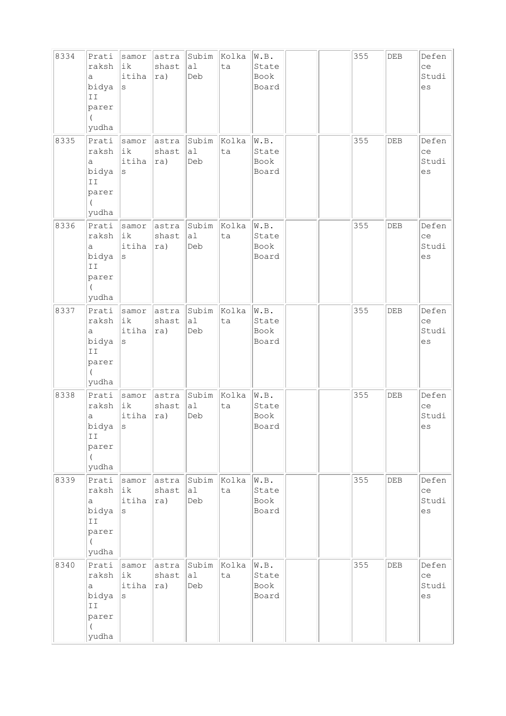| 8334 | Prati<br>raksh<br>а<br>bidya<br>II<br>parer<br>yudha                                            | samor<br>ik<br>itiha<br>$\rm s$      | astra<br>shast<br>ra) | Subim<br>a1<br>${\tt Deb}$ | Kolka<br>ta | W.B.<br>State<br>Book<br>Board |  | 355 | DEB         | Defen<br>ce<br>Studi<br>es |
|------|-------------------------------------------------------------------------------------------------|--------------------------------------|-----------------------|----------------------------|-------------|--------------------------------|--|-----|-------------|----------------------------|
| 8335 | Prati<br>raksh<br>а<br>bidya<br>II<br>parer<br>$\left($<br>yudha                                | samor<br>ik<br>itiha<br>$\rm s$      | astra<br>shast<br>ra) | Subim<br>a1<br>Deb         | Kolka<br>ta | W.B.<br>State<br>Book<br>Board |  | 355 | DEB         | Defen<br>ce<br>Studi<br>es |
| 8336 | Prati<br>raksh<br>a<br>bidya<br>II<br>parer<br>$\overline{ }$<br>yudha                          | samor<br>ik<br>itiha<br>$\rm s$      | astra<br>shast<br>ra) | Subim<br>a1<br>Deb         | Kolka<br>ta | W.B.<br>State<br>Book<br>Board |  | 355 | ${\rm DEB}$ | Defen<br>ce<br>Studi<br>es |
| 8337 | Prati<br>raksh<br>а<br>bidya<br>II<br>parer<br>yudha                                            | samor<br>ik<br>itiha<br>$\rm s$      | astra<br>shast<br>ra) | Subim<br>a1<br>Deb         | Kolka<br>ta | W.B.<br>State<br>Book<br>Board |  | 355 | ${\rm DEB}$ | Defen<br>ce<br>Studi<br>es |
| 8338 | Prati<br>raksh<br>а<br>bidya<br>II<br>parer<br>$\left($<br>yudha                                | samor<br>ik<br>itiha<br>$\mathbb S$  | astra<br>shast<br>ra) | Subim<br>a1<br>Deb         | Kolka<br>ta | W.B.<br>State<br>Book<br>Board |  | 355 | ${\rm DEB}$ | Defen<br>ce<br>Studi<br>es |
| 8339 | Prati<br>raksh<br>a<br>bidya<br>II<br>parer<br>$\left($<br>yudha                                | samor<br>ik<br>itiha<br>$\rm s$      | astra<br>shast<br>ra) | Subim<br>a1<br>Deb         | Kolka<br>ta | W.B.<br>State<br>Book<br>Board |  | 355 | ${\rm DEB}$ | Defen<br>ce<br>Studi<br>es |
| 8340 | Prati<br>raksh<br>а<br>bidya<br>$\mathbbm{I}$ $\mathbbm{I}$<br>parer<br>$\overline{(}$<br>yudha | samor<br>ik<br>itiha<br>$\mathtt{s}$ | astra<br>shast<br>ra) | Subim<br>a1<br>Deb         | Kolka<br>ta | W.B.<br>State<br>Book<br>Board |  | 355 | DEB         | Defen<br>ce<br>Studi<br>es |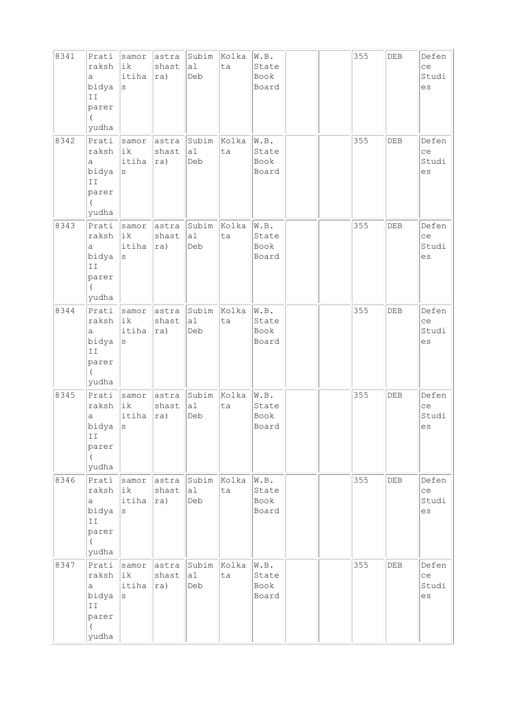| 8341 | Prati<br>raksh<br>а<br>bidya<br>II<br>parer<br>yudha                                            | samor<br>ik<br>itiha<br>$\rm s$      | astra<br>shast<br>ra) | Subim<br>a1<br>${\tt Deb}$ | Kolka<br>ta | W.B.<br>State<br>Book<br>Board |  | 355 | DEB         | Defen<br>ce<br>Studi<br>es |
|------|-------------------------------------------------------------------------------------------------|--------------------------------------|-----------------------|----------------------------|-------------|--------------------------------|--|-----|-------------|----------------------------|
| 8342 | Prati<br>raksh<br>а<br>bidya<br>II<br>parer<br>$\left($<br>yudha                                | samor<br>ik<br>itiha<br>$\rm s$      | astra<br>shast<br>ra) | Subim<br>a1<br>Deb         | Kolka<br>ta | W.B.<br>State<br>Book<br>Board |  | 355 | DEB         | Defen<br>ce<br>Studi<br>es |
| 8343 | Prati<br>raksh<br>a<br>bidya<br>II<br>parer<br>$\overline{ }$<br>yudha                          | samor<br>ik<br>itiha<br>$\rm s$      | astra<br>shast<br>ra) | Subim<br>a1<br>Deb         | Kolka<br>ta | W.B.<br>State<br>Book<br>Board |  | 355 | ${\rm DEB}$ | Defen<br>ce<br>Studi<br>es |
| 8344 | Prati<br>raksh<br>а<br>bidya<br>II<br>parer<br>yudha                                            | samor<br>ik<br>itiha<br>$\rm s$      | astra<br>shast<br>ra) | Subim<br>a1<br>Deb         | Kolka<br>ta | W.B.<br>State<br>Book<br>Board |  | 355 | ${\tt DEB}$ | Defen<br>ce<br>Studi<br>es |
| 8345 | Prati<br>raksh<br>а<br>bidya<br>II<br>parer<br>$\left($<br>yudha                                | samor<br>ik<br>itiha<br>$\mathbb S$  | astra<br>shast<br>ra) | Subim<br>a1<br>Deb         | Kolka<br>ta | W.B.<br>State<br>Book<br>Board |  | 355 | ${\tt DEB}$ | Defen<br>ce<br>Studi<br>es |
| 8346 | Prati<br>raksh<br>a<br>bidya<br>II<br>parer<br>$\left($<br>yudha                                | samor<br>ik<br>itiha<br>$\rm s$      | astra<br>shast<br>ra) | Subim<br>a1<br>Deb         | Kolka<br>ta | W.B.<br>State<br>Book<br>Board |  | 355 | ${\rm DEB}$ | Defen<br>ce<br>Studi<br>es |
| 8347 | Prati<br>raksh<br>а<br>bidya<br>$\mathbbm{I}$ $\mathbbm{I}$<br>parer<br>$\overline{(}$<br>yudha | samor<br>ik<br>itiha<br>$\mathtt{s}$ | astra<br>shast<br>ra) | Subim<br>a1<br>Deb         | Kolka<br>ta | W.B.<br>State<br>Book<br>Board |  | 355 | DEB         | Defen<br>ce<br>Studi<br>es |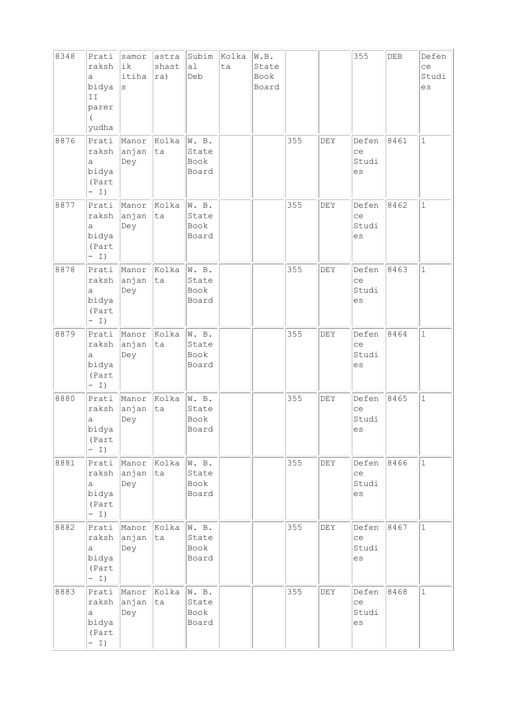| 8348 | Prati<br>raksh<br>а<br>bidya<br>II<br>parer<br>yudha | samor<br> ik<br>itiha<br>$\rm s$ | astra<br>shast<br>ra) | Subim<br>a <sub>1</sub><br>Deb  | Kolka<br>ta | W.B.<br>State<br>Book<br>Board |     |                             | 355                        | DEB  | Defen<br>ce<br>Studi<br>es |
|------|------------------------------------------------------|----------------------------------|-----------------------|---------------------------------|-------------|--------------------------------|-----|-----------------------------|----------------------------|------|----------------------------|
| 8876 | Prati<br>raksh<br>а<br>bidya<br>(Part<br>$- I)$      | Manor<br>anjan<br>Dey            | Kolka<br>ta           | W. B.<br>State<br>Book<br>Board |             |                                | 355 | DEY                         | Defen<br>ce<br>Studi<br>es | 8461 | $\mathbf{1}$               |
| 8877 | Prati<br>raksh<br>a<br>bidya<br>(Part<br>$- I)$      | Manor<br>anjan<br>Dey            | Kolka<br>ta           | W. B.<br>State<br>Book<br>Board |             |                                | 355 | DEY                         | Defen<br>ce<br>Studi<br>es | 8462 | $\mathbf{1}$               |
| 8878 | Prati<br>raksh<br>а<br>bidya<br>(Part<br>$- I)$      | Manor<br>anjan<br>Dey            | Kolka<br>ta           | W. B.<br>State<br>Book<br>Board |             |                                | 355 | $\mathop{\rm DEY}\nolimits$ | Defen<br>ce<br>Studi<br>es | 8463 | $\mathbf{1}$               |
| 8879 | Prati<br>raksh<br>а<br>bidya<br>(Part<br>$- I)$      | Manor<br>anjan<br>Dey            | Kolka<br>ta           | W. B.<br>State<br>Book<br>Board |             |                                | 355 | DEY                         | Defen<br>ce<br>Studi<br>es | 8464 | $\mathbf{1}$               |
| 8880 | Prati<br>raksh<br>а<br>bidya<br>(Part<br>$- I)$      | Manor<br>anjan<br>Dey            | Kolka<br>ta           | W. B.<br>State<br>Book<br>Board |             |                                | 355 | <b>DEY</b>                  | Defen<br>ce<br>Studi<br>es | 8465 | $\mathbf 1$                |
| 8881 | Prati<br>raksh<br>а<br>bidya<br>(Part<br>$- I)$      | Manor<br>anjan<br>Dey            | Kolka<br>ta           | W. B.<br>State<br>Book<br>Board |             |                                | 355 | DEY                         | Defen<br>ce<br>Studi<br>es | 8466 | $\mathbf 1$                |
| 8882 | Prati<br>raksh<br>a<br>bidya<br>(Part<br>$- I)$      | Manor<br>anjan<br>Dey            | Kolka<br>ta           | W. B.<br>State<br>Book<br>Board |             |                                | 355 | $\mathop{\rm DEY}\nolimits$ | Defen<br>ce<br>Studi<br>es | 8467 | $\mathbf{1}$               |
| 8883 | Prati<br>raksh<br>а<br>bidya<br>(Part<br>$- I)$      | Manor<br>anjan<br>Dey            | $ $ Kolka<br>ta       | W. B.<br>State<br>Book<br>Board |             |                                | 355 | DEY                         | Defen<br>ce<br>Studi<br>es | 8468 | $\mathbf{1}$               |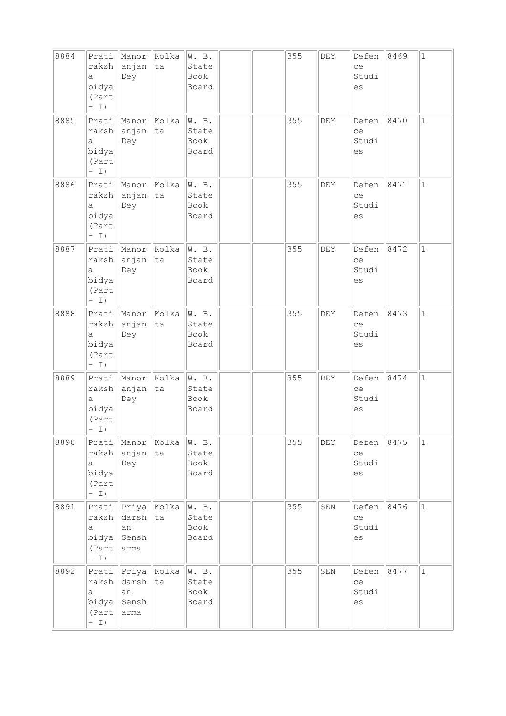| 8884 | Prati<br>raksh<br>а<br>bidya<br>(Part<br>$- I)$ | Manor<br>anjan<br>Dey                                | Kolka<br>ta | W. B.<br>State<br>Book<br>Board |  | 355 | DEY                         | Defen<br>ce<br>Studi<br>es | 8469 | $\mathbf{1}$ |
|------|-------------------------------------------------|------------------------------------------------------|-------------|---------------------------------|--|-----|-----------------------------|----------------------------|------|--------------|
| 8885 | Prati<br>raksh<br>а<br>bidya<br>(Part<br>$- I)$ | Manor<br>anjan<br>Dey                                | Kolka<br>ta | W. B.<br>State<br>Book<br>Board |  | 355 | <b>DEY</b>                  | Defen<br>ce<br>Studi<br>es | 8470 | 1            |
| 8886 | Prati<br>raksh<br>a<br>bidya<br>(Part<br>$- I)$ | Manor<br>anjan<br>Dey                                | Kolka<br>ta | W. B.<br>State<br>Book<br>Board |  | 355 | $\mathop{\rm DEY}\nolimits$ | Defen<br>ce<br>Studi<br>es | 8471 | $\mathbf{1}$ |
| 8887 | Prati<br>raksh<br>а<br>bidya<br>(Part<br>$- I)$ | Manor<br>anjan<br>Dey                                | Kolka<br>ta | W. B.<br>State<br>Book<br>Board |  | 355 | <b>DEY</b>                  | Defen<br>ce<br>Studi<br>es | 8472 | $\mathbf{1}$ |
| 8888 | Prati<br>raksh<br>а<br>bidya<br>(Part<br>$- I)$ | Manor<br>anjan<br>Dey                                | Kolka<br>ta | W. B.<br>State<br>Book<br>Board |  | 355 | DEY                         | Defen<br>ce<br>Studi<br>es | 8473 | $\mathbf{1}$ |
| 8889 | Prati<br>raksh<br>а<br>bidya<br>(Part<br>- I)   | Manor<br>anjan<br>Dey                                | Kolka<br>ta | W. B.<br>State<br>Book<br>Board |  | 355 | <b>DEY</b>                  | Defen<br>ce<br>Studi<br>es | 8474 | $\mathbf 1$  |
| 8890 | а<br>bidya<br>(Part<br>$- I)$                   | Prati Manor<br>raksh anjan<br>Dey                    | Kolka<br>ta | W. B.<br>State<br>Book<br>Board |  | 355 | DEY                         | Defen<br>ce<br>Studi<br>es | 8475 | $1\,$        |
| 8891 | raksh<br>а<br>bidya<br>(Part arma<br>$- I)$     | Prati Priya Kolka<br>darsh ta<br>an<br>Sensh         |             | W. B.<br>State<br>Book<br>Board |  | 355 | ${\tt SEN}$                 | Defen<br>ce<br>Studi<br>es | 8476 | $\mathbf{1}$ |
| 8892 | raksh<br>а<br>bidya<br>(Part<br>$- I)$          | Prati Priya Kolka<br>darsh ta<br>an<br>Sensh<br>arma |             | W. B.<br>State<br>Book<br>Board |  | 355 | SEN                         | Defen<br>ce<br>Studi<br>es | 8477 | $\mathbf{1}$ |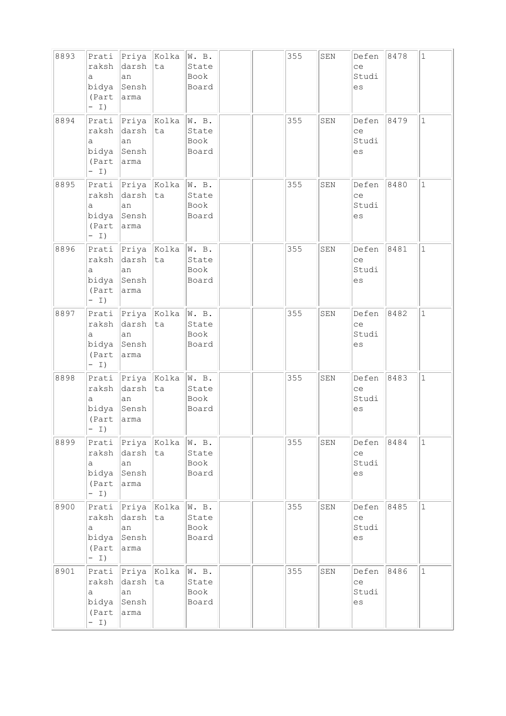| 8893 | а<br>(Part arma<br>$- I)$                                    | Prati Priya Kolka<br>raksh darsh ta<br>an<br>bidya Sensh                | W. B.<br>State<br>Book<br>Board |  | 355 | ${\tt SEN}$ | Defen<br>ce<br>Studi<br>es | 8478 | $\mathbf{1}$ |
|------|--------------------------------------------------------------|-------------------------------------------------------------------------|---------------------------------|--|-----|-------------|----------------------------|------|--------------|
| 8894 | raksh<br>а<br>(Part arma<br>$- I)$                           | Prati $\Pr$ iya Kolka $\ $ W. B.<br>darsh ta<br>an<br>bidya Sensh       | State<br>Book<br>Board          |  | 355 | SEN         | Defen<br>ce<br>Studi<br>es | 8479 | $\mathbf{1}$ |
| 8895 | raksh<br>а<br>(Part arma<br>$- I)$                           | Prati Priya Kolka W. B.<br>darsh ta<br>an<br>bidya Sensh                | State<br>Book<br>Board          |  | 355 | ${\tt SEM}$ | Defen<br>ce<br>Studi<br>es | 8480 | $\mathbf{1}$ |
| 8896 | а<br>(Part arma<br>$- I)$                                    | Prati $\Pr$ iya Kolka $\ $ W. B.<br>raksh darsh ta<br>an<br>bidya Sensh | State<br>Book<br>Board          |  | 355 | SEN         | Defen<br>ce<br>Studi<br>es | 8481 | $\mathbf{1}$ |
| 8897 | raksh<br>а<br>(Part<br>$- I)$                                | Prati Priya Kolka<br>darsh ta<br>an<br>bidya Sensh<br>arma              | W. B.<br>State<br>Book<br>Board |  | 355 | ${\tt SEM}$ | Defen<br>ce<br>Studi<br>es | 8482 | $\mathbf{1}$ |
| 8898 | raksh<br>а<br>(Part<br>$\begin{vmatrix} - & I \end{vmatrix}$ | Prati   Priya   Kolka  <br>darsh ta<br>an<br>bidya Sensh<br> arma       | W. B.<br>State<br>Book<br>Board |  | 355 | SEN         | Defen<br>ce<br>Studi<br>es | 8483 | 1            |
| 8899 | а<br>(Part arma<br>$- I)$                                    | Prati $\Pr$ iya Kolka $\ $ W. B.<br>raksh darsh ta<br>an<br>bidya Sensh | State<br>Book<br>Board          |  | 355 | SEN         | Defen<br>ce<br>Studi<br>es | 8484 | $\mathbf{1}$ |
| 8900 | raksh<br>a<br>(Part arma<br>$- I)$                           | Prati Priya Kolka<br>darsh ta<br>lan<br>bidya Sensh                     | W. B.<br>State<br>Book<br>Board |  | 355 | SEN         | Defen<br>ce<br>Studi<br>es | 8485 | $\mathbf 1$  |
| 8901 | raksh<br>а<br>(Part arma<br>$- I)$                           | Prati   Priya   Kolka  <br>darsh ta<br>an<br>bidya Sensh                | W. B.<br>State<br>Book<br>Board |  | 355 | SEN         | Defen<br>ce<br>Studi<br>es | 8486 | $\mathbf 1$  |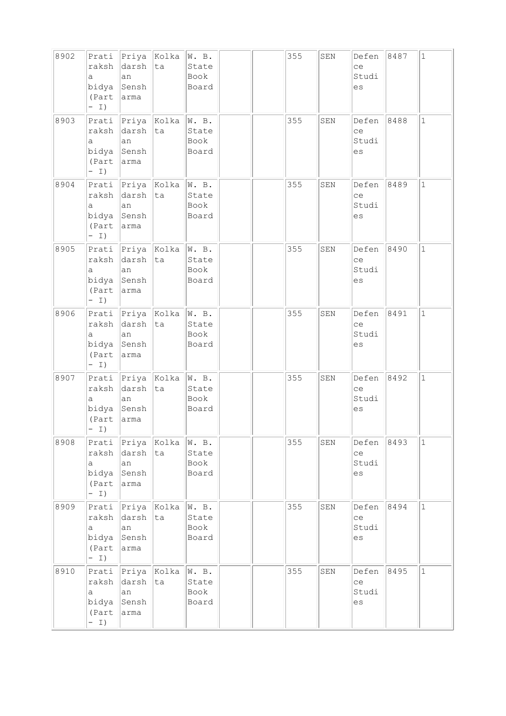| 8902 | а<br>(Part arma<br>$- I)$          | Prati Priya Kolka<br>raksh darsh ta<br>an<br>bidya Sensh                | W. B.<br>State<br>Book<br>Board |  | 355 | ${\tt SEN}$ | Defen<br>ce<br>Studi<br>es | 8487 | $\mathbf{1}$ |
|------|------------------------------------|-------------------------------------------------------------------------|---------------------------------|--|-----|-------------|----------------------------|------|--------------|
| 8903 | raksh<br>а<br>(Part arma<br>$- I)$ | Prati $\Pr$ iya Kolka $\ $ W. B.<br>darsh ta<br>an<br>bidya Sensh       | State<br>Book<br>Board          |  | 355 | SEN         | Defen<br>ce<br>Studi<br>es | 8488 | $\mathbf 1$  |
| 8904 | raksh<br>а<br>(Part arma<br>$- I)$ | Prati Priya Kolka W. B.<br>darsh ta<br>an<br>bidya Sensh                | State<br>Book<br>Board          |  | 355 | ${\tt SEM}$ | Defen<br>ce<br>Studi<br>es | 8489 | $\mathbf{1}$ |
| 8905 | а<br>(Part arma<br>$- I)$          | Prati $\Pr$ iya Kolka $\ $ W. B.<br>raksh darsh ta<br>an<br>bidya Sensh | State<br>Book<br>Board          |  | 355 | SEN         | Defen<br>ce<br>Studi<br>es | 8490 | $\mathbf{1}$ |
| 8906 | raksh<br>а<br>(Part<br>$- I)$      | Prati Priya Kolka<br>darsh ta<br>an<br>bidya Sensh<br>arma              | W. B.<br>State<br>Book<br>Board |  | 355 | ${\tt SEM}$ | Defen<br>ce<br>Studi<br>es | 8491 | $\mathbf{1}$ |
| 8907 | raksh<br>а<br>(Part<br>$- I$ )     | Prati   Priya   Kolka  <br>darsh ta<br>an<br>bidya Sensh<br> arma       | W. B.<br>State<br>Book<br>Board |  | 355 | SEN         | Defen<br>ce<br>Studi<br>es | 8492 | 1            |
| 8908 | а<br>(Part arma<br>$- I)$          | Prati $\Pr$ iya Kolka $\ $ W. B.<br>raksh darsh ta<br>an<br>bidya Sensh | State<br>Book<br>Board          |  | 355 | SEN         | Defen<br>ce<br>Studi<br>es | 8493 | $\mathbf{1}$ |
| 8909 | raksh<br>a<br>(Part arma<br>$- I)$ | Prati Priya Kolka<br>darsh ta<br>lan<br>bidya Sensh                     | W. B.<br>State<br>Book<br>Board |  | 355 | SEN         | Defen<br>ce<br>Studi<br>es | 8494 | $\mathbf 1$  |
| 8910 | raksh<br>а<br>(Part arma<br>$- I)$ | Prati   Priya   Kolka  <br>darsh ta<br>an<br>bidya Sensh                | W. B.<br>State<br>Book<br>Board |  | 355 | SEN         | Defen<br>ce<br>Studi<br>es | 8495 | $\mathbf 1$  |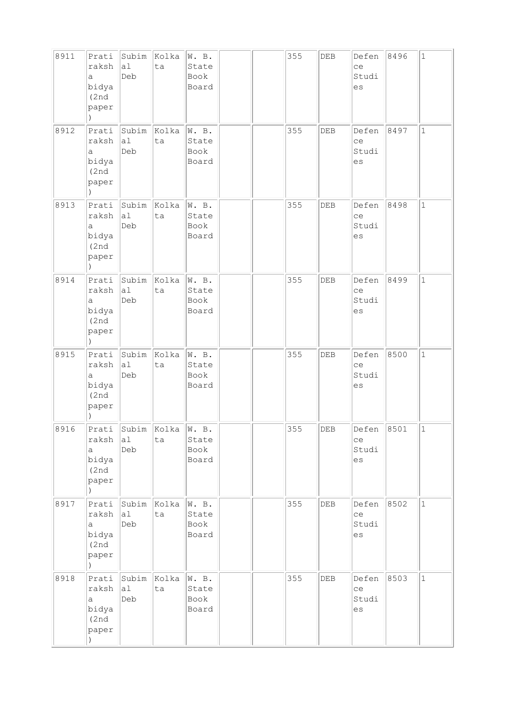| 8911 | Prati<br>raksh<br>a<br>bidya<br>(2nd)<br>paper | Subim<br> a1 <br>Deb             | Kolka<br>ta | W. B.<br>State<br>Book<br>Board |  | 355 | ${\rm DEB}$ | Defen<br>ce<br>Studi<br>es | 8496 | $\mathbf{1}$ |
|------|------------------------------------------------|----------------------------------|-------------|---------------------------------|--|-----|-------------|----------------------------|------|--------------|
| 8912 | Prati<br>raksh<br>a<br>bidya<br>(2nd)<br>paper | Subim<br> a1 <br>Deb             | Kolka<br>ta | W. B.<br>State<br>Book<br>Board |  | 355 | DEB         | Defen<br>ce<br>Studi<br>es | 8497 | $\mathbf{1}$ |
| 8913 | Prati<br>raksh<br>a<br>bidya<br>(2nd)<br>paper | Subim<br>al<br>Deb               | Kolka<br>ta | W. B.<br>State<br>Book<br>Board |  | 355 | ${\rm DEB}$ | Defen<br>ce<br>Studi<br>es | 8498 | $\mathbf{1}$ |
| 8914 | Prati<br>raksh<br>a<br>bidya<br>(2nd)<br>paper | Subim<br> al<br>Deb              | Kolka<br>ta | W. B.<br>State<br>Book<br>Board |  | 355 | DEB         | Defen<br>ce<br>Studi<br>es | 8499 | $\mathbf{1}$ |
| 8915 | Prati<br>raksh<br>а<br>bidya<br>(2nd)<br>paper | Subim<br> a1 <br>Deb             | Kolka<br>ta | W. B.<br>State<br>Book<br>Board |  | 355 | DEB         | Defen<br>ce<br>Studi<br>es | 8500 | $\mathbf{1}$ |
| 8916 | raksh<br>a<br>bidya<br>(2nd)<br>paper          | Prati Subim Kolka<br> a1 <br>Deb | ta          | W. B.<br>State<br>Book<br>Board |  | 355 | DEB         | Defen<br>ce<br>Studi<br>es | 8501 | $\vert$ 1    |
| 8917 | Prati<br>raksh<br>а<br>bidya<br>(2nd)<br>paper | Subim<br> a1 <br>Deb             | Kolka<br>ta | W. B.<br>State<br>Book<br>Board |  | 355 | DEB         | Defen<br>ce<br>Studi<br>es | 8502 | $\mathbf{1}$ |
| 8918 | Prati<br>raksh<br>а<br>bidya<br>(2nd)<br>paper | Subim<br> a1 <br>Deb             | Kolka<br>ta | W. B.<br>State<br>Book<br>Board |  | 355 | ${\rm DEB}$ | Defen<br>ce<br>Studi<br>es | 8503 | $\mathbf{1}$ |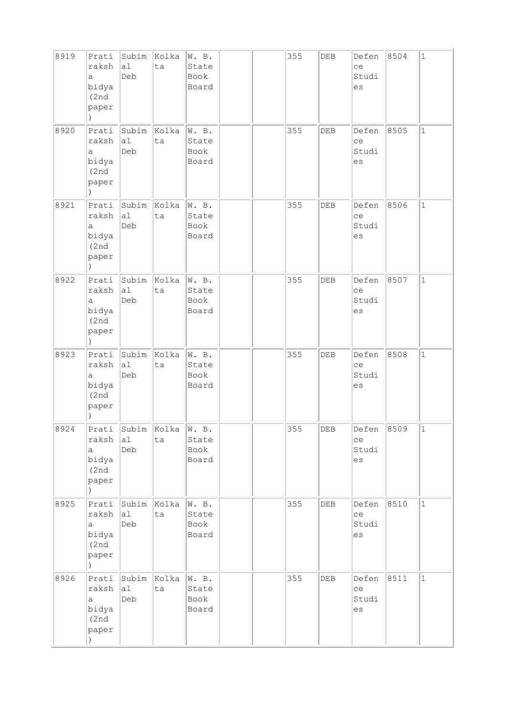| 8919 | Prati<br>raksh<br>a<br>bidya<br>(2nd)<br>paper | Subim<br>al<br>Deb                        | Kolka<br>ta | W. B.<br>State<br>Book<br>Board |  | 355 | ${\rm DEB}$ | Defen<br>ce<br>Studi<br>es | 8504 | $\mathbf{1}$ |
|------|------------------------------------------------|-------------------------------------------|-------------|---------------------------------|--|-----|-------------|----------------------------|------|--------------|
| 8920 | Prati<br>raksh<br>а<br>bidya<br>(2nd)<br>paper | Subim<br>al<br>Deb                        | Kolka<br>ta | W. B.<br>State<br>Book<br>Board |  | 355 | DEB         | Defen<br>ce<br>Studi<br>es | 8505 | $\mathbf{1}$ |
| 8921 | Prati<br>raksh<br>a<br>bidya<br>(2nd)<br>paper | Subim<br>al<br>Deb                        | Kolka<br>ta | W. B.<br>State<br>Book<br>Board |  | 355 | ${\tt DEB}$ | Defen<br>ce<br>Studi<br>es | 8506 | $\mathbf{1}$ |
| 8922 | Prati<br>raksh<br>а<br>bidya<br>(2nd)<br>paper | Subim<br> al<br>Deb                       | Kolka<br>ta | W. B.<br>State<br>Book<br>Board |  | 355 | DEB         | Defen<br>ce<br>Studi<br>es | 8507 | $\mathbf{1}$ |
| 8923 | Prati<br>raksh<br>а<br>bidya<br>(2nd)<br>paper | Subim<br>al<br>Deb                        | Kolka<br>ta | W. B.<br>State<br>Book<br>Board |  | 355 | DEB         | Defen<br>ce<br>Studi<br>es | 8508 | $\mathbf{1}$ |
| 8924 | raksh<br>a<br>bidya<br>(2nd)<br>paper          | Prati Subim Kolka $W$ . B.<br> a1 <br>Deb | ta          | State<br>Book<br>Board          |  | 355 | DEB         | Defen<br>ce<br>Studi<br>es | 8509 | 1            |
| 8925 | Prati<br>raksh<br>а<br>bidya<br>(2nd)<br>paper | Subim<br> a1<br>Deb                       | Kolka<br>ta | W. B.<br>State<br>Book<br>Board |  | 355 | ${\rm DEB}$ | Defen<br>ce<br>Studi<br>es | 8510 | $\mathbf{1}$ |
| 8926 | Prati<br>raksh<br>а<br>bidya<br>(2nd)<br>paper | Subim<br>al<br>Deb                        | Kolka<br>ta | W. B.<br>State<br>Book<br>Board |  | 355 | ${\rm DEB}$ | Defen<br>ce<br>Studi<br>es | 8511 | $\mathbf{1}$ |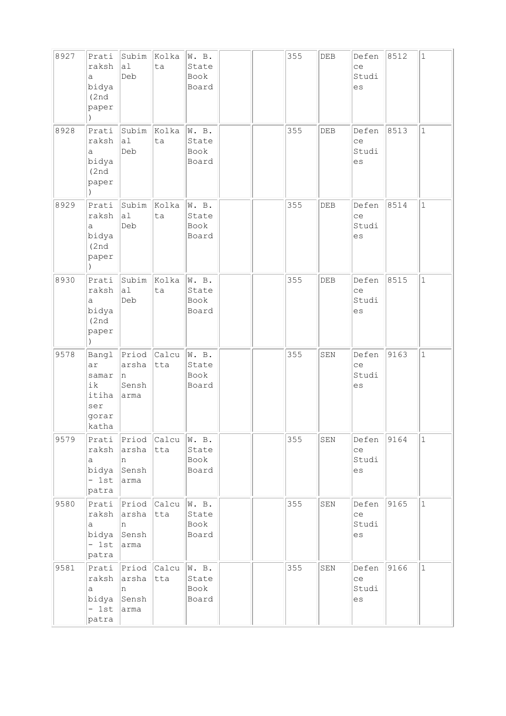| 8927 | Prati<br>raksh<br>а<br>bidya<br>(2nd)<br>paper               | Subim<br>al<br>Deb                                                               | Kolka<br>ta | W. B.<br>State<br>Book<br>Board |  | 355 | DEB                  | Defen<br>ce<br>Studi<br>es | 8512 | $\mathbf{1}$ |
|------|--------------------------------------------------------------|----------------------------------------------------------------------------------|-------------|---------------------------------|--|-----|----------------------|----------------------------|------|--------------|
| 8928 | Prati<br>raksh<br>а<br>bidya<br>(2nd)<br>paper               | Subim<br>al<br>Deb                                                               | Kolka<br>ta | W. B.<br>State<br>Book<br>Board |  | 355 | DEB                  | Defen<br>ce<br>Studi<br>es | 8513 | $\mathbf{1}$ |
| 8929 | Prati<br>raksh<br>a<br>bidya<br>(2nd)<br>paper               | Subim<br>al<br>Deb                                                               | Kolka<br>ta | W. B.<br>State<br>Book<br>Board |  | 355 | DEB                  | Defen<br>ce<br>Studi<br>es | 8514 | $\mathbf{1}$ |
| 8930 | Prati<br>raksh<br>а<br>bidya<br>(2nd)<br>paper               | Subim Kolka<br>al<br>Deb                                                         | ta          | W. B.<br>State<br>Book<br>Board |  | 355 | ${\tt DEB}$          | Defen<br>ce<br>Studi<br>es | 8515 | $\mathbf{1}$ |
| 9578 | Bangl<br>ar<br>samar<br>ik<br>itiha<br>ser<br>gorar<br>katha | $ Priod $ Calcu<br>arsha<br>In<br>Sensh<br>arma                                  | tta         | W. B.<br>State<br>Book<br>Board |  | 355 | SEN                  | Defen<br>ce<br>Studi<br>es | 9163 | $\mathbf{1}$ |
| 9579 | raksh<br>а<br>bidya<br>$- 1st$<br>patra                      | Prati Priod Calcu W. B.<br>arsha tta<br>n<br>Sensh<br>arma                       |             | State<br>Book<br>Board          |  | 355 | SEN                  | Defen<br>ce<br>Studi<br>es | 9164 | $\mathbf 1$  |
| 9580 | raksh<br>a<br>- 1st<br>patra                                 | Prati $\ $ Priod $\ $ Calcu $\ $ W. B.<br>arsha tta<br>n<br>bidya Sensh<br> arma |             | State<br>Book<br>Board          |  | 355 | SEN                  | Defen<br>ce<br>Studi<br>es | 9165 | $\mathbf 1$  |
| 9581 | а<br>bidya<br>- 1st<br>patra                                 | Prati Priod Calcu<br>raksh arsha tta<br>n<br>Sensh<br> arma                      |             | W. B.<br>State<br>Book<br>Board |  | 355 | $\operatorname{SEN}$ | Defen<br>ce<br>Studi<br>es | 9166 | $\mathbf{1}$ |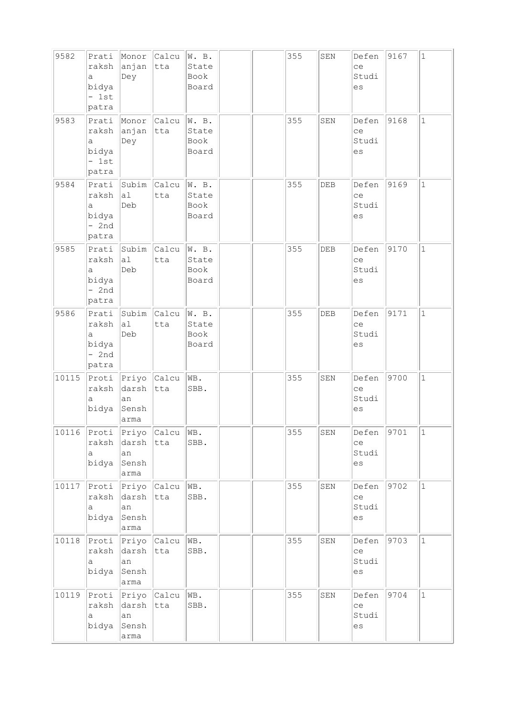| 9582  | Prati<br>raksh<br>a<br>bidya<br>$- 1st$<br>patra | Monor<br>anjan<br>Dey                                                       | Calcu<br>tta       | W. B.<br>State<br>Book<br>Board |  | 355 | ${\tt SEN}$ | Defen<br>ce<br>Studi<br>es | 9167 | $\mathbf{1}$ |
|-------|--------------------------------------------------|-----------------------------------------------------------------------------|--------------------|---------------------------------|--|-----|-------------|----------------------------|------|--------------|
| 9583  | Prati<br>raksh<br>а<br>bidya<br>$- 1st$<br>patra | Monor<br>anjan<br>Dey                                                       | Calcu<br>tta       | W. B.<br>State<br>Book<br>Board |  | 355 | ${\tt SEM}$ | Defen<br>ce<br>Studi<br>es | 9168 | $\mathbf 1$  |
| 9584  | Prati<br>raksh<br>a<br>bidya<br>$-2nd$<br>patra  | Subim<br>a1<br>Deb                                                          | Calcu<br>tta       | W. B.<br>State<br>Book<br>Board |  | 355 | DEB         | Defen<br>ce<br>Studi<br>es | 9169 | $\mathbf{1}$ |
| 9585  | Prati<br>raksh<br>а<br>bidya<br>$-2nd$<br>patra  | Subim<br> a <br>Deb                                                         | Calcu<br>tta       | W. B.<br>State<br>Book<br>Board |  | 355 | DEB         | Defen<br>ce<br>Studi<br>es | 9170 | $\mathbf 1$  |
| 9586  | Prati<br>raksh<br>а<br>bidya<br>$-2nd$<br>patra  | Subim<br>a1<br>Deb                                                          | Calcu<br>tta       | W. B.<br>State<br>Book<br>Board |  | 355 | DEB         | Defen<br>ce<br>Studi<br>es | 9171 | $\mathbf{1}$ |
| 10115 | Proti<br>raksh<br>a<br>bidya                     | Priyo<br>darsh<br>an<br>Sensh<br>arma                                       | Calcu<br>tta       | WB.<br>SBB.                     |  | 355 | SEN         | Defen<br>ce<br>Studi<br>es | 9700 | $\mathbf 1$  |
| 10116 | Proti<br>raksh<br>а<br>bidya                     | $ \text{Privo} \text{Calcu} $<br>darsh<br>an<br>Sensh<br>arma               | tta                | WB.<br>SBB.                     |  | 355 | SEN         | Defen<br>ce<br>Studi<br>es | 9701 | 1            |
| 10117 | Proti<br>raksh<br>a<br>bidya                     | Priyo<br>darsh tta<br>an<br>Sensh<br>arma                                   | Calcu              | WB.<br>SBB.                     |  | 355 | ${\tt SEN}$ | Defen<br>ce<br>Studi<br>es | 9702 | $\mathbf{1}$ |
| 10118 | Proti<br>raksh<br>a<br>bidya                     | darsh<br>an<br>Sensh<br>arma                                                | Priyo Calcu<br>tta | WB.<br>SBB.                     |  | 355 | SEN         | Defen<br>ce<br>Studi<br>es | 9703 | $\mathbf{1}$ |
| 10119 | Proti<br>raksh<br>а<br>bidya                     | $\left \right $ Priyo $\left \right $ Calcu<br>darsh<br>an<br>Sensh<br>arma | tta                | WB.<br>SBB.                     |  | 355 | ${\tt SEN}$ | Defen<br>ce<br>Studi<br>es | 9704 | $\mathbf{1}$ |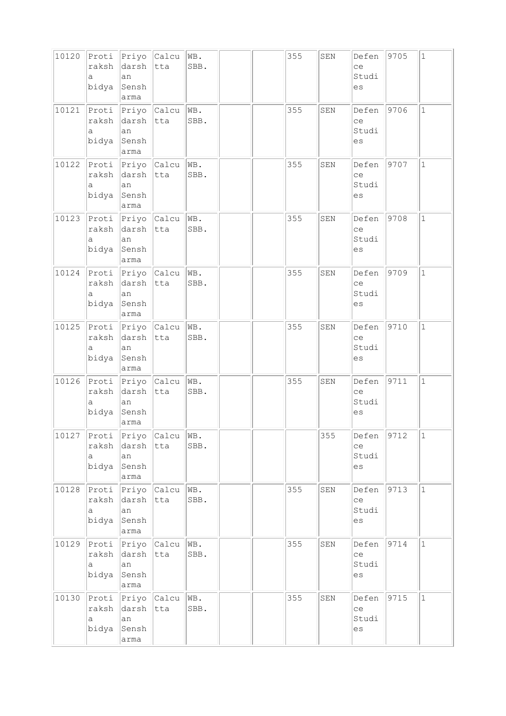| 10120 | Proti<br>raksh<br>а<br>bidya | Priyo Calcu<br>darsh<br>an<br>Sensh<br>arma                 | tta | WB.<br>SBB. |  | 355 | SEN | Defen<br>ce<br>Studi<br>es | 9705 | $\mathbf{1}$ |
|-------|------------------------------|-------------------------------------------------------------|-----|-------------|--|-----|-----|----------------------------|------|--------------|
| 10121 | Proti<br>raksh<br>а<br>bidya | $\vert$ Priyo $\vert$ Calcu<br>darsh<br>an<br>Sensh<br>arma | tta | WB.<br>SBB. |  | 355 | SEN | Defen<br>ce<br>Studi<br>es | 9706 | $\mathbf{1}$ |
| 10122 | Proti<br>raksh<br>a<br>bidya | Priyo Calcu<br>darsh tta<br>an<br>Sensh<br>arma             |     | WB.<br>SBB. |  | 355 | SEN | Defen<br>ce<br>Studi<br>es | 9707 | $\mathbf{1}$ |
| 10123 | Proti<br>raksh<br>а<br>bidya | Priyo Calcu<br>darsh tta<br>an<br>Sensh<br>arma             |     | WB.<br>SBB. |  | 355 | SEN | Defen<br>ce<br>Studi<br>es | 9708 | $\mathbf{1}$ |
| 10124 | Proti<br>raksh<br>а<br>bidya | Priyo Calcu<br>darsh<br>an<br>Sensh<br>arma                 | tta | WB.<br>SBB. |  | 355 | SEN | Defen<br>ce<br>Studi<br>es | 9709 | $\mathbf{1}$ |
| 10125 | Proti<br>raksh<br>a<br>bidya | Priyo Calcu<br>darsh<br>an<br>Sensh<br>arma                 | tta | WB.<br>SBB. |  | 355 | SEN | Defen<br>ce<br>Studi<br>es | 9710 | $\mathbf{1}$ |
| 10126 | raksh<br>а<br>bidya          | Proti Priyo Calcu<br>darsh<br>an<br>Sensh<br>arma           | tta | WB.<br>SBB. |  | 355 | SEN | Defen<br>ce<br>Studi<br>es | 9711 | $\mathbf{1}$ |
| 10127 | raksh<br>а<br>bidya          | Proti Priyo Calcu<br>darsh tta<br>an<br>Sensh<br>arma       |     | WB.<br>SBB. |  |     | 355 | Defen<br>ce<br>Studi<br>es | 9712 | $\mathbf 1$  |
| 10128 | raksh<br>а<br>bidya          | Proti Priyo Calcu  <br>darsh tta<br>an<br>Sensh<br>arma     |     | WB.<br>SBB. |  | 355 | SEN | Defen<br>ce<br>Studi<br>es | 9713 | $\mathbf 1$  |
| 10129 | raksh<br>а<br>bidya          | Proti Priyo Calcu<br>darsh tta<br>an<br>Sensh<br>arma       |     | WB.<br>SBB. |  | 355 | SEN | Defen<br>ce<br>Studi<br>es | 9714 | $\mathbf{1}$ |
| 10130 | Proti<br>raksh<br>a<br>bidya | Priyo Calcu<br>darsh tta<br>an<br>Sensh<br>arma             |     | WB.<br>SBB. |  | 355 | SEN | Defen<br>ce<br>Studi<br>es | 9715 | $\mathbf{1}$ |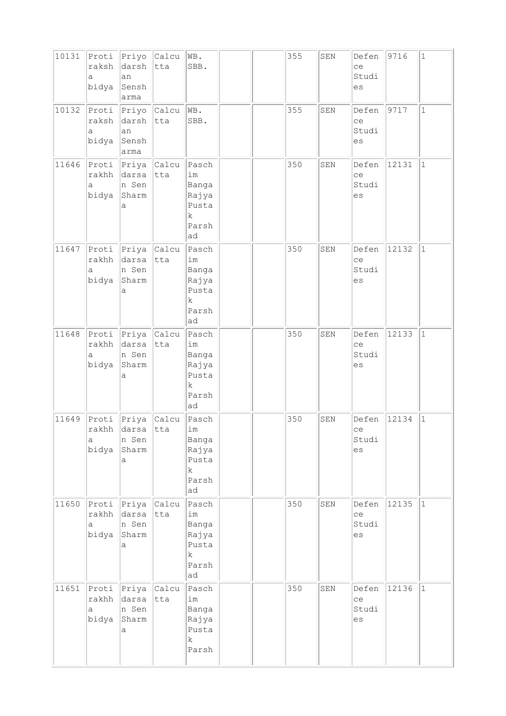| 10131 | Proti<br>raksh<br>a<br>bidya | Priyo<br>darsh<br>an<br>Sensh<br>arma                 | $ $ Calcu<br>tta  | WB.<br>SBB.                                                      |  | 355 | SEN         | Defen<br>ce<br>Studi<br>es  | 9716  | $1\,$        |
|-------|------------------------------|-------------------------------------------------------|-------------------|------------------------------------------------------------------|--|-----|-------------|-----------------------------|-------|--------------|
| 10132 | Proti<br>raksh<br>а<br>bidya | Priyo<br>darsh<br>an<br>Sensh<br>arma                 | Calcu<br> tta     | WB.<br>SBB.                                                      |  | 355 | ${\tt SEN}$ | Defen<br>ce<br>Studi<br>es  | 9717  | $1\,$        |
| 11646 | Proti<br>rakhh<br>a<br>bidya | Priya<br>darsa<br>n Sen<br>Sharm<br>a                 | $ $ Calcu<br> tta | Pasch<br>im<br>Banga<br>Rajya<br>Pusta<br>k<br>Parsh<br>ad       |  | 350 | ${\tt SEN}$ | Defen<br>ce<br>Studi<br>es  | 12131 | $\mathbf{1}$ |
| 11647 | Proti<br>rakhh<br>а<br>bidya | Priya<br>darsa<br>n Sen<br>Sharm<br>a                 | $ $ Calcu<br> tta | Pasch<br>im<br>Banga<br>Rajya<br>Pusta<br>k<br>Parsh<br>ad       |  | 350 | SEN         | Defen<br>ce<br>Studi<br>es  | 12132 | $\mathbf{1}$ |
| 11648 | Proti<br>rakhh<br>а<br>bidya | $\ $ Priya $\ $ Calcu<br>darsa<br>n Sen<br>Sharm<br>а | tta               | Pasch<br>im<br>Banga<br>Rajya<br>Pusta<br>$\rm k$<br>Parsh<br>ad |  | 350 | ${\tt SEN}$ | Defen<br>ce<br>Studi<br>es  | 12133 | $1\,$        |
| 11649 | Proti<br>а<br>bidya          | Priya Calcu<br>rakhh darsa tta<br>n Sen<br>Sharm<br>а |                   | Pasch<br>im<br>Banga<br>Rajya<br>Pusta<br>k<br>Parsh<br>ad       |  | 350 | ${\tt SEN}$ | Defen<br>ce.<br>Studi<br>es | 12134 | $\mathbf{1}$ |
| 11650 | Proti<br>rakhh<br>а<br>bidya | $\ $ Priya $\ $ Calcu<br>darsa<br>n Sen<br>Sharm<br>а | tta               | Pasch<br>im<br>Banga<br>Rajya<br>Pusta<br>k<br>Parsh<br>ad       |  | 350 | ${\tt SEN}$ | Defen<br>ce<br>Studi<br>es  | 12135 | $1\,$        |
| 11651 | Proti<br>rakhh<br>a<br>bidya | Priya Calcu<br>darsa<br>n Sen<br>Sharm<br>а           | tta               | Pasch<br>im<br>Banga<br>Rajya<br>Pusta<br>k<br>Parsh             |  | 350 | ${\tt SEN}$ | Defen<br>ce<br>Studi<br>es  | 12136 | $\vert$ 1    |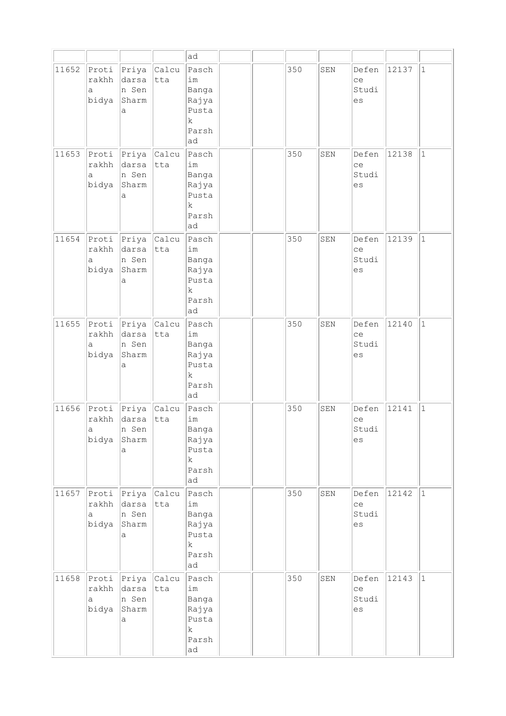|       |                              |                                                       |                     | ad                                                                   |  |     |     |                            |       |              |
|-------|------------------------------|-------------------------------------------------------|---------------------|----------------------------------------------------------------------|--|-----|-----|----------------------------|-------|--------------|
| 11652 | Proti<br>rakhh<br>а<br>bidya | Priya <br>darsa<br>n Sen<br>Sharm<br>a                | <b>Calcu</b><br>tta | Pasch<br>im<br>Banga<br>Rajya<br>Pusta<br>$\rm k$<br>Parsh<br>ad     |  | 350 | SEN | Defen<br>ce<br>Studi<br>es | 12137 | $\mathbf{1}$ |
| 11653 | Proti<br>rakhh<br>a<br>bidya | Priya Calcu<br>darsa<br>n Sen<br>Sharm<br>a           | tta                 | Pasch<br>im<br>Banga<br>Rajya<br>Pusta<br>$\mathbf k$<br>Parsh<br>ad |  | 350 | SEN | Defen<br>ce<br>Studi<br>es | 12138 | $\mathbf{1}$ |
| 11654 | Proti<br>rakhh<br>а<br>bidya | Priya<br>darsa<br>n Sen<br>Sharm<br>а                 | <b>Calcu</b><br>tta | Pasch<br>im<br>Banga<br>Rajya<br>Pusta<br>k<br>Parsh<br>ad           |  | 350 | SEN | Defen<br>ce<br>Studi<br>es | 12139 | $\mathbf{1}$ |
| 11655 | Proti<br>rakhh<br>a<br>bidya | Priya<br>darsa<br>n Sen<br>Sharm<br>а                 | <b>Calcu</b><br>tta | Pasch<br>im<br>Banga<br>Rajya<br>Pusta<br>$\rm k$<br>Parsh<br>ad     |  | 350 | SEN | Defen<br>ce<br>Studi<br>es | 12140 | $\mathbf{1}$ |
| 11656 | Proti<br>rakhh<br>a<br>bidya | Priya Calcu<br>darsa<br>In Sen<br>Sharm<br>а          | tta                 | Pasch<br>im<br>Banga<br>Rajya<br>Pusta<br>k<br>Parsh<br>ad           |  | 350 | SEN | Defen<br>ce<br>Studi<br>es | 12141 | $\mathbf{1}$ |
| 11657 | Proti<br>rakhh<br>а<br>bidya | $\ $ Priya $\ $ Calcu<br>darsa<br>n Sen<br>Sharm<br>а | tta                 | Pasch<br>im<br>Banga<br>Rajya<br>Pusta<br>$\rm k$<br>Parsh<br>ad     |  | 350 | SEN | Defen<br>ce<br>Studi<br>es | 12142 | $\mathbf{1}$ |
| 11658 | Proti<br>rakhh<br>a<br>bidya | Priya Calcu<br>darsa<br>n Sen<br>Sharm<br>а           | tta                 | Pasch<br>im<br>Banga<br>Rajya<br>Pusta<br>k<br>Parsh<br>ad           |  | 350 | SEN | Defen<br>ce<br>Studi<br>es | 12143 | $\mathbf{1}$ |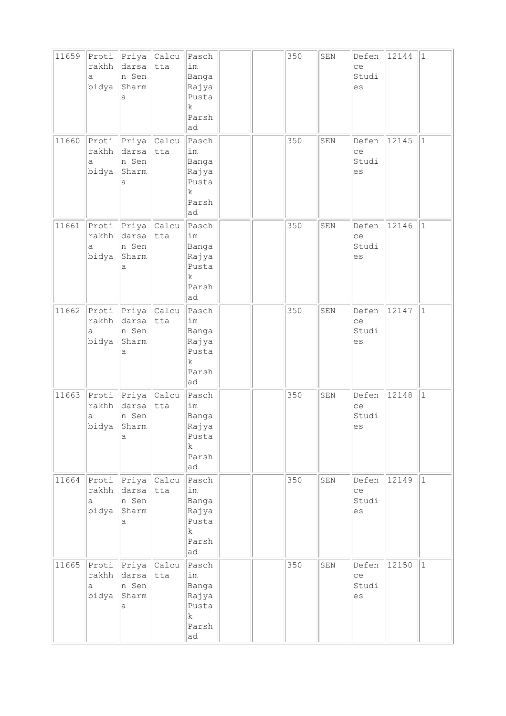| 11659 | Proti<br>rakhh<br>a<br>bidya     | Priya<br>darsa<br>n Sen<br>Sharm<br>a                           | $ $ Calcu<br>tta | Pasch<br>im<br>Banga<br>Rajya<br>Pusta<br>$\mathbf k$<br>Parsh<br>ad |  | 350 | ${\tt SEN}$ | Defen<br>ce<br>Studi<br>es | 12144 | $\mathbf{1}$ |
|-------|----------------------------------|-----------------------------------------------------------------|------------------|----------------------------------------------------------------------|--|-----|-------------|----------------------------|-------|--------------|
| 11660 | Proti<br>rakhh<br>а<br>bidya     | Priya Calcu<br>darsa<br>n Sen<br>Sharm<br>a                     | tta              | Pasch<br>im<br>Banga<br>Rajya<br>Pusta<br>$\rm k$<br>Parsh<br>ad     |  | 350 | ${\tt SEM}$ | Defen<br>ce<br>Studi<br>es | 12145 | $\mathbf{1}$ |
| 11661 | Proti<br>rakhh<br>a<br>bidya     | Priya Calcu<br>darsa<br>n Sen<br>Sharm<br>а                     | tta              | Pasch<br>im<br>Banga<br>Rajya<br>Pusta<br>k<br>Parsh<br>ad           |  | 350 | SEN         | Defen<br>ce<br>Studi<br>es | 12146 | $\mathbf{1}$ |
| 11662 | $ $ Proti<br>rakhh<br>а<br>bidya | $\ $ Priya $\ $ Calcu<br>darsa<br>n Sen<br>Sharm<br>а           | tta              | Pasch<br>im<br>Banga<br>Rajya<br>Pusta<br>k<br>Parsh<br>ad           |  | 350 | SEN         | Defen<br>ce<br>Studi<br>es | 12147 | $\mathbf{1}$ |
| 11663 | Proti<br>rakhh<br>а<br>bidya     | $\ $ Priya $\ $ Calcu<br>darsa<br>n Sen<br>Sharm<br>$\mathsf a$ | tta              | Pasch<br>im<br>Banga<br>Rajya<br>Pusta<br>$\mathbf k$<br>Parsh<br>ad |  | 350 | SEN         | Defen<br>ce<br>Studi<br>es | 12148 | $\mathbf{1}$ |
| 11664 | Proti<br>rakhh<br>a<br>bidya     | Priya<br>darsa<br>n Sen<br>Sharm<br>a                           | Calcu<br>tta     | Pasch<br>im<br>Banga<br>Rajya<br>Pusta<br>$\mathbf k$<br>Parsh<br>ad |  | 350 | SEN         | Defen<br>ce<br>Studi<br>es | 12149 | $\mathbf{1}$ |
| 11665 | Proti<br>rakhh<br>а<br>bidya     | Priya<br>darsa<br>n Sen<br>Sharm<br>а                           | Calcu<br>tta     | Pasch<br>im<br>Banga<br>Rajya<br>Pusta<br>$\mathbf k$<br>Parsh<br>ad |  | 350 | ${\tt SEN}$ | Defen<br>ce<br>Studi<br>es | 12150 | $\mathbf{1}$ |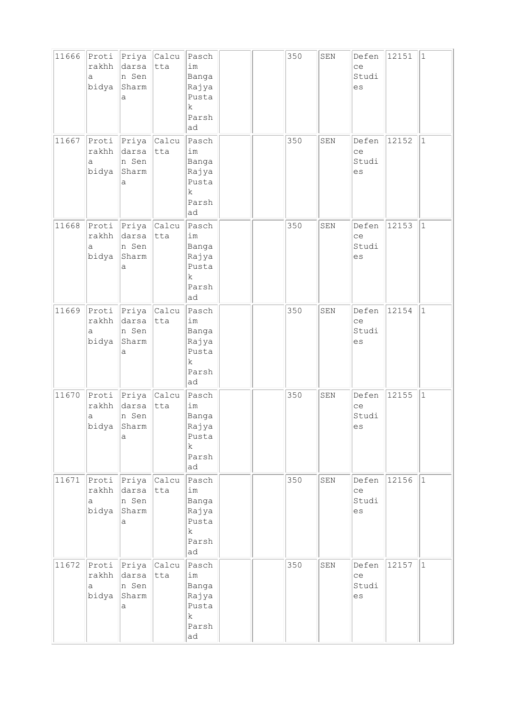| 11666 | Proti<br>rakhh<br>a<br>bidya     | $\ $ Priya $\ $ Calcu $\ $<br>darsa tta<br>n Sen<br>Sharm<br>а |              | Pasch<br>im<br>Banga<br>Rajya<br>Pusta<br>$\mathbf k$<br>Parsh<br>ad |  | 350 | SEN         | Defen<br>ce<br>Studi<br>es | 12151 | $1\,$        |
|-------|----------------------------------|----------------------------------------------------------------|--------------|----------------------------------------------------------------------|--|-----|-------------|----------------------------|-------|--------------|
| 11667 | Proti<br>rakhh<br>а<br>bidya     | Priya Calcu<br>darsa<br>n Sen<br>Sharm<br>а                    | tta          | Pasch<br>im<br>Banga<br>Rajya<br>Pusta<br>k<br>Parsh<br>ad           |  | 350 | SEN         | Defen<br>ce<br>Studi<br>es | 12152 | $\mathbf{1}$ |
| 11668 | Proti<br>rakhh<br>a<br>bidya     | Priya Calcu<br>darsa  tta<br>n Sen<br>Sharm<br>а               |              | Pasch<br>im<br>Banga<br>Rajya<br>Pusta<br>$\mathbf k$<br>Parsh<br>ad |  | 350 | SEN         | Defen<br>ce<br>Studi<br>es | 12153 | $\mathbf{1}$ |
| 11669 | $ $ Proti<br>rakhh<br>а<br>bidya | $\ $ Priya $\ $ Calcu<br>darsa<br>n Sen<br>Sharm<br>а          | tta          | Pasch<br>im<br>Banga<br>Rajya<br>Pusta<br>k<br>Parsh<br>ad           |  | 350 | SEN         | Defen<br>ce<br>Studi<br>es | 12154 | $\mathbf{1}$ |
| 11670 | Proti<br>rakhh<br>а<br>bidya     | $ Priya $ Calcu<br>darsa<br>n Sen<br>Sharm<br>$\mathsf a$      | tta          | Pasch<br>im<br>Banga<br>Rajya<br>Pusta<br>$\mathbf k$<br>Parsh<br>ad |  | 350 | ${\tt SEM}$ | Defen<br>ce<br>Studi<br>es | 12155 | $1\,$        |
| 11671 | Proti<br>rakhh<br>a<br>bidya     | Priya<br>darsa<br>n Sen<br>Sharm<br>a                          | Calcu<br>tta | Pasch<br>im<br>Banga<br>Rajya<br>Pusta<br>$\mathbf k$<br>Parsh<br>ad |  | 350 | SEN         | Defen<br>ce<br>Studi<br>es | 12156 | $1\,$        |
| 11672 | Proti<br>rakhh<br>a<br>bidya     | Priya<br>darsa<br>n Sen<br>Sharm<br>a                          | Calcu<br>tta | Pasch<br>im<br>Banga<br>Rajya<br>Pusta<br>$\mathbf k$<br>Parsh<br>ad |  | 350 | ${\tt SEN}$ | Defen<br>ce<br>Studi<br>es | 12157 | $\mathbf{1}$ |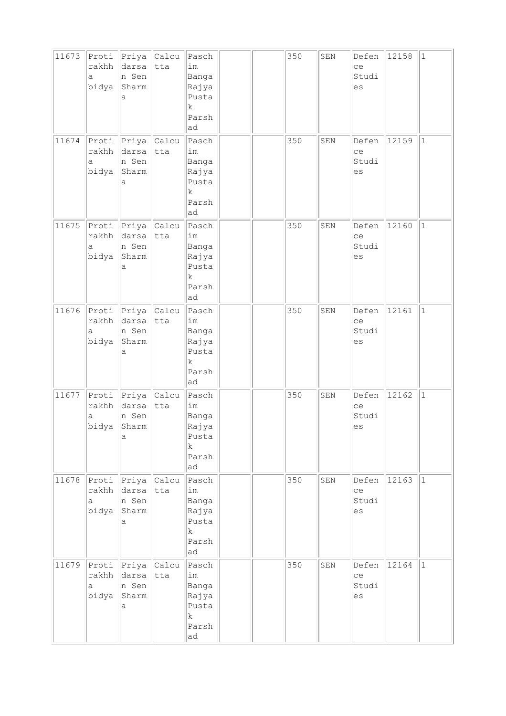| 11673 | Proti<br>rakhh<br>a<br>bidya | $\left \right $ Priya $\left \right $ Calcu $\left \right $<br>darsa<br>n Sen<br>Sharm<br>а | tta          | Pasch<br>im<br>Banga<br>Rajya<br>Pusta<br>$\mathbf k$<br>Parsh<br>ad |  | 350 | ${\tt SEN}$ | Defen<br>ce<br>Studi<br>es | 12158 | $1\,$        |
|-------|------------------------------|---------------------------------------------------------------------------------------------|--------------|----------------------------------------------------------------------|--|-----|-------------|----------------------------|-------|--------------|
| 11674 | Proti<br>rakhh<br>а<br>bidya | Priya Calcu<br>darsa<br>n Sen<br>Sharm<br>а                                                 | tta          | Pasch<br>im<br>Banga<br>Rajya<br>Pusta<br>k<br>Parsh<br>ad           |  | 350 | SEN         | Defen<br>ce<br>Studi<br>es | 12159 | $\mathbf{1}$ |
| 11675 | Proti<br>rakhh<br>a<br>bidya | Priya Calcu<br>darsa  tta<br>n Sen<br>Sharm<br>а                                            |              | Pasch<br>im<br>Banga<br>Rajya<br>Pusta<br>$\mathbf k$<br>Parsh<br>ad |  | 350 | SEN         | Defen<br>ce<br>Studi<br>es | 12160 | $\mathbf{1}$ |
| 11676 | Proti<br>rakhh<br>а<br>bidya | Priya Calcu<br>darsa<br>n Sen<br>Sharm<br>а                                                 | tta          | Pasch<br>im<br>Banga<br>Rajya<br>Pusta<br>k<br>Parsh<br>ad           |  | 350 | SEN         | Defen<br>ce<br>Studi<br>es | 12161 | $\mathbf{1}$ |
| 11677 | Proti<br>rakhh<br>а<br>bidya | $ Priya $ Calcu<br>darsa<br>n Sen<br>Sharm<br>$\mathsf a$                                   | tta          | Pasch<br>im<br>Banga<br>Rajya<br>Pusta<br>$\mathbf k$<br>Parsh<br>ad |  | 350 | ${\tt SEM}$ | Defen<br>ce<br>Studi<br>es | 12162 | $1\,$        |
| 11678 | Proti<br>rakhh<br>a<br>bidya | Priya<br>darsa<br>n Sen<br>Sharm<br>a                                                       | Calcu<br>tta | Pasch<br>im<br>Banga<br>Rajya<br>Pusta<br>$\mathbf k$<br>Parsh<br>ad |  | 350 | SEN         | Defen<br>ce<br>Studi<br>es | 12163 | $1\,$        |
| 11679 | Proti<br>rakhh<br>a<br>bidya | Priya<br>darsa<br>n Sen<br>Sharm<br>a                                                       | Calcu<br>tta | Pasch<br>im<br>Banga<br>Rajya<br>Pusta<br>$\mathbf k$<br>Parsh<br>ad |  | 350 | ${\tt SEN}$ | Defen<br>ce<br>Studi<br>es | 12164 | $\mathbf{1}$ |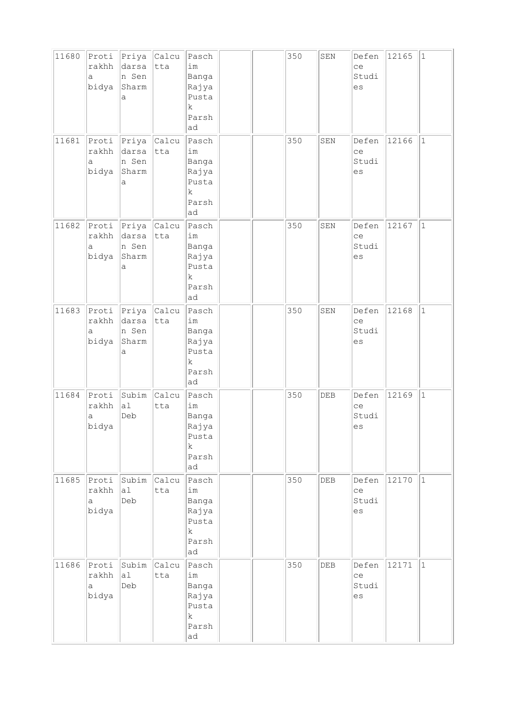| 11680 | Proti<br>rakhh<br>a<br>bidya            | Priya<br>darsa<br>n Sen<br>Sharm<br>a                 | $ $ Calcu<br>tta | Pasch<br>im<br>Banga<br>Rajya<br>Pusta<br>$\mathbf k$<br>Parsh<br>ad         |  | 350 | ${\tt SEN}$ | Defen<br>ce<br>Studi<br>es | 12165 | $\mathbf{1}$ |
|-------|-----------------------------------------|-------------------------------------------------------|------------------|------------------------------------------------------------------------------|--|-----|-------------|----------------------------|-------|--------------|
| 11681 | Proti<br>rakhh<br>а<br>bidya            | $\ $ Priya $\ $ Calcu<br>darsa<br>n Sen<br>Sharm<br>a | tta              | Pasch<br>im<br>Banga<br>Rajya<br>Pusta<br>$\rm k$<br>Parsh<br>ad             |  | 350 | ${\tt SEM}$ | Defen<br>ce<br>Studi<br>es | 12166 | $\mathbf{1}$ |
| 11682 | Proti<br>rakhh<br>a<br>bidya            | Priya Calcu<br>darsa<br>n Sen<br>Sharm<br>а           | tta              | Pasch<br>im<br>Banga<br>Rajya<br>Pusta<br>k<br>Parsh<br>ad                   |  | 350 | SEN         | Defen<br>ce<br>Studi<br>es | 12167 | $\mathbf{1}$ |
| 11683 | Proti<br>rakhh<br>а<br>bidya            | Priya Calcu<br>darsa<br>n Sen<br>Sharm<br>а           | tta              | Pasch<br>im<br>Banga<br>Rajya<br>Pusta<br>k<br>Parsh<br>ad                   |  | 350 | SEN         | Defen<br>ce<br>Studi<br>es | 12168 | $\mathbf{1}$ |
| 11684 | Proti<br>rakhh<br>а<br>bidya            | Subim<br>a1<br>Deb                                    | Calcu<br>tta     | $\vert$ Pasch<br>im<br>Banga<br>Rajya<br>Pusta<br>$\mathbf k$<br>Parsh<br>ad |  | 350 | DEB         | Defen<br>ce<br>Studi<br>es | 12169 | $\mathbf{1}$ |
| 11685 | Proti<br>rakhh<br>a<br>bidya            | Subim<br>a1<br>Deb                                    | Calcu<br>tta     | Pasch<br>im<br>Banga<br>Rajya<br>Pusta<br>$\mathbf k$<br>Parsh<br>ad         |  | 350 | DEB         | Defen<br>ce<br>Studi<br>es | 12170 | $\mathbf{1}$ |
| 11686 | Proti<br>rakhh<br>$\mathsf{a}$<br>bidya | Subim<br>a1<br>Deb                                    | Calcu<br>tta     | Pasch<br>im<br>Banga<br>Rajya<br>Pusta<br>$\rm k$<br>Parsh<br>ad             |  | 350 | DEB         | Defen<br>ce<br>Studi<br>es | 12171 | $\mathbf{1}$ |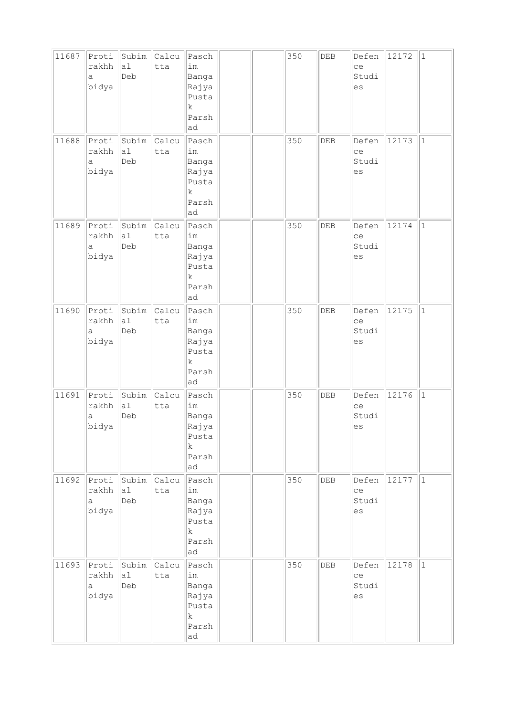| 11687 | Proti<br>rakhh<br>a<br>bidya           | Subim<br>a1<br>Deb  | Calcu<br>tta | Pasch<br>im<br>Banga<br>Rajya<br>Pusta<br>k<br>Parsh<br>ad           |  | 350 | DEB         | Defen<br>ce<br>Studi<br>es | 12172 | $1\,$        |
|-------|----------------------------------------|---------------------|--------------|----------------------------------------------------------------------|--|-----|-------------|----------------------------|-------|--------------|
| 11688 | Proti<br>rakhh<br>а<br>bidya           | Subim<br>a1<br>Deb  | Calcu<br>tta | Pasch<br>im<br>Banga<br>Rajya<br>Pusta<br>$\mathbf k$<br>Parsh<br>ad |  | 350 | DEB         | Defen<br>ce<br>Studi<br>es | 12173 | $\mathbf{1}$ |
| 11689 | Proti<br>rakhh<br>a<br>bidya           | Subim<br>a1<br>Deb  | Calcu<br>tta | Pasch<br>im<br>Banga<br>Rajya<br>Pusta<br>k<br>Parsh<br>ad           |  | 350 | DEB         | Defen<br>ce<br>Studi<br>es | 12174 | $\mathbf{1}$ |
| 11690 | Proti<br>rakhh<br>а<br>bidya           | Subim<br>a1<br>Deb  | Calcu<br>tta | Pasch<br>im<br>Banga<br>Rajya<br>Pusta<br>k<br>Parsh<br>ad           |  | 350 | DEB         | Defen<br>ce<br>Studi<br>es | 12175 | $\mathbf{1}$ |
| 11691 | Proti<br>rakhh<br>а<br>bidya           | Subim<br> a1<br>Deb | Calcu<br>tta | Pasch<br>im<br>Banga<br>Rajya<br>Pusta<br>$\mathbf k$<br>Parsh<br>ad |  | 350 | DEB         | Defen<br>ce<br>Studi<br>es | 12176 | $\mathbf{1}$ |
| 11692 | Proti<br>rakhh<br>a<br>bidya           | Subim<br>a1<br>Deb  | Calcu<br>tta | Pasch<br>im<br>Banga<br>Rajya<br>Pusta<br>$\mathbf k$<br>Parsh<br>ad |  | 350 | DEB         | Defen<br>ce<br>Studi<br>es | 12177 | $\mathbf{1}$ |
| 11693 | Proti<br>rakhh<br>$\mathsf a$<br>bidya | Subim<br>al<br>Deb  | Calcu<br>tta | Pasch<br>im<br>Banga<br>Rajya<br>Pusta<br>$\mathbf k$<br>Parsh<br>ad |  | 350 | ${\tt DEB}$ | Defen<br>ce<br>Studi<br>es | 12178 | $\mathbf{1}$ |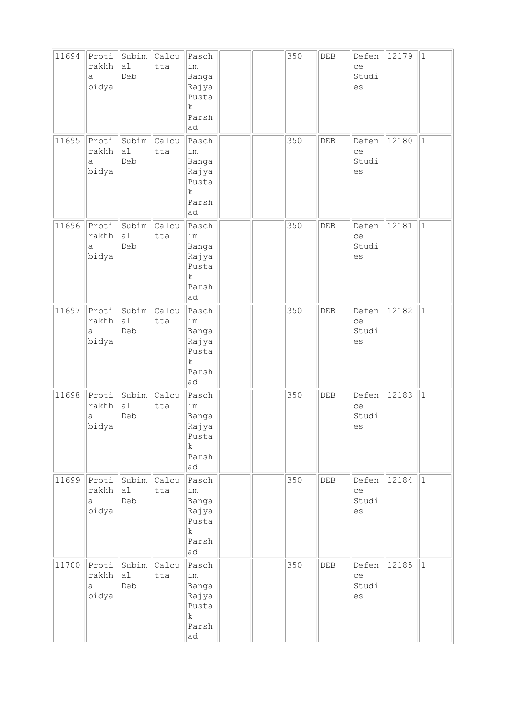| 11694 | Proti<br>rakhh<br>a<br>bidya           | Subim<br>a1<br>Deb  | Calcu<br>tta | Pasch<br>im<br>Banga<br>Rajya<br>Pusta<br>k<br>Parsh<br>ad           |  | 350 | DEB         | Defen<br>ce<br>Studi<br>es | 12179 | $1\,$        |
|-------|----------------------------------------|---------------------|--------------|----------------------------------------------------------------------|--|-----|-------------|----------------------------|-------|--------------|
| 11695 | Proti<br>rakhh<br>а<br>bidya           | Subim<br>a1<br>Deb  | Calcu<br>tta | Pasch<br>im<br>Banga<br>Rajya<br>Pusta<br>$\mathbf k$<br>Parsh<br>ad |  | 350 | DEB         | Defen<br>ce<br>Studi<br>es | 12180 | $\mathbf{1}$ |
| 11696 | Proti<br>rakhh<br>a<br>bidya           | Subim<br>a1<br>Deb  | Calcu<br>tta | Pasch<br>im<br>Banga<br>Rajya<br>Pusta<br>k<br>Parsh<br>ad           |  | 350 | DEB         | Defen<br>ce<br>Studi<br>es | 12181 | $\mathbf{1}$ |
| 11697 | Proti<br>rakhh<br>а<br>bidya           | Subim<br>a1<br>Deb  | Calcu<br>tta | Pasch<br>im<br>Banga<br>Rajya<br>Pusta<br>k<br>Parsh<br>ad           |  | 350 | DEB         | Defen<br>ce<br>Studi<br>es | 12182 | $\mathbf{1}$ |
| 11698 | Proti<br>rakhh<br>а<br>bidya           | Subim<br> a1<br>Deb | Calcu<br>tta | Pasch<br>im<br>Banga<br>Rajya<br>Pusta<br>$\mathbf k$<br>Parsh<br>ad |  | 350 | DEB         | Defen<br>ce<br>Studi<br>es | 12183 | $\mathbf{1}$ |
| 11699 | Proti<br>rakhh<br>a<br>bidya           | Subim<br>a1<br>Deb  | Calcu<br>tta | Pasch<br>im<br>Banga<br>Rajya<br>Pusta<br>$\mathbf k$<br>Parsh<br>ad |  | 350 | DEB         | Defen<br>ce<br>Studi<br>es | 12184 | $\mathbf{1}$ |
| 11700 | Proti<br>rakhh<br>$\mathsf a$<br>bidya | Subim<br>a1<br>Deb  | Calcu<br>tta | Pasch<br>im<br>Banga<br>Rajya<br>Pusta<br>$\mathbf k$<br>Parsh<br>ad |  | 350 | ${\rm DEB}$ | Defen<br>ce<br>Studi<br>es | 12185 | $\mathbf{1}$ |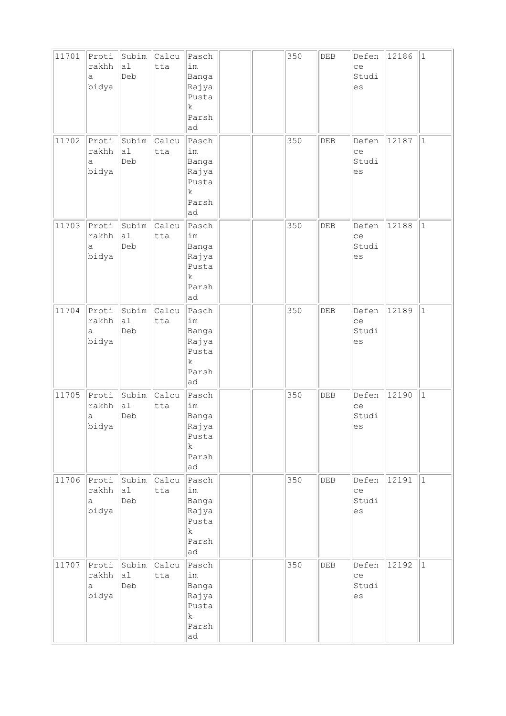| 11701 | Proti<br>rakhh<br>a<br>bidya           | Subim<br>a1<br>Deb  | Calcu<br>tta | Pasch<br>im<br>Banga<br>Rajya<br>Pusta<br>k<br>Parsh<br>ad           |  | 350 | DEB         | Defen<br>ce<br>Studi<br>es | 12186 | $1\,$        |
|-------|----------------------------------------|---------------------|--------------|----------------------------------------------------------------------|--|-----|-------------|----------------------------|-------|--------------|
| 11702 | Proti<br>rakhh<br>а<br>bidya           | Subim<br>a1<br>Deb  | Calcu<br>tta | Pasch<br>im<br>Banga<br>Rajya<br>Pusta<br>$\mathbf k$<br>Parsh<br>ad |  | 350 | DEB         | Defen<br>ce<br>Studi<br>es | 12187 | $\mathbf{1}$ |
| 11703 | Proti<br>rakhh<br>a<br>bidya           | Subim<br>a1<br>Deb  | Calcu<br>tta | Pasch<br>im<br>Banga<br>Rajya<br>Pusta<br>k<br>Parsh<br>ad           |  | 350 | DEB         | Defen<br>ce<br>Studi<br>es | 12188 | $\mathbf{1}$ |
| 11704 | Proti<br>rakhh<br>а<br>bidya           | Subim<br>a1<br>Deb  | Calcu<br>tta | Pasch<br>im<br>Banga<br>Rajya<br>Pusta<br>k<br>Parsh<br>ad           |  | 350 | DEB         | Defen<br>ce<br>Studi<br>es | 12189 | $\mathbf{1}$ |
| 11705 | Proti<br>rakhh<br>а<br>bidya           | Subim<br> a1<br>Deb | Calcu<br>tta | Pasch<br>im<br>Banga<br>Rajya<br>Pusta<br>$\mathbf k$<br>Parsh<br>ad |  | 350 | DEB         | Defen<br>ce<br>Studi<br>es | 12190 | $\mathbf{1}$ |
| 11706 | Proti<br>rakhh<br>a<br>bidya           | Subim<br>a1<br>Deb  | Calcu<br>tta | Pasch<br>im<br>Banga<br>Rajya<br>Pusta<br>$\mathbf k$<br>Parsh<br>ad |  | 350 | DEB         | Defen<br>ce<br>Studi<br>es | 12191 | $\mathbf{1}$ |
| 11707 | Proti<br>rakhh<br>$\mathsf a$<br>bidya | Subim<br>al<br>Deb  | Calcu<br>tta | Pasch<br>im<br>Banga<br>Rajya<br>Pusta<br>$\mathbf k$<br>Parsh<br>ad |  | 350 | ${\tt DEB}$ | Defen<br>ce<br>Studi<br>es | 12192 | $\mathbf{1}$ |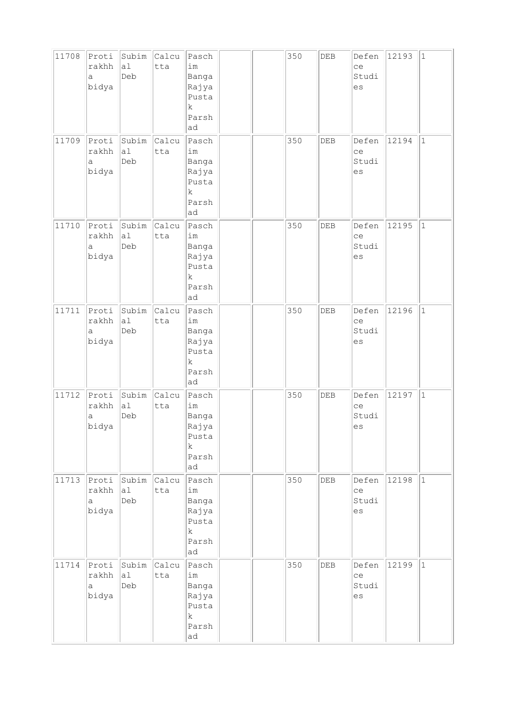| 11708 | Proti<br>rakhh<br>a<br>bidya           | Subim<br>a1<br>Deb   | Calcu<br>tta | Pasch<br>im<br>Banga<br>Rajya<br>Pusta<br>k<br>Parsh<br>ad           |  | 350 | DEB         | Defen<br>ce<br>Studi<br>es | 12193 | $1\,$        |
|-------|----------------------------------------|----------------------|--------------|----------------------------------------------------------------------|--|-----|-------------|----------------------------|-------|--------------|
| 11709 | Proti<br>rakhh<br>а<br>bidya           | Subim<br>a1<br>Deb   | Calcu<br>tta | Pasch<br>im<br>Banga<br>Rajya<br>Pusta<br>$\mathbf k$<br>Parsh<br>ad |  | 350 | DEB         | Defen<br>ce<br>Studi<br>es | 12194 | $\mathbf{1}$ |
| 11710 | Proti<br>rakhh<br>a<br>bidya           | Subim<br>a1<br>Deb   | Calcu<br>tta | Pasch<br>im<br>Banga<br>Rajya<br>Pusta<br>k<br>Parsh<br>ad           |  | 350 | DEB         | Defen<br>ce<br>Studi<br>es | 12195 | $\mathbf{1}$ |
| 11711 | Proti<br>rakhh<br>а<br>bidya           | Subim<br>a1<br>Deb   | Calcu<br>tta | Pasch<br>im<br>Banga<br>Rajya<br>Pusta<br>k<br>Parsh<br>ad           |  | 350 | DEB         | Defen<br>ce<br>Studi<br>es | 12196 | $\mathbf{1}$ |
| 11712 | Proti<br>rakhh<br>а<br>bidya           | Subim<br> a1 <br>Deb | Calcu<br>tta | Pasch<br>im<br>Banga<br>Rajya<br>Pusta<br>$\mathbf k$<br>Parsh<br>ad |  | 350 | ${\tt DEB}$ | Defen<br>ce<br>Studi<br>es | 12197 | $\mathbf{1}$ |
| 11713 | Proti<br>rakhh<br>a<br>bidya           | Subim<br>a1<br>Deb   | Calcu<br>tta | Pasch<br>im<br>Banga<br>Rajya<br>Pusta<br>$\mathbf k$<br>Parsh<br>ad |  | 350 | DEB         | Defen<br>ce<br>Studi<br>es | 12198 | $\mathbf{1}$ |
| 11714 | Proti<br>rakhh<br>$\mathsf a$<br>bidya | Subim<br>al<br>Deb   | Calcu<br>tta | Pasch<br>im<br>Banga<br>Rajya<br>Pusta<br>$\mathbf k$<br>Parsh<br>ad |  | 350 | ${\tt DEB}$ | Defen<br>ce<br>Studi<br>es | 12199 | $\mathbf{1}$ |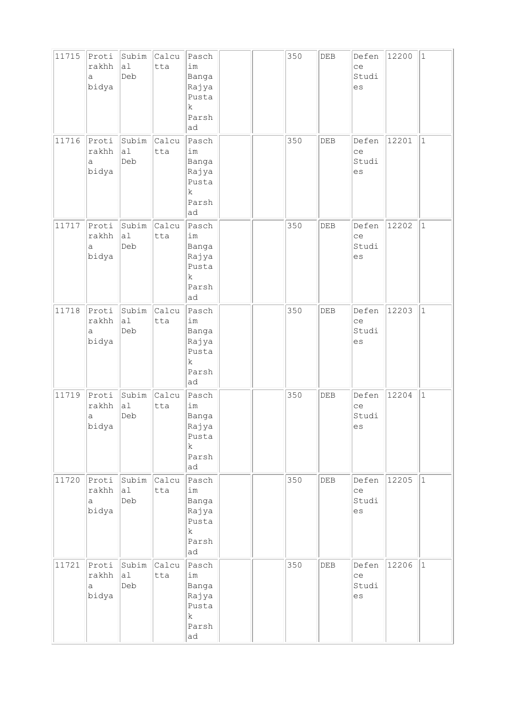| 11715 | Proti<br>rakhh<br>a<br>bidya           | Subim<br>a1<br>Deb  | Calcu<br>tta | Pasch<br>im<br>Banga<br>Rajya<br>Pusta<br>k<br>Parsh<br>ad           |  | 350 | DEB         | Defen<br>ce<br>Studi<br>es | 12200 | $1\,$        |
|-------|----------------------------------------|---------------------|--------------|----------------------------------------------------------------------|--|-----|-------------|----------------------------|-------|--------------|
| 11716 | Proti<br>rakhh<br>а<br>bidya           | Subim<br>a1<br>Deb  | Calcu<br>tta | Pasch<br>im<br>Banga<br>Rajya<br>Pusta<br>$\mathbf k$<br>Parsh<br>ad |  | 350 | DEB         | Defen<br>ce<br>Studi<br>es | 12201 | $\mathbf{1}$ |
| 11717 | Proti<br>rakhh<br>a<br>bidya           | Subim<br>a1<br>Deb  | Calcu<br>tta | Pasch<br>im<br>Banga<br>Rajya<br>Pusta<br>k<br>Parsh<br>ad           |  | 350 | DEB         | Defen<br>ce<br>Studi<br>es | 12202 | $\mathbf{1}$ |
| 11718 | Proti<br>rakhh<br>а<br>bidya           | Subim<br>a1<br>Deb  | Calcu<br>tta | Pasch<br>im<br>Banga<br>Rajya<br>Pusta<br>k<br>Parsh<br>ad           |  | 350 | DEB         | Defen<br>ce<br>Studi<br>es | 12203 | $\mathbf{1}$ |
| 11719 | Proti<br>rakhh<br>а<br>bidya           | Subim<br> a1<br>Deb | Calcu<br>tta | Pasch<br>im<br>Banga<br>Rajya<br>Pusta<br>$\mathbf k$<br>Parsh<br>ad |  | 350 | DEB         | Defen<br>ce<br>Studi<br>es | 12204 | $\mathbf{1}$ |
| 11720 | Proti<br>rakhh<br>a<br>bidya           | Subim<br>a1<br>Deb  | Calcu<br>tta | Pasch<br>im<br>Banga<br>Rajya<br>Pusta<br>$\mathbf k$<br>Parsh<br>ad |  | 350 | DEB         | Defen<br>ce<br>Studi<br>es | 12205 | $1\,$        |
| 11721 | Proti<br>rakhh<br>$\mathsf a$<br>bidya | Subim<br>a1<br>Deb  | Calcu<br>tta | Pasch<br>im<br>Banga<br>Rajya<br>Pusta<br>$\mathbf k$<br>Parsh<br>ad |  | 350 | ${\rm DEB}$ | Defen<br>ce<br>Studi<br>es | 12206 | $\mathbf 1$  |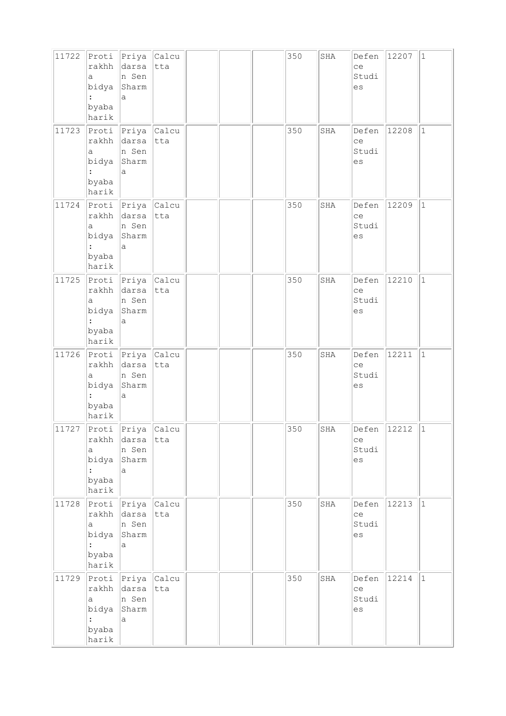| 11722 | rakhh<br>а<br>bidya<br>byaba<br>harik          | Proti Priya Calcu<br>darsa tta<br>n Sen<br>Sharm<br>a               |  |  | 350 | SHA          | Defen<br>ce<br>Studi<br>es          | 12207 | $ 1\rangle$   |
|-------|------------------------------------------------|---------------------------------------------------------------------|--|--|-----|--------------|-------------------------------------|-------|---------------|
| 11723 | rakhh<br>а<br>bidya<br>byaba<br>harik          | Proti Priya Calcu<br>darsa tta<br>n Sen<br>Sharm<br>a               |  |  | 350 | SHA          | Defen<br>ce<br>Studi<br>es          | 12208 | $\mathbf{1}$  |
| 11724 | a<br>bidya<br>byaba<br>harik                   | Proti Priya Calcu<br>rakhh darsa tta<br>n Sen<br>Sharm<br>a         |  |  | 350 | SHA          | Defen<br>ce<br>Studi<br>es          | 12209 | $\mathbf{1}$  |
| 11725 | а<br>bidya<br>byaba<br>harik                   | Proti Priya Calcu<br>rakhh darsa tta<br>n Sen<br>Sharm<br>a         |  |  | 350 | SHA          | Defen<br>ce<br>Studi<br>es          | 12210 | $\vert$ 1     |
| 11726 | rakhh<br>а<br>byaba<br>harik                   | Proti Priya Calcu<br>darsa tta<br>n Sen<br>bidya Sharm<br>a         |  |  | 350 | SHA          | Defen<br>ce<br>Studi<br>es          | 12211 | $\mathbf{1}$  |
| 11727 | a<br>bidya<br>byaba<br>harik                   | Proti Priya Calcu<br>rakhh darsa tta<br>n Sen<br>Sharm<br>a         |  |  | 350 | $_{\rm SHA}$ | Defen $ 12212$<br>ce<br>Studi<br>es |       | $\parallel$ 1 |
| 11728 | a<br>:<br>byaba<br>harik                       | Proti Priya Calcu<br>rakhh darsa tta<br>n Sen<br>bidya Sharm<br>la. |  |  | 350 | SHA          | Defen<br>ce<br>Studi<br>es          | 12213 | $\mathbf{1}$  |
| 11729 | а<br>bidya<br>$\ddot{\cdot}$<br>byaba<br>harik | Proti Priya Calcu<br>rakhh darsa tta<br>n Sen<br>Sharm<br>a         |  |  | 350 | $_{\rm SHA}$ | Defen<br>ce<br>Studi<br>es          | 12214 | $\vert$ 1     |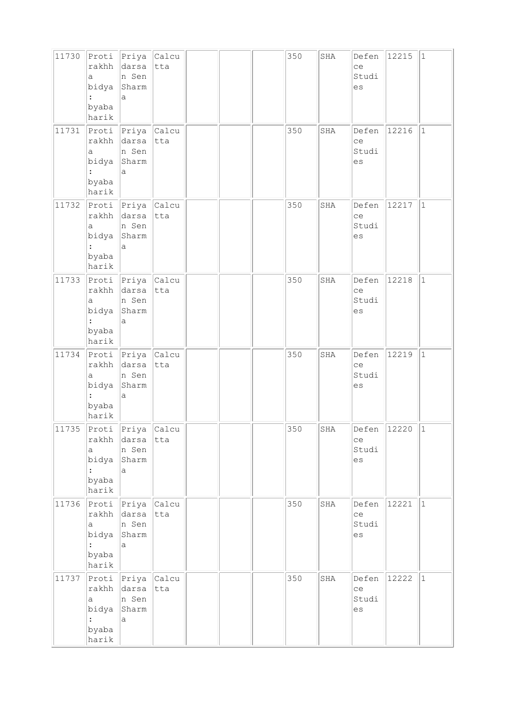| 11730 | rakhh<br>а<br>bidya<br>byaba<br>harik          | Proti Priya Calcu<br>darsa tta<br>n Sen<br>Sharm<br>a               |  |  | 350 | SHA          | Defen<br>ce<br>Studi<br>es          | 12215 | $\vert$ 1    |
|-------|------------------------------------------------|---------------------------------------------------------------------|--|--|-----|--------------|-------------------------------------|-------|--------------|
| 11731 | rakhh<br>а<br>bidya<br>byaba<br>harik          | Proti Priya Calcu<br>darsa tta<br>n Sen<br>Sharm<br>a               |  |  | 350 | SHA          | Defen<br>ce<br>Studi<br>es          | 12216 | $\mathbf{1}$ |
| 11732 | a<br>bidya<br>byaba<br>harik                   | Proti Priya Calcu<br>rakhh darsa tta<br>n Sen<br>Sharm<br>a         |  |  | 350 | SHA          | Defen<br>ce<br>Studi<br>es          | 12217 | $\mathbf{1}$ |
| 11733 | а<br>bidya<br>byaba<br>harik                   | Proti Priya Calcu<br>rakhh darsa tta<br>n Sen<br>Sharm<br>a         |  |  | 350 | SHA          | Defen<br>ce<br>Studi<br>es          | 12218 | $\mathbf{1}$ |
| 11734 | rakhh<br>а<br>byaba<br>harik                   | Proti Priya Calcu<br>darsa tta<br>n Sen<br>bidya Sharm<br>a         |  |  | 350 | SHA          | Defen<br>ce<br>Studi<br>es          | 12219 | $\vert$ 1    |
| 11735 | a<br>bidya<br>byaba<br>harik                   | Proti Priya Calcu<br>rakhh darsa tta<br>n Sen<br>Sharm<br>a         |  |  | 350 | $_{\rm SHA}$ | Defen $ 12220$<br>ce<br>Studi<br>es |       | $\vert$ 1    |
| 11736 | a<br>:<br>byaba<br>harik                       | Proti Priya Calcu<br>rakhh darsa tta<br>n Sen<br>bidya Sharm<br>la. |  |  | 350 | SHA          | Defen<br>ce<br>Studi<br>es          | 12221 | $\mathbf{1}$ |
| 11737 | а<br>bidya<br>$\ddot{\cdot}$<br>byaba<br>harik | Proti Priya Calcu<br>rakhh darsa tta<br>n Sen<br>Sharm<br>a         |  |  | 350 | SHA          | Defen<br>ce<br>Studi<br>es          | 12222 | $ 1\rangle$  |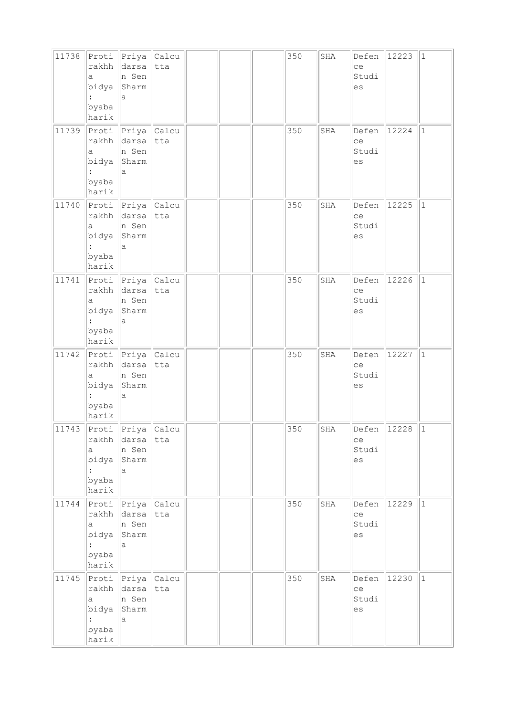| 11738 | rakhh<br>а<br>bidya<br>byaba<br>harik                         | Proti Priya Calcu<br>darsa tta<br>n Sen<br>Sharm<br>a       |     |  | 350 | SHA          | Defen<br>ce<br>Studi<br>es | 12223 | $ 1\rangle$   |
|-------|---------------------------------------------------------------|-------------------------------------------------------------|-----|--|-----|--------------|----------------------------|-------|---------------|
| 11739 | а<br>bidya<br>:<br>byaba<br>harik                             | Proti Priya Calcu<br>rakhh darsa tta<br>n Sen<br>Sharm<br>a |     |  | 350 | SHA          | Defen<br>ce<br>Studi<br>es | 12224 | $\mathbf{1}$  |
| 11740 | rakhh<br>a<br>bidya Sharm<br>$\ddot{\cdot}$<br>byaba<br>harik | Proti Priya Calcu<br>darsa tta<br>n Sen<br>a                |     |  | 350 | SHA          | Defen<br>ce<br>Studi<br>es | 12225 | $\mathbf{1}$  |
| 11741 | а<br>bidya<br>byaba<br>harik                                  | Proti Priya Calcu<br>rakhh darsa tta<br>n Sen<br>Sharm<br>a |     |  | 350 | SHA          | Defen<br>ce<br>Studi<br>es | 12226 | $\vert$ 1     |
| 11742 | rakhh<br>а<br>bidya<br>byaba<br>harik                         | Proti Priya Calcu<br>darsa<br>n Sen<br>Sharm<br>a           | tta |  | 350 | SHA          | Defen<br>ce<br>Studi<br>es | 12227 | $\mathbf{1}$  |
| 11743 | a<br>bidya Sharm<br>$\ddot{\cdot}$<br>byaba<br>harik          | Proti Priya Calcu<br>rakhh darsa tta<br>n Sen<br>a          |     |  | 350 | SHA          | Defen<br>ce<br>Studi<br>es | 12228 | $\parallel$ 1 |
| 11744 | а<br>bidya Sharm<br>$\ddot{\cdot}$<br>byaba<br>harik          | Proti Priya Calcu<br>rakhh darsa tta<br>n Sen<br>a          |     |  | 350 | SHA          | Defen<br>ce<br>Studi<br>es | 12229 | $\mathbf{1}$  |
| 11745 | а<br>bidya Sharm<br>$\ddot{\cdot}$<br>byaba<br>harik          | Proti Priya Calcu<br>rakhh darsa tta<br>n Sen<br>a          |     |  | 350 | $_{\rm SHA}$ | Defen<br>ce<br>Studi<br>es | 12230 | $\vert$ 1     |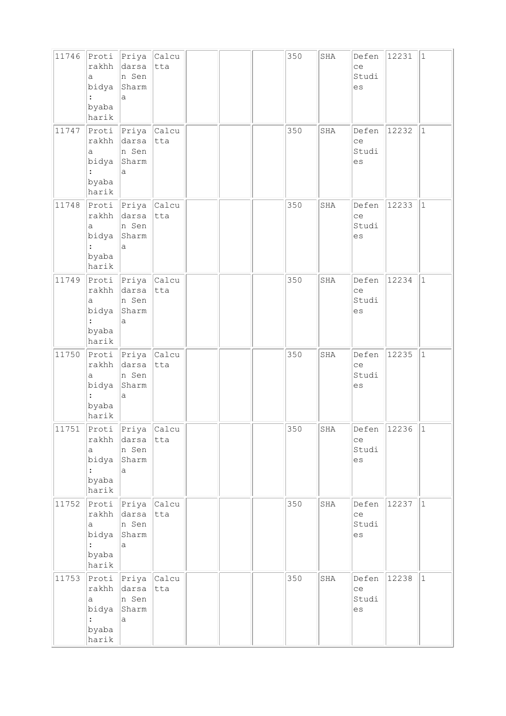| 11746 | rakhh<br>а<br>bidya<br>byaba<br>harik                   | Proti Priya Calcu<br>darsa tta<br>n Sen<br>Sharm<br>a       |     |  | 350 | SHA          | Defen<br>ce<br>Studi<br>es | 12231   | $\vert$ 1    |
|-------|---------------------------------------------------------|-------------------------------------------------------------|-----|--|-----|--------------|----------------------------|---------|--------------|
| 11747 | а<br>bidya<br>:<br>byaba<br>harik                       | Proti Priya Calcu<br>rakhh darsa tta<br>n Sen<br>Sharm<br>a |     |  | 350 | SHA          | Defen<br>ce<br>Studi<br>es | 12232   | $\mathbf{1}$ |
| 11748 | rakhh<br>a<br>bidya<br>$\ddot{\cdot}$<br>byaba<br>harik | Proti Priya Calcu<br>darsa tta<br>n Sen<br>Sharm<br>a       |     |  | 350 | SHA          | Defen<br>ce<br>Studi<br>es | 12233   | $\mathbf{1}$ |
| 11749 | а<br>bidya<br>byaba<br>harik                            | Proti Priya Calcu<br>rakhh darsa tta<br>n Sen<br>Sharm<br>a |     |  | 350 | SHA          | Defen<br>ce<br>Studi<br>es | 12234   | $\mathbf{1}$ |
| 11750 | rakhh<br>а<br>bidya<br>byaba<br>harik                   | Proti Priya Calcu<br>darsa<br>n Sen<br>Sharm<br>a           | tta |  | 350 | SHA          | Defen<br>ce<br>Studi<br>es | 12235   | $\mathbf{1}$ |
| 11751 | a<br>bidya Sharm<br>$\ddot{\cdot}$<br>byaba<br>harik    | Proti Priya Calcu<br>rakhh darsa tta<br>n Sen<br>a          |     |  | 350 | SHA          | Defen<br>ce<br>Studi<br>es | 12236 1 |              |
| 11752 | а<br>bidya Sharm<br>$\ddot{\cdot}$<br>byaba<br>harik    | Proti Priya Calcu<br>rakhh darsa tta<br>n Sen<br>a          |     |  | 350 | SHA          | Defen<br>ce<br>Studi<br>es | 12237   | $\mathbf{1}$ |
| 11753 | а<br>bidya Sharm<br>$\ddot{\cdot}$<br>byaba<br>harik    | Proti Priya Calcu<br>rakhh darsa tta<br>n Sen<br>a          |     |  | 350 | $_{\rm SHA}$ | Defen<br>ce<br>Studi<br>es | 12238   | $\vert$ 1    |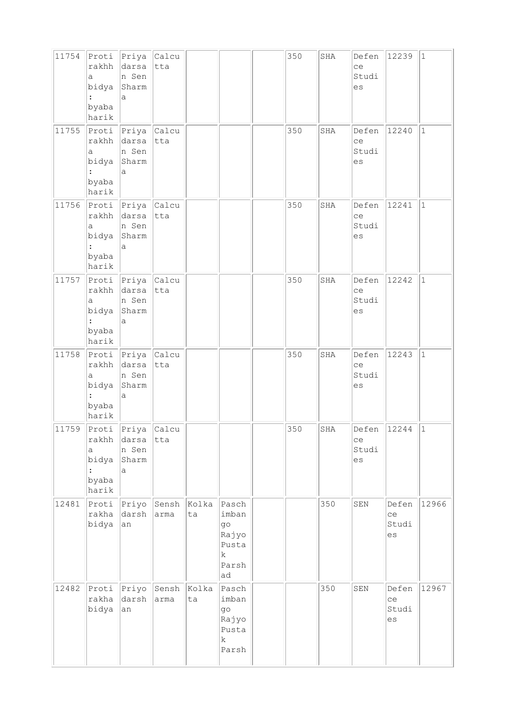| 11754 | Proti<br>rakhh<br>а<br>bidya<br>byaba<br>harik     | Priya Calcu<br>darsa<br>n Sen<br>Sharm<br>a                                 | tta           |             |                                                            | 350 | SHA | Defen<br>ce<br>Studi<br>es         | 12239                      | $ 1\rangle$   |
|-------|----------------------------------------------------|-----------------------------------------------------------------------------|---------------|-------------|------------------------------------------------------------|-----|-----|------------------------------------|----------------------------|---------------|
| 11755 | $ $ Proti<br>rakhh<br>а<br>bidya<br>byaba<br>harik | $\left \right $ Priya $\left \right $ Calcu<br>darsa<br>n Sen<br>Sharm<br>a | tta           |             |                                                            | 350 | SHA | Defen<br>ce<br>Studi<br>es         | 12240                      | $ 1\rangle$   |
| 11756 | Proti<br>rakhh<br>a<br>bidya<br>byaba<br>harik     | Priya Calcu<br>darsa tta<br>n Sen<br>Sharm<br>a                             |               |             |                                                            | 350 | SHA | Defen<br>ce<br>Studi<br>es         | 12241                      | $ 1\rangle$   |
| 11757 | rakhh<br>а<br>bidya<br>byaba<br>harik              | Proti Priya Calcu<br>darsa tta<br>n Sen<br>Sharm<br>a                       |               |             |                                                            | 350 | SHA | Defen<br>ce<br>Studi<br>es         | 12242                      | $\vert$ 1     |
| 11758 | Proti<br>rakhh<br>а<br>bidya<br>byaba<br>harik     | $\ $ Priya $\ $ Calcu<br>darsa<br>n Sen<br>Sharm<br>a                       | tta           |             |                                                            | 350 | SHA | Defen<br>ce<br>Studi<br>es         | 12243                      | $\vert$ 1     |
| 11759 | a<br>bidya<br>byaba<br>harik                       | Proti Priya Calcu<br>rakhh darsa<br>n Sen<br>Sharm<br>a                     | tta           |             |                                                            | 350 | SHA | $Defen$ 12244<br>ce<br>Studi<br>es |                            | $\parallel$ 1 |
| 12481 | Proti<br>rakha<br>bidya                            | Priyo Sensh<br>darsh<br>an                                                  | arma          | Kolka<br>ta | Pasch<br>imban<br>go<br>Rajyo<br>Pusta<br>k<br>Parsh<br>ad |     | 350 | ${\tt SEM}$                        | Defen<br>ce<br>Studi<br>es | 12966         |
| 12482 | Proti<br>rakha<br>bidya                            | Priyo<br>darsh<br>an                                                        | Sensh<br>arma | Kolka<br>ta | Pasch<br>imban<br>go<br>Rajyo<br>Pusta<br>k<br>Parsh       |     | 350 | SEN                                | Defen<br>ce<br>Studi<br>es | 12967         |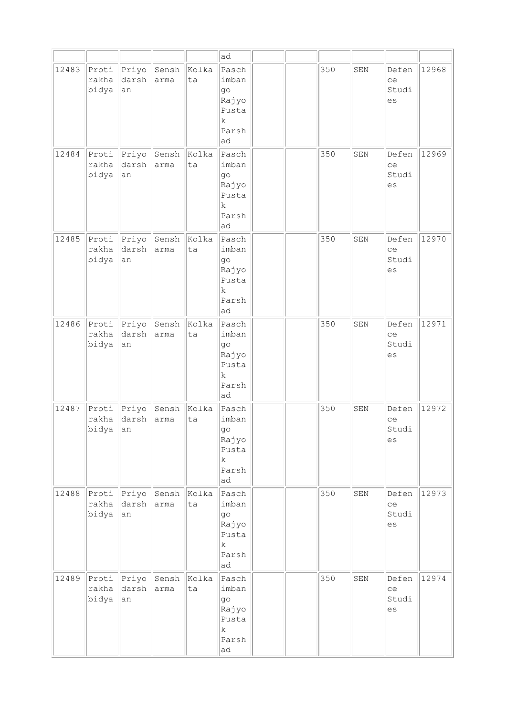|       |                         |                      |               |             | ad                                                                   |  |     |     |                            |       |
|-------|-------------------------|----------------------|---------------|-------------|----------------------------------------------------------------------|--|-----|-----|----------------------------|-------|
| 12483 | Proti<br>rakha<br>bidya | Priyo<br>darsh<br>an | Sensh<br>arma | Kolka<br>ta | Pasch<br>imban<br>go<br>Rajyo<br>Pusta<br>$\rm k$<br>Parsh<br>ad     |  | 350 | SEN | Defen<br>ce<br>Studi<br>es | 12968 |
| 12484 | Proti<br>rakha<br>bidya | Priyo<br>darsh<br>an | Sensh<br>arma | Kolka<br>ta | Pasch<br>imban<br>go<br>Rajyo<br>Pusta<br>$\mathbf k$<br>Parsh<br>ad |  | 350 | SEN | Defen<br>ce<br>Studi<br>es | 12969 |
| 12485 | Proti<br>rakha<br>bidya | Priyo<br>darsh<br>an | Sensh<br>arma | Kolka<br>ta | Pasch<br>imban<br>go<br>Rajyo<br>Pusta<br>$\mathbf k$<br>Parsh<br>ad |  | 350 | SEN | Defen<br>ce<br>Studi<br>es | 12970 |
| 12486 | Proti<br>rakha<br>bidya | Priyo<br>darsh<br>an | Sensh<br>arma | Kolka<br>ta | Pasch<br>imban<br>go<br>Rajyo<br>Pusta<br>$\rm k$<br>Parsh<br>ad     |  | 350 | SEN | Defen<br>ce<br>Studi<br>es | 12971 |
| 12487 | Proti<br>rakha<br>bidya | Priyo<br>darsh<br>an | Sensh<br>arma | Kolka<br>ta | Pasch<br>imban<br>go<br>Rajyo<br>Pusta<br>$\mathbf k$<br>Parsh<br>ad |  | 350 | SEN | Defen<br>ce<br>Studi<br>es | 12972 |
| 12488 | Proti<br>rakha<br>bidya | Priyo<br>darsh<br>an | Sensh<br>arma | Kolka<br>ta | Pasch<br>imban<br> go<br>Rajyo<br>Pusta<br>k<br>Parsh<br>ad          |  | 350 | SEN | Defen<br>ce<br>Studi<br>es | 12973 |
| 12489 | Proti<br>rakha<br>bidya | Priyo<br>darsh<br>an | Sensh<br>arma | Kolka<br>ta | Pasch<br>imban<br>$g\circ$<br>Rajyo<br>Pusta<br>k<br>Parsh<br>ad     |  | 350 | SEN | Defen<br>ce<br>Studi<br>es | 12974 |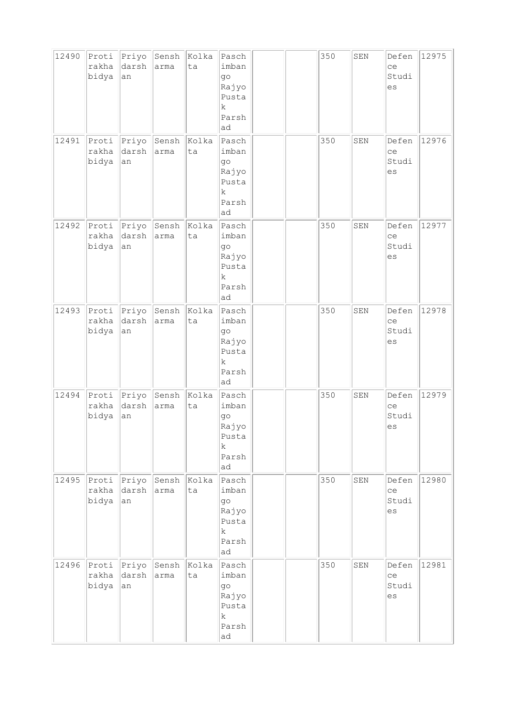| 12490 | Proti<br>rakha<br>bidya | Priyo<br>darsh<br>an | Sensh<br>arma | Kolka<br>ta | Pasch<br>imban<br>$g \circ$<br>Rajyo<br>Pusta<br>k<br>Parsh<br>ad    |  | 350 | SEN | Defen<br>ce<br>Studi<br>es | 12975 |
|-------|-------------------------|----------------------|---------------|-------------|----------------------------------------------------------------------|--|-----|-----|----------------------------|-------|
| 12491 | Proti<br>rakha<br>bidya | Priyo<br>darsh<br>an | Sensh<br>arma | Kolka<br>ta | Pasch<br>imban<br>go<br>Rajyo<br>Pusta<br>$\mathbf k$<br>Parsh<br>ad |  | 350 | SEN | Defen<br>ce<br>Studi<br>es | 12976 |
| 12492 | Proti<br>rakha<br>bidya | Priyo<br>darsh<br>an | Sensh<br>arma | Kolka<br>ta | Pasch<br>imban<br>go<br>Rajyo<br>Pusta<br>k<br>Parsh<br>ad           |  | 350 | SEN | Defen<br>ce<br>Studi<br>es | 12977 |
| 12493 | Proti<br>rakha<br>bidya | Priyo<br>darsh<br>an | Sensh<br>arma | Kolka<br>ta | Pasch<br>imban<br>$g \circ$<br>Rajyo<br>Pusta<br>k<br>Parsh<br>ad    |  | 350 | SEN | Defen<br>ce<br>Studi<br>es | 12978 |
| 12494 | Proti<br>rakha<br>bidya | Priyo<br>darsh<br>an | Sensh<br>arma | Kolka<br>ta | Pasch<br>imban<br>go<br>Rajyo<br>Pusta<br>k<br>Parsh<br>ad           |  | 350 | SEN | Defen<br>ce<br>Studi<br>es | 12979 |
| 12495 | Proti<br>rakha<br>bidya | Priyo<br>darsh<br>an | Sensh<br>arma | Kolka<br>ta | Pasch<br>imban<br>go<br>Rajyo<br>Pusta<br>$\mathbf k$<br>Parsh<br>ad |  | 350 | SEN | Defen<br>ce<br>Studi<br>es | 12980 |
| 12496 | Proti<br>rakha<br>bidya | Priyo<br>darsh<br>an | Sensh<br>arma | Kolka<br>ta | Pasch<br>imban<br>go<br>Rajyo<br>Pusta<br>k<br>Parsh<br>ad           |  | 350 | SEN | Defen<br>ce<br>Studi<br>es | 12981 |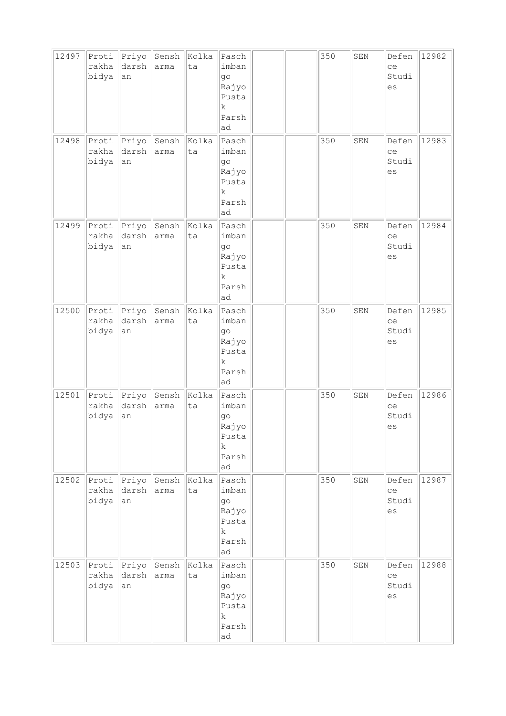| 12497 | Proti<br>rakha<br>bidya | Priyo<br>darsh<br>an | Sensh<br>arma | Kolka<br>ta | Pasch<br>imban<br>$g \circ$<br>Rajyo<br>Pusta<br>k<br>Parsh<br>ad    |  | 350 | SEN | Defen<br>ce<br>Studi<br>es | 12982 |
|-------|-------------------------|----------------------|---------------|-------------|----------------------------------------------------------------------|--|-----|-----|----------------------------|-------|
| 12498 | Proti<br>rakha<br>bidya | Priyo<br>darsh<br>an | Sensh<br>arma | Kolka<br>ta | Pasch<br>imban<br>go<br>Rajyo<br>Pusta<br>$\mathbf k$<br>Parsh<br>ad |  | 350 | SEN | Defen<br>ce<br>Studi<br>es | 12983 |
| 12499 | Proti<br>rakha<br>bidya | Priyo<br>darsh<br>an | Sensh<br>arma | Kolka<br>ta | $\vert$ Pasch<br>imban<br>go<br>Rajyo<br>Pusta<br>k<br>Parsh<br>ad   |  | 350 | SEN | Defen<br>ce<br>Studi<br>es | 12984 |
| 12500 | Proti<br>rakha<br>bidya | Priyo<br>darsh<br>an | Sensh<br>arma | Kolka<br>ta | Pasch<br>imban<br>go<br>Rajyo<br>Pusta<br>k<br>Parsh<br>ad           |  | 350 | SEN | Defen<br>ce<br>Studi<br>es | 12985 |
| 12501 | Proti<br>rakha<br>bidya | Priyo<br>darsh<br>an | Sensh<br>arma | Kolka<br>ta | Pasch<br>imban<br>go<br>Rajyo<br>Pusta<br>k<br>Parsh<br>ad           |  | 350 | SEN | Defen<br>ce<br>Studi<br>es | 12986 |
| 12502 | Proti<br>rakha<br>bidya | Priyo<br>darsh<br>an | Sensh<br>arma | Kolka<br>ta | Pasch<br>imban<br>go<br>Rajyo<br>Pusta<br>$\mathbf k$<br>Parsh<br>ad |  | 350 | SEN | Defen<br>ce<br>Studi<br>es | 12987 |
| 12503 | Proti<br>rakha<br>bidya | Priyo<br>darsh<br>an | Sensh<br>arma | Kolka<br>ta | Pasch<br>imban<br>go<br>Rajyo<br>Pusta<br>k<br>Parsh<br>ad           |  | 350 | SEN | Defen<br>ce<br>Studi<br>es | 12988 |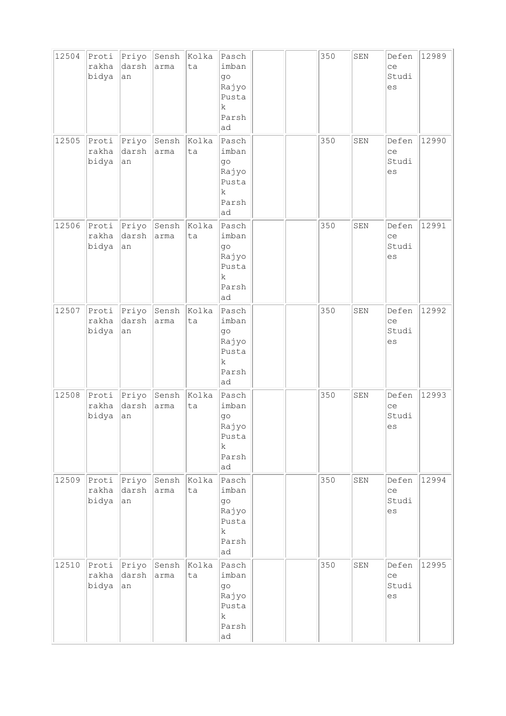| 12504 | Proti<br>rakha<br>bidya | Priyo<br>darsh<br>an | Sensh<br>arma | Kolka<br>ta | Pasch<br>imban<br>$g \circ$<br>Rajyo<br>Pusta<br>k<br>Parsh<br>ad    |  | 350 | SEN | Defen<br>ce<br>Studi<br>es | 12989 |
|-------|-------------------------|----------------------|---------------|-------------|----------------------------------------------------------------------|--|-----|-----|----------------------------|-------|
| 12505 | Proti<br>rakha<br>bidya | Priyo<br>darsh<br>an | Sensh<br>arma | Kolka<br>ta | Pasch<br>imban<br>go<br>Rajyo<br>Pusta<br>$\mathbf k$<br>Parsh<br>ad |  | 350 | SEN | Defen<br>ce<br>Studi<br>es | 12990 |
| 12506 | Proti<br>rakha<br>bidya | Priyo<br>darsh<br>an | Sensh<br>arma | Kolka<br>ta | $\vert$ Pasch<br>imban<br>go<br>Rajyo<br>Pusta<br>k<br>Parsh<br>ad   |  | 350 | SEN | Defen<br>ce<br>Studi<br>es | 12991 |
| 12507 | Proti<br>rakha<br>bidya | Priyo<br>darsh<br>an | Sensh<br>arma | Kolka<br>ta | Pasch<br>imban<br>$g \circ$<br>Rajyo<br>Pusta<br>k<br>Parsh<br>ad    |  | 350 | SEN | Defen<br>ce<br>Studi<br>es | 12992 |
| 12508 | Proti<br>rakha<br>bidya | Priyo<br>darsh<br>an | Sensh<br>arma | Kolka<br>ta | Pasch<br>imban<br>go<br>Rajyo<br>Pusta<br>k<br>Parsh<br>ad           |  | 350 | SEN | Defen<br>ce<br>Studi<br>es | 12993 |
| 12509 | Proti<br>rakha<br>bidya | Priyo<br>darsh<br>an | Sensh<br>arma | Kolka<br>ta | Pasch<br>imban<br>go<br>Rajyo<br>Pusta<br>$\mathbf k$<br>Parsh<br>ad |  | 350 | SEN | Defen<br>ce<br>Studi<br>es | 12994 |
| 12510 | Proti<br>rakha<br>bidya | Priyo<br>darsh<br>an | Sensh<br>arma | Kolka<br>ta | Pasch<br>imban<br>go<br>Rajyo<br>Pusta<br>k<br>Parsh<br>ad           |  | 350 | SEN | Defen<br>ce<br>Studi<br>es | 12995 |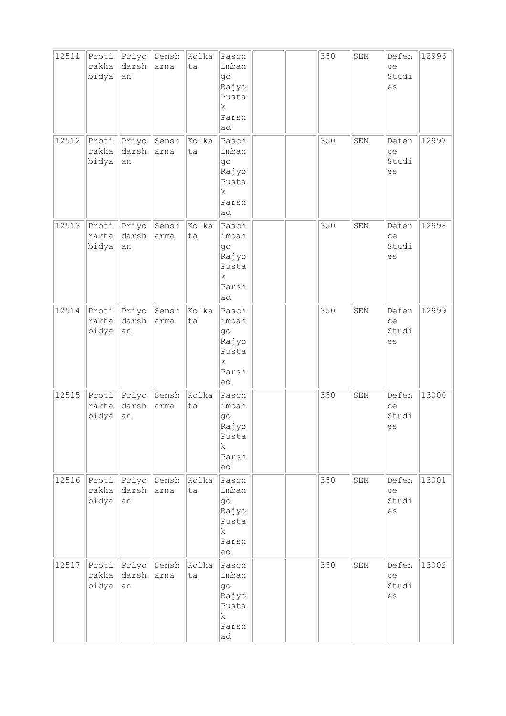| 12511 | Proti<br>rakha<br>bidya | Priyo<br>darsh<br>an | Sensh<br>arma | Kolka<br>ta | Pasch<br>imban<br>$g \circ$<br>Rajyo<br>Pusta<br>k<br>Parsh<br>ad    |  | 350 | SEN | Defen<br>ce<br>Studi<br>es | 12996 |
|-------|-------------------------|----------------------|---------------|-------------|----------------------------------------------------------------------|--|-----|-----|----------------------------|-------|
| 12512 | Proti<br>rakha<br>bidya | Priyo<br>darsh<br>an | Sensh<br>arma | Kolka<br>ta | Pasch<br>imban<br>go<br>Rajyo<br>Pusta<br>$\mathbf k$<br>Parsh<br>ad |  | 350 | SEN | Defen<br>ce<br>Studi<br>es | 12997 |
| 12513 | Proti<br>rakha<br>bidya | Priyo<br>darsh<br>an | Sensh<br>arma | Kolka<br>ta | $\vert$ Pasch<br>imban<br>go<br>Rajyo<br>Pusta<br>k<br>Parsh<br>ad   |  | 350 | SEN | Defen<br>ce<br>Studi<br>es | 12998 |
| 12514 | Proti<br>rakha<br>bidya | Priyo<br>darsh<br>an | Sensh<br>arma | Kolka<br>ta | Pasch<br>imban<br>go<br>Rajyo<br>Pusta<br>k<br>Parsh<br>ad           |  | 350 | SEN | Defen<br>ce<br>Studi<br>es | 12999 |
| 12515 | Proti<br>rakha<br>bidya | Priyo<br>darsh<br>an | Sensh<br>arma | Kolka<br>ta | Pasch<br>imban<br>go<br>Rajyo<br>Pusta<br>k<br>Parsh<br>ad           |  | 350 | SEN | Defen<br>ce<br>Studi<br>es | 13000 |
| 12516 | Proti<br>rakha<br>bidya | Priyo<br>darsh<br>an | Sensh<br>arma | Kolka<br>ta | Pasch<br>imban<br>go<br>Rajyo<br>Pusta<br>$\mathbf k$<br>Parsh<br>ad |  | 350 | SEN | Defen<br>ce<br>Studi<br>es | 13001 |
| 12517 | Proti<br>rakha<br>bidya | Priyo<br>darsh<br>an | Sensh<br>arma | Kolka<br>ta | Pasch<br>imban<br>go<br>Rajyo<br>Pusta<br>k<br>Parsh<br>ad           |  | 350 | SEN | Defen<br>ce<br>Studi<br>es | 13002 |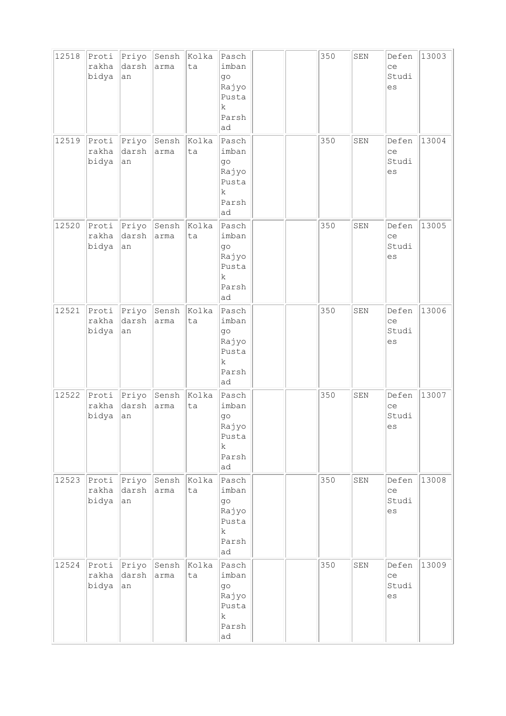| 12518 | Proti<br>rakha<br>bidya | Priyo<br>darsh<br>an | Sensh<br>arma | Kolka<br>ta | Pasch<br>imban<br>$g \circ$<br>Rajyo<br>Pusta<br>k<br>Parsh<br>ad    |  | 350 | SEN | Defen<br>ce<br>Studi<br>es | 13003 |
|-------|-------------------------|----------------------|---------------|-------------|----------------------------------------------------------------------|--|-----|-----|----------------------------|-------|
| 12519 | Proti<br>rakha<br>bidya | Priyo<br>darsh<br>an | Sensh<br>arma | Kolka<br>ta | Pasch<br>imban<br>go<br>Rajyo<br>Pusta<br>$\mathbf k$<br>Parsh<br>ad |  | 350 | SEN | Defen<br>ce<br>Studi<br>es | 13004 |
| 12520 | Proti<br>rakha<br>bidya | Priyo<br>darsh<br>an | Sensh<br>arma | Kolka<br>ta | $\vert$ Pasch<br>imban<br>go<br>Rajyo<br>Pusta<br>k<br>Parsh<br>ad   |  | 350 | SEN | Defen<br>ce<br>Studi<br>es | 13005 |
| 12521 | Proti<br>rakha<br>bidya | Priyo<br>darsh<br>an | Sensh<br>arma | Kolka<br>ta | Pasch<br>imban<br>go<br>Rajyo<br>Pusta<br>k<br>Parsh<br>ad           |  | 350 | SEN | Defen<br>ce<br>Studi<br>es | 13006 |
| 12522 | Proti<br>rakha<br>bidya | Priyo<br>darsh<br>an | Sensh<br>arma | Kolka<br>ta | Pasch<br>imban<br>go<br>Rajyo<br>Pusta<br>k<br>Parsh<br>ad           |  | 350 | SEN | Defen<br>ce<br>Studi<br>es | 13007 |
| 12523 | Proti<br>rakha<br>bidya | Priyo<br>darsh<br>an | Sensh<br>arma | Kolka<br>ta | Pasch<br>imban<br>go<br>Rajyo<br>Pusta<br>$\mathbf k$<br>Parsh<br>ad |  | 350 | SEN | Defen<br>ce<br>Studi<br>es | 13008 |
| 12524 | Proti<br>rakha<br>bidya | Priyo<br>darsh<br>an | Sensh<br>arma | Kolka<br>ta | Pasch<br>imban<br>go<br>Rajyo<br>Pusta<br>k<br>Parsh<br>ad           |  | 350 | SEN | Defen<br>ce<br>Studi<br>es | 13009 |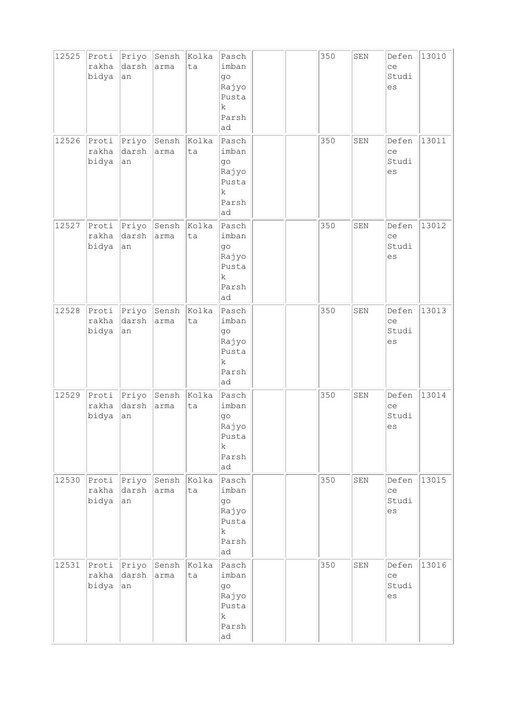| 12525 | Proti<br>rakha<br>bidya | Priyo<br>darsh<br>an | Sensh<br>arma | Kolka<br>ta | Pasch<br>imban<br>$g \circ$<br>Rajyo<br>Pusta<br>k<br>Parsh<br>ad    |  | 350 | SEN | Defen<br>ce<br>Studi<br>es | 13010 |
|-------|-------------------------|----------------------|---------------|-------------|----------------------------------------------------------------------|--|-----|-----|----------------------------|-------|
| 12526 | Proti<br>rakha<br>bidya | Priyo<br>darsh<br>an | Sensh<br>arma | Kolka<br>ta | Pasch<br>imban<br>go<br>Rajyo<br>Pusta<br>k<br>Parsh<br>ad           |  | 350 | SEN | Defen<br>ce<br>Studi<br>es | 13011 |
| 12527 | Proti<br>rakha<br>bidya | Priyo<br>darsh<br>an | Sensh<br>arma | Kolka<br>ta | Pasch<br>imban<br>go<br>Rajyo<br>Pusta<br>$\mathbf k$<br>Parsh<br>ad |  | 350 | SEN | Defen<br>ce<br>Studi<br>es | 13012 |
| 12528 | Proti<br>rakha<br>bidya | Priyo<br>darsh<br>an | Sensh<br>arma | Kolka<br>ta | Pasch<br>imban<br>go<br>Rajyo<br>Pusta<br>k<br>Parsh<br>ad           |  | 350 | SEN | Defen<br>ce<br>Studi<br>es | 13013 |
| 12529 | Proti<br>rakha<br>bidya | Priyo<br>darsh<br>an | Sensh<br>arma | Kolka<br>ta | Pasch<br>imban<br>go<br>Rajyo<br>Pusta<br>$\mathbf k$<br>Parsh<br>ad |  | 350 | SEN | Defen<br>ce<br>Studi<br>es | 13014 |
| 12530 | Proti<br>rakha<br>bidya | Priyo<br>darsh<br>an | Sensh<br>arma | Kolka<br>ta | Pasch<br>imban<br>go<br>Rajyo<br>Pusta<br>$\mathbf k$<br>Parsh<br>ad |  | 350 | SEN | Defen<br>ce<br>Studi<br>es | 13015 |
| 12531 | Proti<br>rakha<br>bidya | Priyo<br>darsh<br>an | Sensh<br>arma | Kolka<br>ta | Pasch<br>imban<br>go<br>Rajyo<br>Pusta<br>k<br>Parsh<br>ad           |  | 350 | SEN | Defen<br>ce<br>Studi<br>es | 13016 |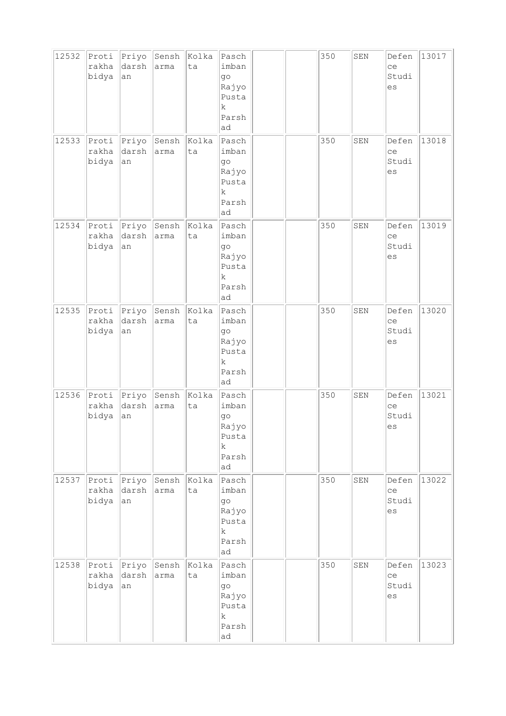| 12532 | Proti<br>rakha<br>bidya | Priyo<br>darsh<br>an | Sensh<br>arma | Kolka<br>ta | Pasch<br>imban<br>$g \circ$<br>Rajyo<br>Pusta<br>k<br>Parsh<br>ad    |  | 350 | SEN | Defen<br>ce<br>Studi<br>es | 13017 |
|-------|-------------------------|----------------------|---------------|-------------|----------------------------------------------------------------------|--|-----|-----|----------------------------|-------|
| 12533 | Proti<br>rakha<br>bidya | Priyo<br>darsh<br>an | Sensh<br>arma | Kolka<br>ta | Pasch<br>imban<br>go<br>Rajyo<br>Pusta<br>$\mathbf k$<br>Parsh<br>ad |  | 350 | SEN | Defen<br>ce<br>Studi<br>es | 13018 |
| 12534 | Proti<br>rakha<br>bidya | Priyo<br>darsh<br>an | Sensh<br>arma | Kolka<br>ta | Pasch<br>imban<br>go<br>Rajyo<br>Pusta<br>$\mathbf k$<br>Parsh<br>ad |  | 350 | SEN | Defen<br>ce<br>Studi<br>es | 13019 |
| 12535 | Proti<br>rakha<br>bidya | Priyo<br>darsh<br>an | Sensh<br>arma | Kolka<br>ta | Pasch<br>imban<br>go<br>Rajyo<br>Pusta<br>k<br>Parsh<br>ad           |  | 350 | SEN | Defen<br>ce<br>Studi<br>es | 13020 |
| 12536 | Proti<br>rakha<br>bidya | Priyo<br>darsh<br>an | Sensh<br>arma | Kolka<br>ta | Pasch<br>imban<br>go<br>Rajyo<br>Pusta<br>k<br>Parsh<br>ad           |  | 350 | SEN | Defen<br>ce<br>Studi<br>es | 13021 |
| 12537 | Proti<br>rakha<br>bidya | Priyo<br>darsh<br>an | Sensh<br>arma | Kolka<br>ta | Pasch<br>imban<br>go<br>Rajyo<br>Pusta<br>$\mathbf k$<br>Parsh<br>ad |  | 350 | SEN | Defen<br>ce<br>Studi<br>es | 13022 |
| 12538 | Proti<br>rakha<br>bidya | Priyo<br>darsh<br>an | Sensh<br>arma | Kolka<br>ta | Pasch<br>imban<br>go<br>Rajyo<br>Pusta<br>k<br>Parsh<br>ad           |  | 350 | SEN | Defen<br>ce<br>Studi<br>es | 13023 |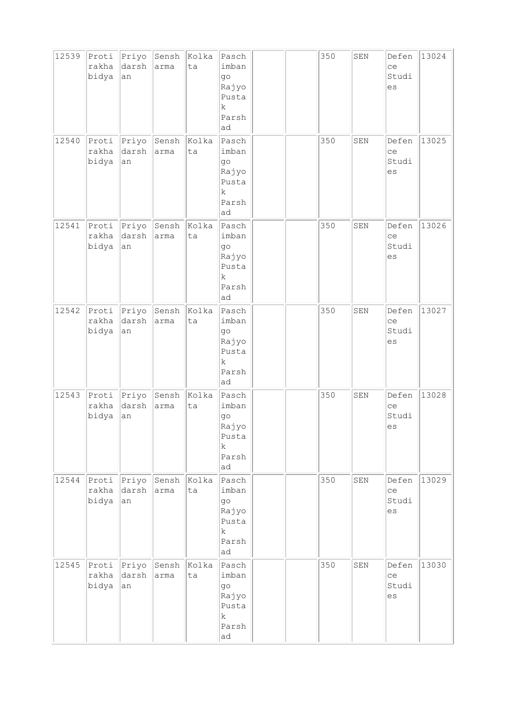| 12539 | Proti<br>rakha<br>bidya | Priyo<br>darsh<br>an | Sensh<br>arma | Kolka<br>ta | Pasch<br>imban<br>$g \circ$<br>Rajyo<br>Pusta<br>k<br>Parsh<br>ad            |  | 350 | SEN | Defen<br>ce<br>Studi<br>es | 13024 |
|-------|-------------------------|----------------------|---------------|-------------|------------------------------------------------------------------------------|--|-----|-----|----------------------------|-------|
| 12540 | Proti<br>rakha<br>bidya | Priyo<br>darsh<br>an | Sensh<br>arma | Kolka<br>ta | Pasch<br>imban<br>go<br>Rajyo<br>Pusta<br>$\mathbf k$<br>Parsh<br>ad         |  | 350 | SEN | Defen<br>ce<br>Studi<br>es | 13025 |
| 12541 | Proti<br>rakha<br>bidya | Priyo<br>darsh<br>an | Sensh<br>arma | Kolka<br>ta | $\vert$ Pasch<br>imban<br>go<br>Rajyo<br>Pusta<br>$\mathbf k$<br>Parsh<br>ad |  | 350 | SEN | Defen<br>ce<br>Studi<br>es | 13026 |
| 12542 | Proti<br>rakha<br>bidya | Priyo<br>darsh<br>an | Sensh<br>arma | Kolka<br>ta | Pasch<br>imban<br>go<br>Rajyo<br>Pusta<br>k<br>Parsh<br>ad                   |  | 350 | SEN | Defen<br>ce<br>Studi<br>es | 13027 |
| 12543 | Proti<br>rakha<br>bidya | Priyo<br>darsh<br>an | Sensh<br>arma | Kolka<br>ta | Pasch<br>imban<br>go<br>Rajyo<br>Pusta<br>k<br>Parsh<br>ad                   |  | 350 | SEN | Defen<br>ce<br>Studi<br>es | 13028 |
| 12544 | Proti<br>rakha<br>bidya | Priyo<br>darsh<br>an | Sensh<br>arma | Kolka<br>ta | Pasch<br>imban<br>go<br>Rajyo<br>Pusta<br>$\mathbf k$<br>Parsh<br>ad         |  | 350 | SEN | Defen<br>ce<br>Studi<br>es | 13029 |
| 12545 | Proti<br>rakha<br>bidya | Priyo<br>darsh<br>an | Sensh<br>arma | Kolka<br>ta | Pasch<br>imban<br>go<br>Rajyo<br>Pusta<br>k<br>Parsh<br>ad                   |  | 350 | SEN | Defen<br>ce<br>Studi<br>es | 13030 |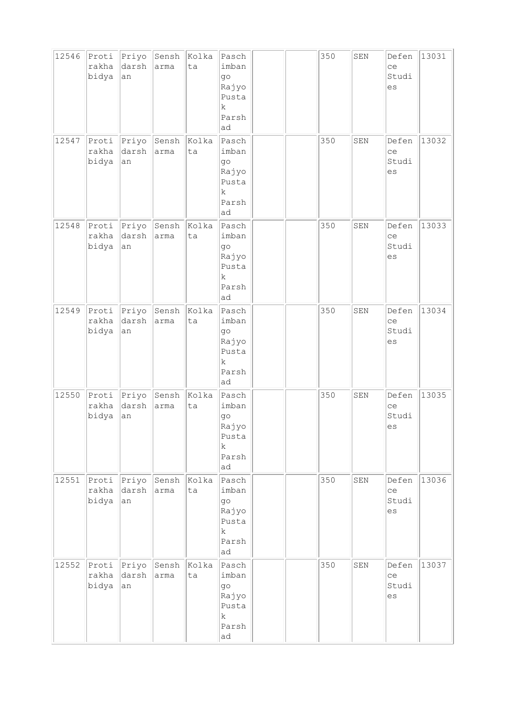| 12546 | Proti<br>rakha<br>bidya | Priyo<br>darsh<br>an | Sensh<br>arma | Kolka<br>ta | Pasch<br>imban<br>$g \circ$<br>Rajyo<br>Pusta<br>k<br>Parsh<br>ad            |  | 350 | SEN | Defen<br>ce<br>Studi<br>es | 13031 |
|-------|-------------------------|----------------------|---------------|-------------|------------------------------------------------------------------------------|--|-----|-----|----------------------------|-------|
| 12547 | Proti<br>rakha<br>bidya | Priyo<br>darsh<br>an | Sensh<br>arma | Kolka<br>ta | Pasch<br>imban<br>go<br>Rajyo<br>Pusta<br>$\mathbf k$<br>Parsh<br>ad         |  | 350 | SEN | Defen<br>ce<br>Studi<br>es | 13032 |
| 12548 | Proti<br>rakha<br>bidya | Priyo<br>darsh<br>an | Sensh<br>arma | Kolka<br>ta | $\vert$ Pasch<br>imban<br>go<br>Rajyo<br>Pusta<br>$\mathbf k$<br>Parsh<br>ad |  | 350 | SEN | Defen<br>ce<br>Studi<br>es | 13033 |
| 12549 | Proti<br>rakha<br>bidya | Priyo<br>darsh<br>an | Sensh<br>arma | Kolka<br>ta | Pasch<br>imban<br>go<br>Rajyo<br>Pusta<br>k<br>Parsh<br>ad                   |  | 350 | SEN | Defen<br>ce<br>Studi<br>es | 13034 |
| 12550 | Proti<br>rakha<br>bidya | Priyo<br>darsh<br>an | Sensh<br>arma | Kolka<br>ta | Pasch<br>imban<br>go<br>Rajyo<br>Pusta<br>k<br>Parsh<br>ad                   |  | 350 | SEN | Defen<br>ce<br>Studi<br>es | 13035 |
| 12551 | Proti<br>rakha<br>bidya | Priyo<br>darsh<br>an | Sensh<br>arma | Kolka<br>ta | Pasch<br>imban<br>go<br>Rajyo<br>Pusta<br>$\mathbf k$<br>Parsh<br>ad         |  | 350 | SEN | Defen<br>ce<br>Studi<br>es | 13036 |
| 12552 | Proti<br>rakha<br>bidya | Priyo<br>darsh<br>an | Sensh<br>arma | Kolka<br>ta | Pasch<br>imban<br>go<br>Rajyo<br>Pusta<br>k<br>Parsh<br>ad                   |  | 350 | SEN | Defen<br>ce<br>Studi<br>es | 13037 |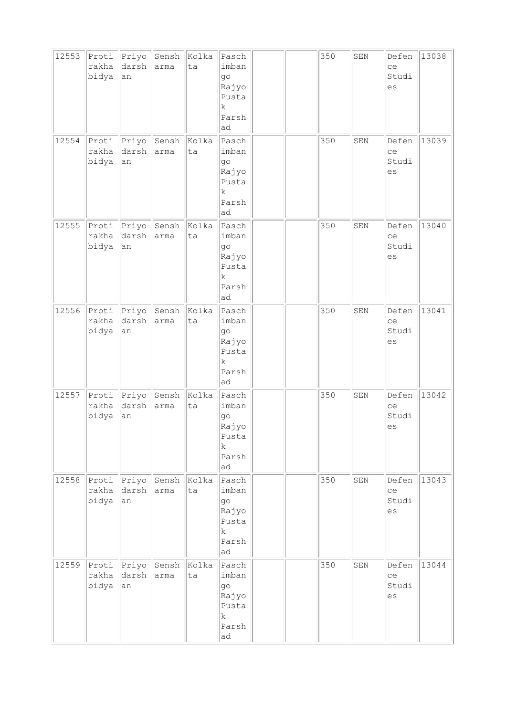| 12553 | Proti<br>rakha<br>bidya | Priyo<br>darsh<br>an | Sensh<br>arma | Kolka<br>ta | Pasch<br>imban<br>$g \circ$<br>Rajyo<br>Pusta<br>k<br>Parsh<br>ad    |  | 350 | SEN | Defen<br>ce<br>Studi<br>es | 13038 |
|-------|-------------------------|----------------------|---------------|-------------|----------------------------------------------------------------------|--|-----|-----|----------------------------|-------|
| 12554 | Proti<br>rakha<br>bidya | Priyo<br>darsh<br>an | Sensh<br>arma | Kolka<br>ta | Pasch<br>imban<br>go<br>Rajyo<br>Pusta<br>k<br>Parsh<br>ad           |  | 350 | SEN | Defen<br>ce<br>Studi<br>es | 13039 |
| 12555 | Proti<br>rakha<br>bidya | Priyo<br>darsh<br>an | Sensh<br>arma | Kolka<br>ta | Pasch<br>imban<br>go<br>Rajyo<br>Pusta<br>$\mathbf k$<br>Parsh<br>ad |  | 350 | SEN | Defen<br>ce<br>Studi<br>es | 13040 |
| 12556 | Proti<br>rakha<br>bidya | Priyo<br>darsh<br>an | Sensh<br>arma | Kolka<br>ta | Pasch<br>imban<br>$g \circ$<br>Rajyo<br>Pusta<br>k<br>Parsh<br>ad    |  | 350 | SEN | Defen<br>ce<br>Studi<br>es | 13041 |
| 12557 | Proti<br>rakha<br>bidya | Priyo<br>darsh<br>an | Sensh<br>arma | Kolka<br>ta | Pasch<br>imban<br>go<br>Rajyo<br>Pusta<br>$\mathbf k$<br>Parsh<br>ad |  | 350 | SEN | Defen<br>ce<br>Studi<br>es | 13042 |
| 12558 | Proti<br>rakha<br>bidya | Priyo<br>darsh<br>an | Sensh<br>arma | Kolka<br>ta | Pasch<br>imban<br>go<br>Rajyo<br>Pusta<br>$\mathbf k$<br>Parsh<br>ad |  | 350 | SEN | Defen<br>ce<br>Studi<br>es | 13043 |
| 12559 | Proti<br>rakha<br>bidya | Priyo<br>darsh<br>an | Sensh<br>arma | Kolka<br>ta | Pasch<br>imban<br>go<br>Rajyo<br>Pusta<br>$\mathbf k$<br>Parsh<br>ad |  | 350 | SEN | Defen<br>ce<br>Studi<br>es | 13044 |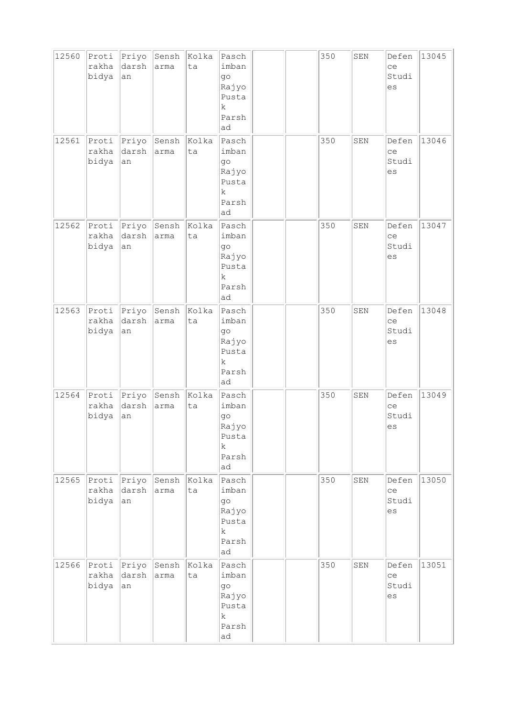| 12560 | Proti<br>rakha<br>bidya | Priyo<br>darsh<br>an | Sensh<br>arma | Kolka<br>ta | Pasch<br>imban<br>go<br>Rajyo<br>Pusta<br>k<br>Parsh<br>ad |  | 350 | SEN         | Defen<br>ce<br>Studi<br>es | 13045 |
|-------|-------------------------|----------------------|---------------|-------------|------------------------------------------------------------|--|-----|-------------|----------------------------|-------|
| 12561 | Proti<br>rakha<br>bidya | Priyo<br>darsh<br>an | Sensh<br>arma | Kolka<br>ta | Pasch<br>imban<br>go<br>Rajyo<br>Pusta<br>k<br>Parsh<br>ad |  | 350 | SEN         | Defen<br>ce<br>Studi<br>es | 13046 |
| 12562 | Proti<br>rakha<br>bidya | Priyo<br>darsh<br>an | Sensh<br>arma | Kolka<br>ta | Pasch<br>imban<br>go<br>Rajyo<br>Pusta<br>k<br>Parsh<br>ad |  | 350 | SEN         | Defen<br>ce<br>Studi<br>es | 13047 |
| 12563 | Proti<br>rakha<br>bidya | Priyo<br>darsh<br>an | Sensh<br>arma | Kolka<br>ta | Pasch<br>imban<br>go<br>Rajyo<br>Pusta<br>k<br>Parsh<br>ad |  | 350 | SEN         | Defen<br>ce<br>Studi<br>es | 13048 |
| 12564 | Proti<br>rakha<br>bidya | Priyo<br>darsh<br>an | Sensh<br>arma | Kolka<br>ta | Pasch<br>imban<br>go<br>Rajyo<br>Pusta<br>k<br>Parsh<br>ad |  | 350 | SEN         | Defen<br>ce<br>Studi<br>es | 13049 |
| 12565 | Proti<br>rakha<br>bidya | Priyo<br>darsh<br>an | Sensh<br>arma | Kolka<br>ta | Pasch<br>imban<br>go<br>Rajyo<br>Pusta<br>k<br>Parsh<br>ad |  | 350 | SEN         | Defen<br>ce<br>Studi<br>es | 13050 |
| 12566 | Proti<br>rakha<br>bidya | Priyo<br>darsh<br>an | Sensh<br>arma | Kolka<br>ta | Pasch<br>imban<br>go<br>Rajyo<br>Pusta<br>k<br>Parsh<br>ad |  | 350 | ${\tt SEN}$ | Defen<br>ce<br>Studi<br>es | 13051 |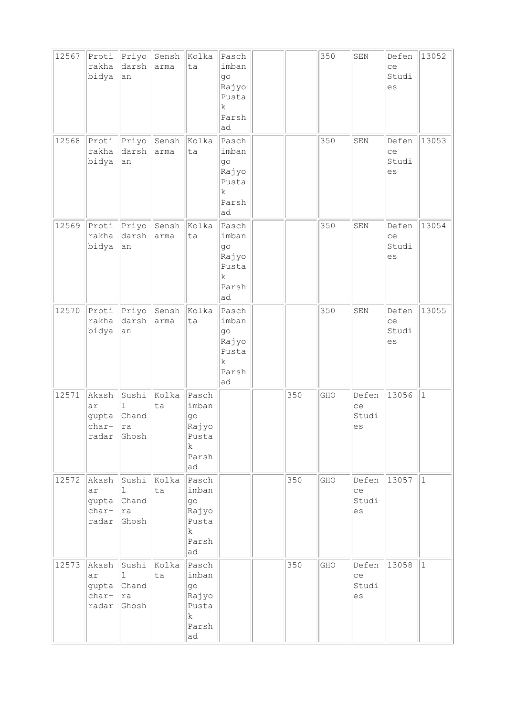| 12567 | Proti<br>rakha<br>bidya                | Priyo<br>darsh<br>an                           | Sensh<br>arma | Kolka<br>ta                                                            | Pasch<br>imban<br>go<br>Rajyo<br>Pusta<br>k<br>Parsh<br>ad |     | 350 | SEN                        | Defen<br>ce<br>Studi<br>es | 13052        |
|-------|----------------------------------------|------------------------------------------------|---------------|------------------------------------------------------------------------|------------------------------------------------------------|-----|-----|----------------------------|----------------------------|--------------|
| 12568 | Proti<br>rakha<br>bidya                | Priyo <br>darsh<br>an                          | Sensh<br>arma | Kolka<br>ta                                                            | Pasch<br>imban<br>go<br>Rajyo<br>Pusta<br>k<br>Parsh<br>ad |     | 350 | SEN                        | Defen<br>ce<br>Studi<br>es | 13053        |
| 12569 | Proti<br>rakha<br>bidya                | Priyo<br>darsh<br>an                           | Sensh<br>arma | Kolka<br>ta                                                            | Pasch<br>imban<br>go<br>Rajyo<br>Pusta<br>k<br>Parsh<br>ad |     | 350 | SEN                        | Defen<br>ce<br>Studi<br>es | 13054        |
| 12570 | Proti<br>rakha<br>bidya                | Priyo<br>darsh<br>an                           | Sensh<br>arma | Kolka<br>ta                                                            | Pasch<br>imban<br>go<br>Rajyo<br>Pusta<br>k<br>Parsh<br>ad |     | 350 | SEN                        | Defen<br>ce<br>Studi<br>es | 13055        |
| 12571 | Akash<br>ar<br>gupta<br>char-<br>radar | Sushi<br>1<br>Chand<br>ra<br>Ghosh             | Kolka<br>ta   | Pasch<br>imban<br>go<br>Rajyo<br>Pusta<br>$\mathbf k$<br>Parsh<br>ad   |                                                            | 350 | GHO | Defen<br>ce<br>Studi<br>es | 13056                      | $\mathbf{1}$ |
| 12572 | Akash<br>ar<br>gupta<br>char-<br>radar | Sushi<br>$\mathbf{1}$<br>Chand<br> ra<br>Ghosh | Kolka<br>ta   | Pasch<br>imban<br>$q\circ$<br>Rajyo<br>Pusta<br>$\rm k$<br>Parsh<br>ad |                                                            | 350 | GHO | Defen<br>ce<br>Studi<br>es | 13057                      | $\mathbf{1}$ |
| 12573 | Akash<br>ar<br>gupta<br>char-<br>radar | Sushi<br>ı<br>Chand<br> ra<br>Ghosh            | Kolka<br>ta   | Pasch<br>imban<br>go<br>Rajyo<br>Pusta<br>$\mathbf k$<br>Parsh<br>ad   |                                                            | 350 | GHO | Defen<br>ce<br>Studi<br>es | 13058                      | $\mathbf{1}$ |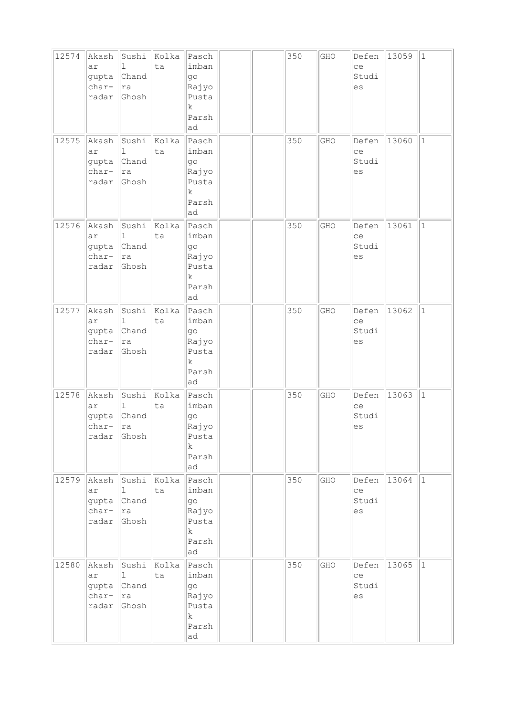| 12574 | Akash<br>ar<br>gupta<br>char-<br>radar | Sushi<br>$\mathbb{L}$<br>Chand<br> ra<br>Ghosh | Kolka<br>ta | Pasch<br>imban<br>go<br>Rajyo<br>Pusta<br>k<br>Parsh<br>ad        |  | 350 | GHO | Defen<br>ce<br>Studi<br>es | 13059 | $\mathbf{1}$ |
|-------|----------------------------------------|------------------------------------------------|-------------|-------------------------------------------------------------------|--|-----|-----|----------------------------|-------|--------------|
| 12575 | Akash<br>ar<br>char-<br>radar          | Sushi<br>ı<br>gupta Chand<br> ra<br>Ghosh      | Kolka<br>ta | Pasch<br>imban<br>go<br>Rajyo<br>Pusta<br>k<br>Parsh<br>ad        |  | 350 | GHO | Defen<br>ce<br>Studi<br>es | 13060 | $\mathbf 1$  |
| 12576 | Akash<br>ar<br>gupta<br>char-<br>radar | Sushi<br>1.<br>Chand<br> ra<br>Ghosh           | Kolka<br>ta | Pasch<br>imban<br>go<br>Rajyo<br>Pusta<br>k<br>Parsh<br>ad        |  | 350 | GHO | Defen<br>ce<br>Studi<br>es | 13061 | $\mathbf 1$  |
| 12577 | Akash<br>ar<br>char-<br>radar          | Sushi<br>1<br>gupta Chand<br> ra<br>Ghosh      | Kolka<br>ta | Pasch<br>imban<br>go<br>Rajyo<br>Pusta<br>k.<br>Parsh<br>ad       |  | 350 | GHO | Defen<br>ce<br>Studi<br>es | 13062 | $\mathbf{1}$ |
| 12578 | Akash<br>ar<br>gupta<br>char-<br>radar | Sushi<br>$\mathbf{1}$<br>Chand<br>ra<br>Ghosh  | Kolka<br>ta | Pasch<br>imban<br>go<br>Rajyo<br>Pusta<br>k<br>Parsh<br>ad        |  | 350 | GHO | Defen<br>ce<br>Studi<br>es | 13063 | $\mathbf{1}$ |
| 12579 | Akash<br>ar<br>gupta<br>char-<br>radar | Sushi<br>$\mathbb{L}$<br>Chand<br> ra<br>Ghosh | Kolka<br>ta | Pasch<br>imban<br>$g \circ$<br>Rajyo<br>Pusta<br>k<br>Parsh<br>ad |  | 350 | GHO | Defen<br>ce<br>Studi<br>es | 13064 | $\mathbf{1}$ |
| 12580 | Akash<br>ar<br>char-<br>radar          | Sushi<br>ı<br>gupta Chand<br> ra<br>Ghosh      | Kolka<br>ta | Pasch<br>imban<br>$g \circ$<br>Rajyo<br>Pusta<br>k<br>Parsh<br>ad |  | 350 | GHO | Defen<br>ce<br>Studi<br>es | 13065 | $\mathbf 1$  |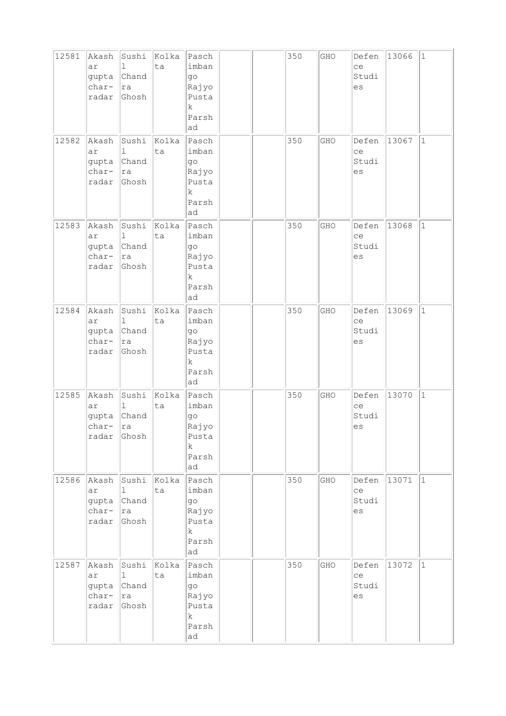| 12581 | Akash<br>ar<br>gupta<br>char-<br>radar | Sushi<br>$\mathbb{L}$<br>Chand<br> ra<br>Ghosh                | Kolka<br>ta       | Pasch<br>imban<br>$q\circ$<br>Rajyo<br>Pusta<br>k.<br>Parsh<br>ad    |  | 350 | GHO | Defen<br>ce<br>Studi<br>es | 13066 | $\mathbf{1}$ |
|-------|----------------------------------------|---------------------------------------------------------------|-------------------|----------------------------------------------------------------------|--|-----|-----|----------------------------|-------|--------------|
| 12582 | Akash<br>ar<br>gupta<br>char-<br>radar | Sushi<br>ı<br>Chand<br> ra<br>Ghosh                           | Kolka<br>ta       | Pasch<br>imban<br>go<br>Rajyo<br>Pusta<br>k<br>Parsh<br>ad           |  | 350 | GHO | Defen<br>ce<br>Studi<br>es | 13067 | $\mathbf 1$  |
| 12583 | Akash<br>ar<br>gupta<br>char-<br>radar | Sushi<br>$\mathbf{1}$<br>Chand<br> ra<br>Ghosh                | Kolka<br>ta       | Pasch<br>imban<br>go<br>Rajyo<br>Pusta<br>k<br>Parsh<br>ad           |  | 350 | GHO | Defen<br>ce<br>Studi<br>es | 13068 | $\mathbf 1$  |
| 12584 | Akash<br>ar<br>char-<br>radar          | Sushi<br>ı<br>gupta Chand<br> ra<br>Ghosh                     | Kolka<br>ta       | Pasch<br>imban<br>go<br>Rajyo<br>Pusta<br>k.<br>Parsh<br>ad          |  | 350 | GHO | Defen<br>ce<br>Studi<br>es | 13069 | $\mathbf{1}$ |
| 12585 | Akash<br>ar<br>gupta<br>char-<br>radar | Sushi<br>$\mathbf{1}$<br>Chand<br>ra<br>Ghosh                 | Kolka<br>ta       | Pasch<br>imban<br>go<br>Rajyo<br>Pusta<br>$\mathbf k$<br>Parsh<br>ad |  | 350 | GHO | Defen<br>ce<br>Studi<br>es | 13070 | $1\,$        |
| 12586 | Akash<br>ar<br>gupta<br>char-<br>radar | $\mathbf{1}$<br>Chand<br>$\lVert \texttt{ra} \rVert$<br>Ghosh | Sushi Kolka<br>ta | Pasch<br>imban<br>go<br>Rajyo<br>Pusta<br>k<br>Parsh<br>ad           |  | 350 | GHO | Defen<br>ce<br>Studi<br>es | 13071 | $\vert$ 1    |
| 12587 | Akash<br>ar<br>char-<br>radar          | Sushi<br>ı<br>gupta Chand<br> ra<br>Ghosh                     | Kolka<br>ta       | Pasch<br>imban<br>go<br>Rajyo<br>Pusta<br>k<br>Parsh<br>ad           |  | 350 | GHO | Defen<br>ce<br>Studi<br>es | 13072 | $\mathbf{1}$ |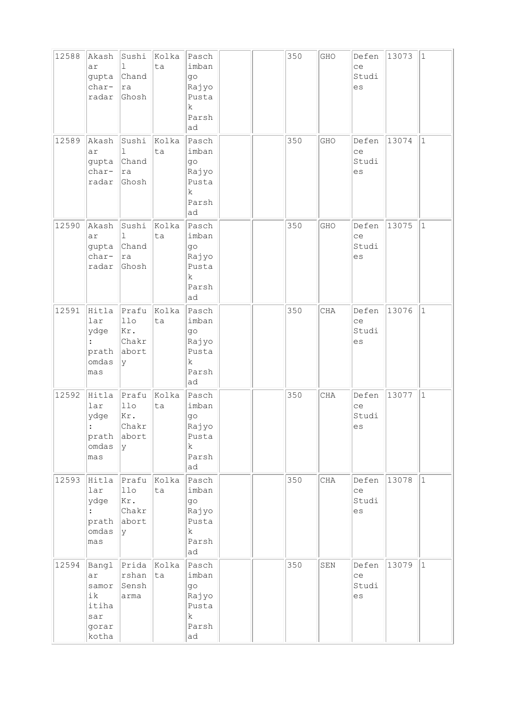| 12588 | Akash<br>ar<br>gupta<br>char-<br>radar                          | Sushi<br>$\mathbb{L}$<br>Chand<br> ra<br>Ghosh    | Kolka<br>ta | Pasch<br>imban<br>$q\circ$<br>Rajyo<br>Pusta<br>k.<br>Parsh<br>ad    |  | 350 | GHO         | Defen<br>ce<br>Studi<br>es | 13073 | $\mathbf{1}$ |
|-------|-----------------------------------------------------------------|---------------------------------------------------|-------------|----------------------------------------------------------------------|--|-----|-------------|----------------------------|-------|--------------|
| 12589 | Akash<br>ar<br>gupta<br>char-<br>radar                          | Sushi<br>ı<br>Chand<br> ra<br>Ghosh               | Kolka<br>ta | Pasch<br>imban<br>go<br>Rajyo<br>Pusta<br>k<br>Parsh<br>ad           |  | 350 | GHO         | Defen<br>ce<br>Studi<br>es | 13074 | $\mathbf{1}$ |
| 12590 | Akash<br>ar<br>gupta<br>char-<br>radar                          | Sushi<br>$\mathbf{1}$<br>Chand<br> ra<br>Ghosh    | Kolka<br>ta | Pasch<br>imban<br>go<br>Rajyo<br>Pusta<br>k<br>Parsh<br>ad           |  | 350 | GHO         | Defen<br>ce<br>Studi<br>es | 13075 | $\mathbf 1$  |
| 12591 | Hitla<br>lar<br>ydge<br>prath<br>omdas<br>mas                   | Prafu<br>110<br>Kr.<br>Chakr<br>abort<br>l y      | Kolka<br>ta | Pasch<br>imban<br>go<br>Rajyo<br>Pusta<br>k.<br>Parsh<br>ad          |  | 350 | CHA         | Defen<br>ce<br>Studi<br>es | 13076 | $\mathbf{1}$ |
| 12592 | Hitla<br>lar<br>ydge<br>$\ddot{\cdot}$<br>prath<br>omdas<br>mas | Prafu<br>110<br>Kr.<br>Chakr<br>abort<br>lУ       | Kolka<br>ta | Pasch<br>imban<br>go<br>Rajyo<br>Pusta<br>$\mathbf k$<br>Parsh<br>ad |  | 350 | $\rm CHA$   | Defen<br>ce<br>Studi<br>es | 13077 | $\mathbf{1}$ |
| 12593 | Hitla<br>lar<br>ydge<br>prath<br>omdas<br>mas                   | Prafu Kolka<br>110<br>Kr.<br>Chakr<br>abort<br> y | ta          | Pasch<br>imban<br>go<br>Rajyo<br>Pusta<br>k.<br>Parsh<br>ad          |  | 350 | CHA         | Defen<br>ce<br>Studi<br>es | 13078 | $\mathbf{1}$ |
| 12594 | Bangl<br>ar<br>samor<br>ik<br>itiha<br>sar<br>gorar<br>kotha    | Prida<br>rshan<br>Sensh<br>arma                   | Kolka<br>ta | Pasch<br>imban<br>go<br>Rajyo<br>Pusta<br>k<br>Parsh<br>ad           |  | 350 | ${\tt SEM}$ | Defen<br>ce<br>Studi<br>es | 13079 | $\mathbf{1}$ |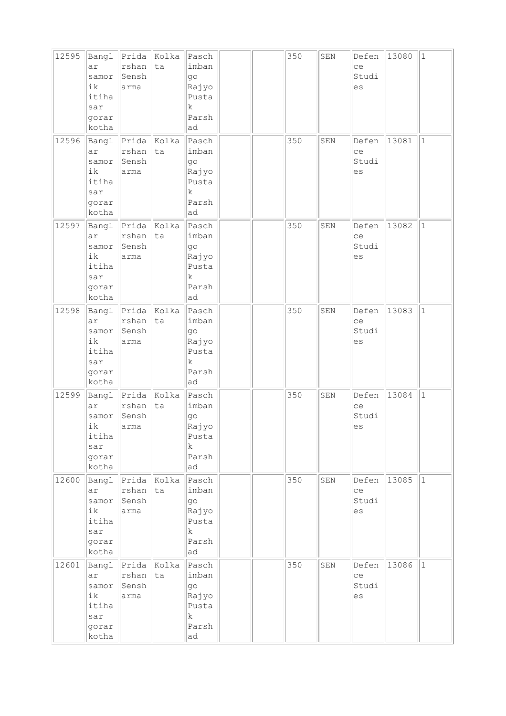| 12595 | Bangl<br>ar<br>samor<br>ik<br>itiha<br>sar<br>gorar<br>kotha | $ p$ rida<br>rshan<br>Sensh<br>arma       | Kolka<br>ta        | Pasch<br>imban<br>$q\circ$<br>Rajyo<br>Pusta<br>k.<br>Parsh<br>ad    |  | 350 | ${\tt SEM}$ | Defen<br>ce<br>Studi<br>es | 13080 | $\mathbf{1}$ |
|-------|--------------------------------------------------------------|-------------------------------------------|--------------------|----------------------------------------------------------------------|--|-----|-------------|----------------------------|-------|--------------|
| 12596 | Bangl<br>ar<br>samor<br>ik<br>itiha<br>sar<br>gorar<br>kotha | Prida<br>rshan<br>Sensh<br>arma           | Kolka<br>ta        | Pasch<br>imban<br>go<br>Rajyo<br>Pusta<br>k<br>Parsh<br>ad           |  | 350 | SEN         | Defen<br>ce<br>Studi<br>es | 13081 | $\mathbf{1}$ |
| 12597 | Bangl<br>ar<br>samor<br>ik<br>itiha<br>sar<br>gorar<br>kotha | Prida Kolka<br>rshan<br>Sensh<br>arma     | ta                 | Pasch<br>imban<br>go<br>Rajyo<br>Pusta<br>k<br>Parsh<br>ad           |  | 350 | ${\tt SEM}$ | Defen<br>ce<br>Studi<br>es | 13082 | $\mathbf{1}$ |
| 12598 | Bangl<br>ar<br>samor<br>ik<br>itiha<br>sar<br>gorar<br>kotha | $ Prida $ Kolka<br>rshan<br>Sensh<br>arma | ta                 | Pasch<br>imban<br>$q\circ$<br>Rajyo<br>Pusta<br>k.<br>Parsh<br>ad    |  | 350 | SEN         | Defen<br>ce<br>Studi<br>es | 13083 | $\mathbf{1}$ |
| 12599 | Bangl<br>ar<br>samor<br>ik<br>itiha<br>sar<br>gorar<br>kotha | Prida<br>rshan<br>Sensh<br>arma           | Kolka<br>ta        | Pasch<br>imban<br>go<br>Rajyo<br>Pusta<br>$\mathbf k$<br>Parsh<br>ad |  | 350 | ${\tt SEM}$ | Defen<br>ce<br>Studi<br>es | 13084 | $\mathbf{1}$ |
| 12600 | Bangl<br>ar<br>samor<br>ik<br>itiha<br>sar<br>gorar<br>kotha | rshan<br>Sensh<br>arma                    | Prida  Kolka<br>ta | Pasch<br>imban<br>go<br>Rajyo<br>Pusta<br>k<br>Parsh<br>ad           |  | 350 | ${\tt SEN}$ | Defen<br>ce<br>Studi<br>es | 13085 | $\mathbf{1}$ |
| 12601 | Bangl<br>ar<br>samor<br>ik<br>itiha<br>sar<br>gorar<br>kotha | Prida<br>rshan<br>Sensh<br>arma           | Kolka<br>ta        | Pasch<br>imban<br>go<br>Rajyo<br>Pusta<br>k<br>Parsh<br>ad           |  | 350 | ${\tt SEM}$ | Defen<br>ce<br>Studi<br>es | 13086 | $\mathbf{1}$ |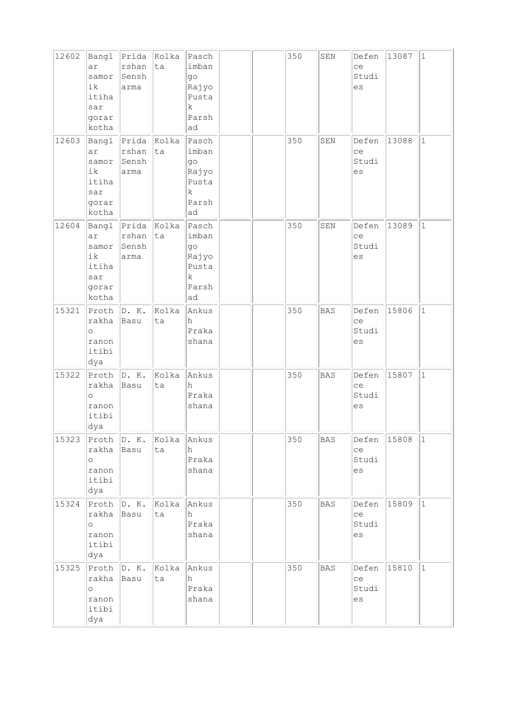| 12602 | Bangl<br>ar<br>samor<br>ik<br>itiha<br>sar<br>gorar<br>kotha                | Prida  Kolka<br>rshan<br>Sensh<br>arma | ta                | Pasch<br>imban<br>$q\circ$<br>Rajyo<br>Pusta<br>$\mathbf{k}$<br>Parsh<br>ad |  | 350 | ${\tt SEN}$ | Defen<br>ce<br>Studi<br>es | 13087 | $\mathbf{1}$ |
|-------|-----------------------------------------------------------------------------|----------------------------------------|-------------------|-----------------------------------------------------------------------------|--|-----|-------------|----------------------------|-------|--------------|
| 12603 | Bangl<br>ar<br>samor<br>ik<br>itiha<br>sar<br>gorar<br>kotha                | Prida<br>rshan<br>Sensh<br>arma        | Kolka<br>ta       | Pasch<br>imban<br>go<br>Rajyo<br>Pusta<br>$\mathbf k$<br>Parsh<br>ad        |  | 350 | SEN         | Defen<br>ce<br>Studi<br>es | 13088 | $\mathbf 1$  |
| 12604 | Bangl<br>ar<br>samor<br>ik<br>itiha<br>sar<br>gorar<br>kotha                | Prida Kolka<br>rshan<br>Sensh<br>arma  | ta                | Pasch<br>imban<br>go<br>Rajyo<br>Pusta<br>k<br>Parsh<br>ad                  |  | 350 | ${\tt SEN}$ | Defen<br>ce<br>Studi<br>es | 13089 | $\mathbf 1$  |
| 15321 | Proth $ D. K.$<br>rakha<br>$\circ$<br>ranon<br>itibi<br>dya                 | Basu                                   | Kolka<br>ta       | Ankus<br>h<br>Praka<br>shana                                                |  | 350 | <b>BAS</b>  | Defen<br>ce<br>Studi<br>es | 15806 | $\mathbf{1}$ |
| 15322 | Proth<br>rakha<br>$\circ$<br>ranon<br>itibi<br>dya                          | D. K.<br>Basu                          | Kolka<br>ta       | Ankus<br>h<br>Praka<br>shana                                                |  | 350 | <b>BAS</b>  | Defen<br>ce<br>Studi<br>es | 15807 | $\mathbf{1}$ |
| 15323 | $\text{Proth} \parallel D. K.$<br>rakha<br>$\circ$<br>ranon<br>itibi<br>dya | Basu                                   | Kolka Ankus<br>ta | h<br>Praka<br>shana                                                         |  | 350 | BAS         | Defen<br>ce<br>Studi<br>es | 15808 | $1\,$        |
| 15324 | $ $ Proth $ $ D. K.<br>rakha<br>$\circ$<br>ranon<br>itibi<br>dya            | Basu                                   | Kolka<br>ta       | Ankus<br>h<br>Praka<br>shana                                                |  | 350 | BAS         | Defen<br>ce<br>Studi<br>es | 15809 | $\mathbf{1}$ |
| 15325 | $ $ Proth $ $ D. K.<br>rakha<br>$\circ$<br>ranon<br>$\mathtt{itibi}$<br>dya | Basu                                   | Kolka<br>ta       | Ankus<br>h<br>Praka<br>shana                                                |  | 350 | <b>BAS</b>  | Defen<br>ce<br>Studi<br>es | 15810 | $\mathbf{1}$ |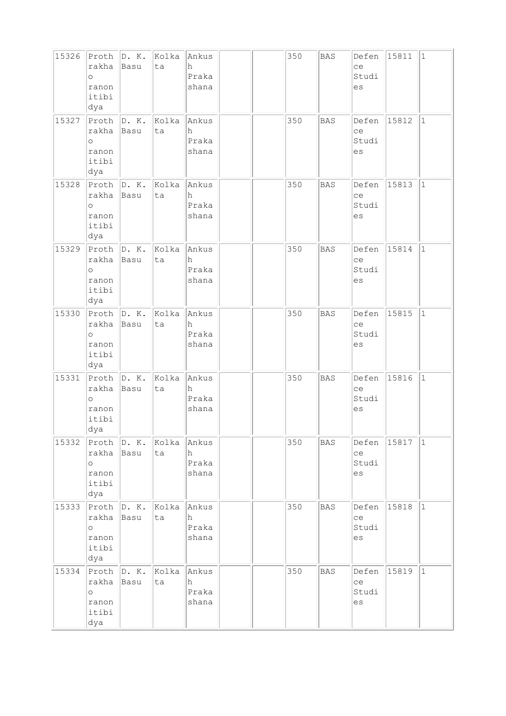| 15326 | Proth $ D. K.$<br>rakha<br>$\circ$<br>ranon<br>itibi<br>dya                | Basu | Kolka<br>ta | Ankus<br>h<br>Praka<br>shana |  | 350 | BAS        | Defen<br>ce<br>Studi<br>es       | 15811 | $\mathbf{1}$ |
|-------|----------------------------------------------------------------------------|------|-------------|------------------------------|--|-----|------------|----------------------------------|-------|--------------|
| 15327 | Proth D. K.<br>rakha<br>$\circ$<br>ranon<br>itibi<br>dya                   | Basu | Kolka<br>ta | Ankus<br>h<br>Praka<br>shana |  | 350 | BAS        | Defen<br>ce<br>Studi<br>es       | 15812 | $\mathbf 1$  |
| 15328 | $ $ Proth $ $ D. K.<br>rakha<br>$\circ$<br>ranon<br>itibi<br>dya           | Basu | Kolka<br>ta | Ankus<br>h<br>Praka<br>shana |  | 350 | BAS        | Defen<br>ce<br>Studi<br>es       | 15813 | $\mathbf 1$  |
| 15329 | Proth D. K.<br>rakha<br>$\circ$<br>ranon<br>itibi<br>dya                   | Basu | Kolka<br>ta | Ankus<br>h<br>Praka<br>shana |  | 350 | BAS        | Defen<br>ce<br>Studi<br>es       | 15814 | $\mathbf{1}$ |
| 15330 | $ $ Proth $ $ D. K.<br>rakha<br>$\circ$<br>ranon<br>itibi<br>dya           | Basu | Kolka<br>ta | Ankus<br>h<br>Praka<br>shana |  | 350 | <b>BAS</b> | Defen<br>ce<br>Studi<br>es       | 15815 | $\mathbf{1}$ |
| 15331 | $ $ Proth $ $ D. K.<br>rakha<br>$\circ$<br>ranon<br>itibi<br>dya           | Basu | Kolka<br>ta | Ankus<br>h<br>Praka<br>shana |  | 350 | <b>BAS</b> | Defen<br>ce<br>Studi<br>es       | 15816 | $\mathbf{1}$ |
| 15332 | $\text{Proth}$ $\text{D. K.}$<br>rakha<br>$\circ$<br>ranon<br>itibi<br>dya | Basu | Kolka<br>ta | Ankus<br>h<br>Praka<br>shana |  | 350 | BAS        | Defen<br>ce<br>Studi<br>es       | 15817 | $1\,$        |
| 15333 | $ $ Proth $ $ D. K.<br>rakha<br>$\circ$<br>ranon<br>itibi<br>dya           | Basu | Kolka<br>ta | Ankus<br>h<br>Praka<br>shana |  | 350 | BAS        | Defen 15818<br>ce<br>Studi<br>es |       | $\mathbf{1}$ |
| 15334 | $ $ Proth $ $ D. K.<br>rakha<br>$\circ$<br>ranon<br>itibi<br>dya           | Basu | Kolka<br>ta | Ankus<br>h<br>Praka<br>shana |  | 350 | <b>BAS</b> | Defen<br>ce<br>Studi<br>es       | 15819 | $\mathbf{1}$ |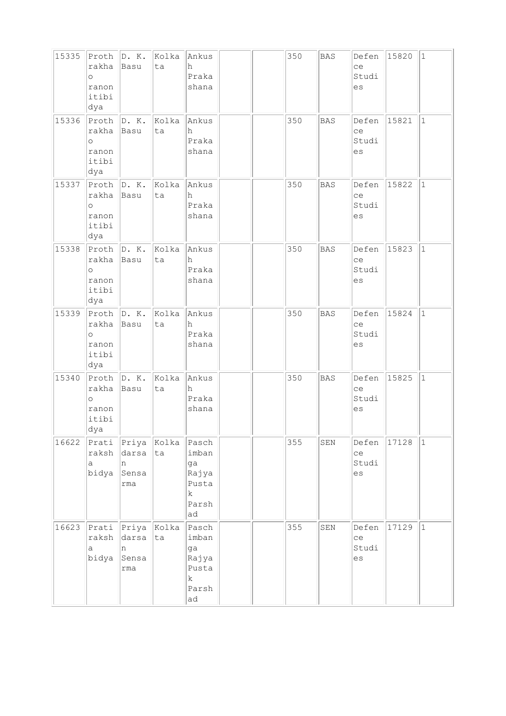| 15335 | $ $ Proth $ $ D. K.<br>rakha<br>$\circ$<br>ranon<br>itibi<br>dya | Basu                                            | Kolka Ankus<br>ta | h<br>Praka<br>shana                                                  |  | 350 | BAS         | Defen $15820$<br>ce<br>Studi<br>es |       | $ 1\rangle$ |
|-------|------------------------------------------------------------------|-------------------------------------------------|-------------------|----------------------------------------------------------------------|--|-----|-------------|------------------------------------|-------|-------------|
| 15336 | $ $ Proth $ $ D. K.<br>rakha<br>$\circ$<br>ranon<br>itibi<br>dya | Basu                                            | Kolka<br>ta       | Ankus<br>h<br>Praka<br>shana                                         |  | 350 | BAS         | Defen<br>ce<br>Studi<br>es         | 15821 | $ 1\rangle$ |
| 15337 | $ $ Proth $ $ D. K.<br>rakha<br>$\circ$<br>ranon<br>itibi<br>dya | Basu                                            | Kolka<br>ta       | Ankus<br>h<br>Praka<br>shana                                         |  | 350 | <b>BAS</b>  | Defen<br>ce<br>Studi<br>es         | 15822 | $\vert$ 1   |
| 15338 | $ $ Proth $ $ D. K.<br>rakha<br>$\circ$<br>ranon<br>itibi<br>dya | Basu                                            | Kolka<br>ta       | Ankus<br>h<br>Praka<br>shana                                         |  | 350 | <b>BAS</b>  | Defen<br>ce<br>Studi<br>es         | 15823 | $ 1\rangle$ |
| 15339 | $ $ Proth $ $ D. K.<br>rakha<br>$\circ$<br>ranon<br>itibi<br>dya | Basu                                            | Kolka<br>ta       | Ankus<br>h<br>Praka<br>shana                                         |  | 350 | BAS         | Defen<br>ce<br>Studi<br>es         | 15824 | $ 1\rangle$ |
| 15340 | $ $ Proth $ $ D. K.<br>rakha<br>$\circ$<br>ranon<br>itibi<br>dya | Basu                                            | Kolka<br>ta       | Ankus<br>h<br>Praka<br>shana                                         |  | 350 | <b>BAS</b>  | Defen<br>ce<br>Studi<br>es         | 15825 | $\vert$ 1   |
| 16622 | raksh<br>а<br>bidya                                              | Prati Priya Kolka<br>darsa<br>n<br>Sensa<br>rma | ta                | Pasch<br>imban<br>ga<br>Rajya<br>Pusta<br>k<br>Parsh<br>ad           |  | 355 | ${\tt SEN}$ | Defen<br>ce<br>Studi<br>es         | 17128 | 1           |
| 16623 | Prati<br>raksh<br>а<br>bidya                                     | Priya <br>darsa<br>n<br>Sensa<br>rma            | Kolka<br>ta       | Pasch<br>imban<br>ga<br>Rajya<br>Pusta<br>$\mathbf k$<br>Parsh<br>ad |  | 355 | SEN         | Defen<br>ce<br>Studi<br>es         | 17129 | 1           |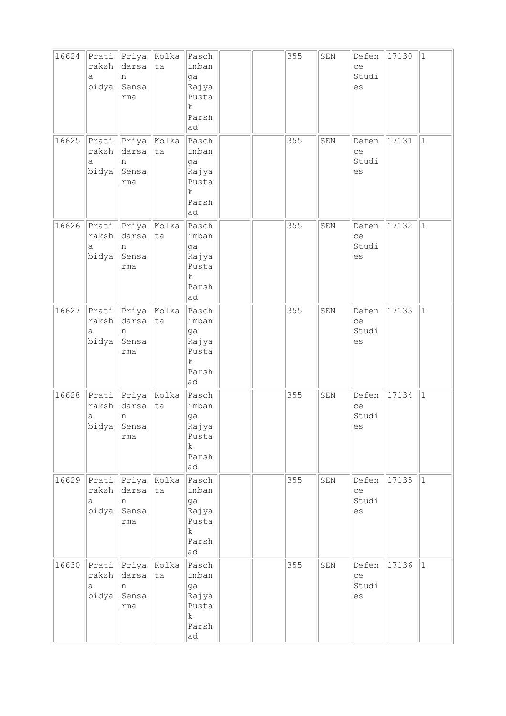| 16624 | Prati<br>raksh<br>а<br>bidya     | $\ $ Priya $\ $ Kolka<br>darsa<br>n<br>Sensa<br>rma | ta                 | Pasch<br>imban<br>ga<br>Rajya<br>Pusta<br>$\mathbf{k}$<br>Parsh<br>ad |  | 355 | ${\tt SEN}$ | Defen<br>ce<br>Studi<br>es | 17130 | $\mathbf{1}$ |
|-------|----------------------------------|-----------------------------------------------------|--------------------|-----------------------------------------------------------------------|--|-----|-------------|----------------------------|-------|--------------|
| 16625 | Prati<br>raksh<br>а<br>bidya     | $\ $ Priya $\ $ Kolka<br>darsa<br>n<br>Sensa<br>rma | ta                 | Pasch<br>imban<br>ga<br>Rajya<br>Pusta<br>$\rm k$<br>Parsh<br>ad      |  | 355 | ${\tt SEM}$ | Defen<br>ce<br>Studi<br>es | 17131 | $\mathbf{1}$ |
| 16626 | $ $ Prati<br>raksh<br>a<br>bidya | darsa<br>n<br>Sensa<br>rma                          | Priya  Kolka<br>ta | Pasch<br>imban<br>ga<br>Rajya<br>Pusta<br>k<br>Parsh<br>ad            |  | 355 | SEN         | Defen<br>ce<br>Studi<br>es | 17132 | $\mathbf{1}$ |
| 16627 | Prati<br>raksh<br>а<br>bidya     | $\ $ Priya $\ $ Kolka<br>darsa<br>n<br>Sensa<br>rma | ta                 | Pasch<br>imban<br>ga<br>Rajya<br>Pusta<br>k<br>Parsh<br>ad            |  | 355 | SEN         | Defen<br>ce<br>Studi<br>es | 17133 | $\mathbf{1}$ |
| 16628 | Prati<br>raksh<br>а<br>bidya     | $\ $ Priya $\ $ Kolka<br>darsa<br>n<br>Sensa<br>rma | ta                 | Pasch<br>imban<br>ga<br>Rajya<br>Pusta<br>$\mathbf k$<br>Parsh<br>ad  |  | 355 | ${\tt SEN}$ | Defen<br>ce<br>Studi<br>es | 17134 | $\mathbf{1}$ |
| 16629 | Prati<br>raksh<br>a<br>bidya     | Priya<br>darsa<br>n<br>Sensa<br>rma                 | Kolka<br>ta        | Pasch<br>imban<br>ga<br>Rajya<br>Pusta<br>$\mathbf k$<br>Parsh<br>ad  |  | 355 | SEN         | Defen<br>ce<br>Studi<br>es | 17135 | $\mathbf{1}$ |
| 16630 | Prati<br>raksh<br>а<br>bidya     | Priya<br>darsa<br>n<br>Sensa<br>rma                 | Kolka<br>ta        | Pasch<br>imban<br>ga<br>Rajya<br>Pusta<br>$\mathbf k$<br>Parsh<br>ad  |  | 355 | ${\tt SEN}$ | Defen<br>ce<br>Studi<br>es | 17136 | $\mathbf{1}$ |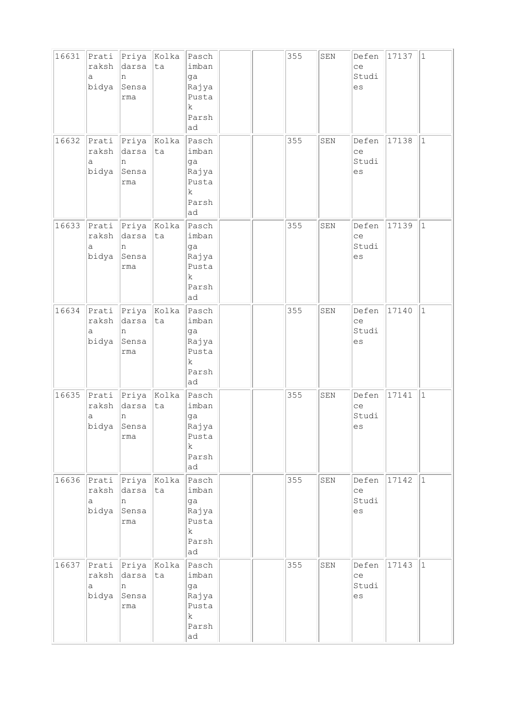| 16631 | Prati<br>raksh<br>а<br>bidya | Priya Kolka<br>darsa<br>n<br>Sensa<br>rma           | ta          | Pasch<br>imban<br>ga<br>Rajya<br>Pusta<br>$\mathbf{k}$<br>Parsh<br>ad |  | 355 | ${\tt SEN}$ | Defen<br>ce<br>Studi<br>es | 17137 | $\mathbf{1}$ |
|-------|------------------------------|-----------------------------------------------------|-------------|-----------------------------------------------------------------------|--|-----|-------------|----------------------------|-------|--------------|
| 16632 | Prati<br>raksh<br>а<br>bidya | $\ $ Priya $\ $ Kolka<br>darsa<br>n<br>Sensa<br>rma | ta          | Pasch<br>imban<br>ga<br>Rajya<br>Pusta<br>$\rm k$<br>Parsh<br>ad      |  | 355 | ${\tt SEM}$ | Defen<br>ce<br>Studi<br>es | 17138 | $\mathbf{1}$ |
| 16633 | Prati<br>raksh<br>a<br>bidya | Priya  Kolka<br>darsa<br>n<br>Sensa<br>rma          | ta          | Pasch<br>imban<br>ga<br>Rajya<br>Pusta<br>k<br>Parsh<br>ad            |  | 355 | SEN         | Defen<br>ce<br>Studi<br>es | 17139 | $\mathbf{1}$ |
| 16634 | Prati<br>raksh<br>а<br>bidya | $\ $ Priya $\ $ Kolka<br>darsa<br>n<br>Sensa<br>rma | ta          | Pasch<br>imban<br>ga<br>Rajya<br>Pusta<br>k<br>Parsh<br>ad            |  | 355 | SEN         | Defen<br>ce<br>Studi<br>es | 17140 | $\mathbf{1}$ |
| 16635 | Prati<br>raksh<br>а<br>bidya | $\ $ Priya $\ $ Kolka<br>darsa<br>n<br>Sensa<br>rma | ta          | Pasch<br>imban<br>ga<br>Rajya<br>Pusta<br>$\mathbf k$<br>Parsh<br>ad  |  | 355 | ${\tt SEN}$ | Defen<br>ce<br>Studi<br>es | 17141 | $\mathbf{1}$ |
| 16636 | Prati<br>raksh<br>a<br>bidya | Priya<br>darsa<br>n<br>Sensa<br>rma                 | Kolka<br>ta | Pasch<br>imban<br>ga<br>Rajya<br>Pusta<br>$\mathbf k$<br>Parsh<br>ad  |  | 355 | SEN         | Defen<br>ce<br>Studi<br>es | 17142 | $\mathbf{1}$ |
| 16637 | Prati<br>raksh<br>а<br>bidya | Priya<br>darsa<br>n<br>Sensa<br>rma                 | Kolka<br>ta | Pasch<br>imban<br>ga<br>Rajya<br>Pusta<br>$\mathbf k$<br>Parsh<br>ad  |  | 355 | ${\tt SEN}$ | Defen<br>ce<br>Studi<br>es | 17143 | $\mathbf{1}$ |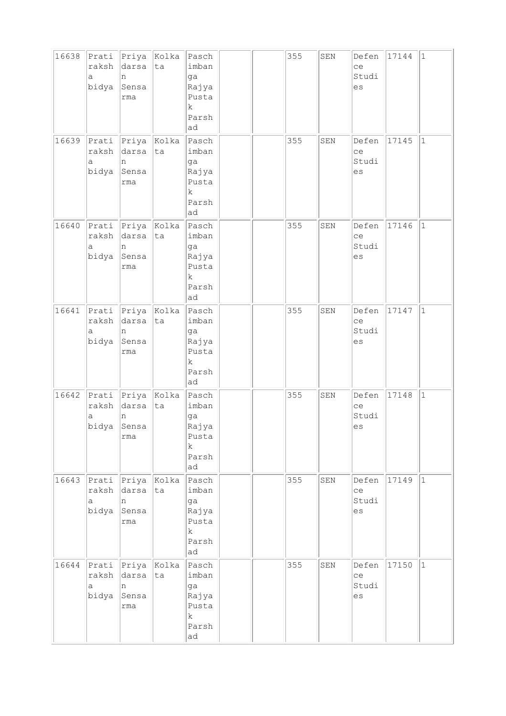| 16638 | Prati<br>raksh<br>а<br>bidya     | darsa<br>n<br>Sensa<br>rma                          | Priya Kolka<br>ta | Pasch<br>imban<br>ga<br>Rajya<br>Pusta<br>$\mathbf k$<br>Parsh<br>ad |  | 355 | ${\tt SEN}$ | Defen<br>ce<br>Studi<br>es | 17144 | $\mathbf{1}$ |
|-------|----------------------------------|-----------------------------------------------------|-------------------|----------------------------------------------------------------------|--|-----|-------------|----------------------------|-------|--------------|
| 16639 | Prati<br>raksh<br>а<br>bidya     | $\ $ Priya $\ $ Kolka<br>darsa<br>n<br>Sensa<br>rma | ta                | Pasch<br>imban<br>ga<br>Rajya<br>Pusta<br>k<br>Parsh<br>ad           |  | 355 | ${\tt SEN}$ | Defen<br>ce<br>Studi<br>es | 17145 | $\mathbf{1}$ |
| 16640 | $ $ Prati<br>raksh<br>a<br>bidya | $ Priya $ Kolka<br>darsa<br>n<br>Sensa<br>rma       | ta                | Pasch<br>imban<br>ga<br>Rajya<br>Pusta<br>$\mathbf k$<br>Parsh<br>ad |  | 355 | SEN         | Defen<br>ce<br>Studi<br>es | 17146 | $\mathbf{1}$ |
| 16641 | Prati<br>raksh<br>а<br>bidya     | $\ $ Priya $\ $ Kolka<br>darsa<br>n<br>Sensa<br>rma | ta                | Pasch<br>imban<br>ga<br>Rajya<br>Pusta<br>k<br>Parsh<br>ad           |  | 355 | SEN         | Defen<br>ce<br>Studi<br>es | 17147 | $\mathbf{1}$ |
| 16642 | Prati<br>raksh<br>а<br>bidya     | $\ $ Priya $\ $ Kolka<br>darsa<br>n<br>Sensa<br>rma | ta                | Pasch<br>imban<br>ga<br>Rajya<br>Pusta<br>$\mathbf k$<br>Parsh<br>ad |  | 355 | ${\tt SEM}$ | Defen<br>ce<br>Studi<br>es | 17148 | $\mathbf{1}$ |
| 16643 | Prati<br>raksh<br>a<br>bidya     | Priya<br>darsa<br>n<br>Sensa<br>rma                 | Kolka<br>ta       | Pasch<br>imban<br>ga<br>Rajya<br>Pusta<br>$\mathbf k$<br>Parsh<br>ad |  | 355 | SEN         | Defen<br>ce<br>Studi<br>es | 17149 | $\mathbf{1}$ |
| 16644 | Prati<br>raksh<br>a<br>bidya     | Priya<br>darsa<br>n<br>Sensa<br>rma                 | Kolka<br>ta       | Pasch<br>imban<br>ga<br>Rajya<br>Pusta<br>$\mathbf k$<br>Parsh<br>ad |  | 355 | ${\tt SEN}$ | Defen<br>ce<br>Studi<br>es | 17150 | $\mathbf{1}$ |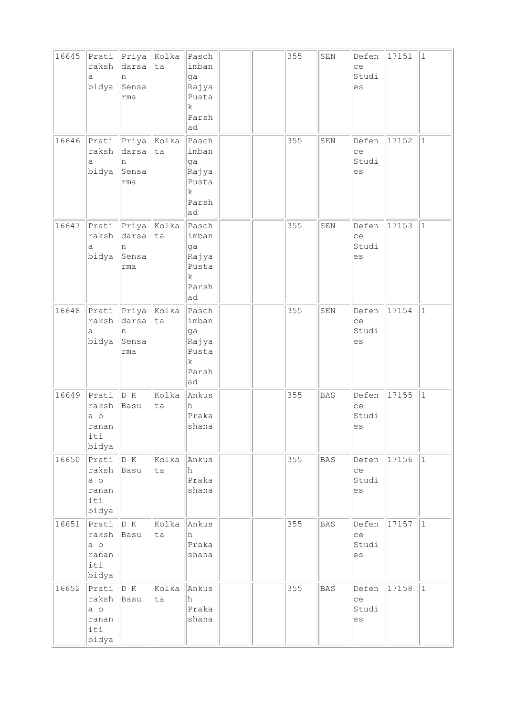| 16645 | Prati<br>raksh<br>а<br>bidya                     | Priya Kolka<br>darsa<br>n<br>Sensa<br>rma           | ta          | Pasch<br>imban<br>ga<br>Rajya<br>Pusta<br>$\mathbf{k}$<br>Parsh<br>ad |  | 355 | ${\tt SEN}$ | Defen<br>ce<br>Studi<br>es | 17151 | $\mathbf{1}$ |
|-------|--------------------------------------------------|-----------------------------------------------------|-------------|-----------------------------------------------------------------------|--|-----|-------------|----------------------------|-------|--------------|
| 16646 | Prati<br>raksh<br>а<br>bidya                     | $\ $ Priya $\ $ Kolka<br>darsa<br>n<br>Sensa<br>rma | ta          | Pasch<br>imban<br>ga<br>Rajya<br>Pusta<br>$\mathbf k$<br>Parsh<br>ad  |  | 355 | ${\tt SEM}$ | Defen<br>ce<br>Studi<br>es | 17152 | $\mathbf{1}$ |
| 16647 | Prati<br>raksh<br>a<br>bidya                     | Priya  Kolka<br>darsa<br>n<br>Sensa<br>rma          | ta          | Pasch<br>imban<br>ga<br>Rajya<br>Pusta<br>k<br>Parsh<br>ad            |  | 355 | SEN         | Defen<br>ce<br>Studi<br>es | 17153 | $\mathbf{1}$ |
| 16648 | Prati<br>raksh<br>а<br>bidya                     | $\ $ Priya $\ $ Kolka<br>darsa<br>n<br>Sensa<br>rma | ta          | Pasch<br>imban<br>ga<br>Rajya<br>Pusta<br>k<br>Parsh<br>ad            |  | 355 | SEN         | Defen<br>ce<br>Studi<br>es | 17154 | $\mathbf{1}$ |
| 16649 | Prati<br>raksh<br>a o<br>ranan<br>iti<br>bidya   | D K<br>Basu                                         | Kolka<br>ta | Ankus<br>h<br>Praka<br>shana                                          |  | 355 | <b>BAS</b>  | Defen<br>ce<br>Studi<br>es | 17155 | $\mathbf{1}$ |
| 16650 | Prati<br>raksh<br>$a$ o<br>ranan<br>iti<br>bidya | D K<br>Basu                                         | Kolka<br>ta | Ankus<br>h<br>Praka<br>shana                                          |  | 355 | <b>BAS</b>  | Defen<br>ce<br>Studi<br>es | 17156 | $\mathbf{1}$ |
| 16651 | Prati<br>raksh<br>$a$ o<br>ranan<br>iti<br>bidya | D K<br>Basu                                         | Kolka<br>ta | Ankus<br>h<br>Praka<br>shana                                          |  | 355 | <b>BAS</b>  | Defen<br>ce<br>Studi<br>es | 17157 | $\mathbf 1$  |
| 16652 | Prati<br>raksh<br>$a$ o<br>ranan<br>iti<br>bidya | D K<br>Basu                                         | Kolka<br>ta | Ankus<br>h<br>Praka<br>shana                                          |  | 355 | <b>BAS</b>  | Defen<br>ce<br>Studi<br>es | 17158 | $\mathbf{1}$ |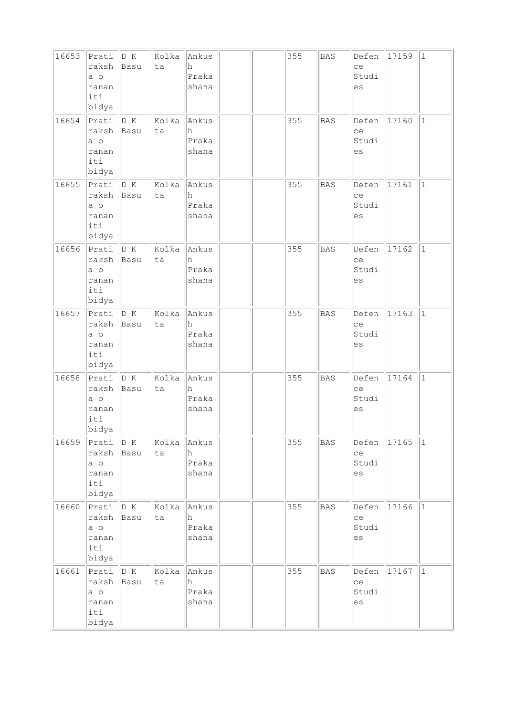| 16653 | Prati<br>raksh<br>$a$ o<br>ranan<br>iti<br>bidya         | D K<br>Basu       | Kolka<br>ta | Ankus<br>h<br>Praka<br>shana | 355 | <b>BAS</b> | Defen<br>ce<br>Studi<br>es | $ 17159\rangle$ | $ 1\rangle$  |
|-------|----------------------------------------------------------|-------------------|-------------|------------------------------|-----|------------|----------------------------|-----------------|--------------|
| 16654 | $ $ Prati<br>raksh<br>a o<br>ranan<br>iti<br>bidya       | D K<br>Basu       | Kolka<br>ta | Ankus<br>h<br>Praka<br>shana | 355 | <b>BAS</b> | Defen<br>ce<br>Studi<br>es | 17160           | $\mathbf{1}$ |
| 16655 | $\vert$ Prati<br>raksh<br>a o<br>ranan<br>iti<br>bidya   | D K <br>Basu      | Kolka<br>ta | Ankus<br>h<br>Praka<br>shana | 355 | <b>BAS</b> | Defen<br>ce<br>Studi<br>es | 17161           | $\vert$ 1    |
| 16656 | $\vert$ Prati<br>raksh<br>$a$ o<br>ranan<br>iti<br>bidya | $\ D K\ $<br>Basu | Kolka<br>ta | Ankus<br>h<br>Praka<br>shana | 355 | <b>BAS</b> | Defen<br>ce<br>Studi<br>es | 17162           | $\vert$ 1    |
| 16657 | $ $ Prati<br>raksh<br>a o<br>ranan<br>iti<br>bidya       | D K<br>Basu       | Kolka<br>ta | Ankus<br>h<br>Praka<br>shana | 355 | <b>BAS</b> | Defen<br>ce<br>Studi<br>es | 17163           | $\vert$ 1    |
| 16658 | Prati<br>raksh<br>a o<br>ranan<br>iti<br>$ $ bidya $ $   | D K<br>Basu       | Kolka<br>ta | Ankus<br>h<br>Praka<br>shana | 355 | <b>BAS</b> | Defen<br>ce<br>Studi<br>es | 17164           | $\vert$ 1    |
| 16659 | Prati<br>raksh<br>$a$ o<br>ranan<br>iti<br>bidya         | D K <br>Basu      | Kolka<br>ta | Ankus<br>h<br>Praka<br>shana | 355 | BAS        | Defen<br>ce<br>Studi<br>es | 17165           | $\vert$ 1    |
| 16660 | $ $ Prati<br>raksh<br>$a$ o<br>ranan<br>iti<br>bidya     | D K <br>Basu      | Kolka<br>ta | Ankus<br>h<br>Praka<br>shana | 355 | <b>BAS</b> | Defen<br>ce<br>Studi<br>es | 17166           | 1            |
| 16661 | Prati<br>raksh<br>$a$ o<br>ranan<br>iti<br>bidya         | D K <br>Basu      | Kolka<br>ta | Ankus<br>h<br>Praka<br>shana | 355 | <b>BAS</b> | Defen<br>ce<br>Studi<br>es | 17167           | $ 1\rangle$  |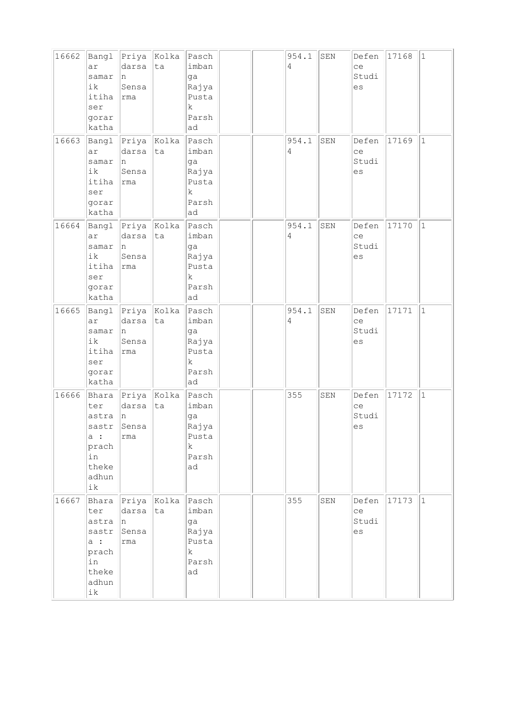| 16662 | Bangl<br>ar<br>samar<br>ik<br>itiha<br>ser<br>gorar<br>katha                | $\ $ Priya $\ $ Kolka<br>darsa<br>n<br>Sensa<br> rma       | ta                    | Pasch<br>imban<br>ga<br>Rajya<br>Pusta<br>k<br>Parsh<br>ad           |  | 954.1<br>4 | ${\tt SEM}$ | Defen<br>ce<br>Studi<br>es | 17168 | $\mathbf{1}$ |
|-------|-----------------------------------------------------------------------------|------------------------------------------------------------|-----------------------|----------------------------------------------------------------------|--|------------|-------------|----------------------------|-------|--------------|
| 16663 | Bangl<br>ar<br>samar<br>ik<br>itiha<br>ser<br>gorar<br>katha                | $\ $ Priya $\ $ Kolka<br>darsa<br>n<br>Sensa<br>rma        | ta                    | Pasch<br>imban<br>ga<br>Rajya<br>Pusta<br>k<br>Parsh<br>ad           |  | 954.1<br>4 | SEN         | Defen<br>ce<br>Studi<br>es | 17169 | $\mathbf{1}$ |
| 16664 | Bangl<br>ar<br>samar<br>ik<br>itiha<br>ser<br>gorar<br>katha                | $\ $ Priya $\ $ Kolka<br>darsa ta<br>n<br>Sensa<br> rma    |                       | Pasch<br>imban<br>ga<br>Rajya<br>Pusta<br>k<br>Parsh<br>ad           |  | 954.1<br>4 | ${\tt SEM}$ | Defen<br>ce<br>Studi<br>es | 17170 | $\mathbf{1}$ |
| 16665 | Bangl<br>ar<br>samar<br>ik<br>itiha<br>ser<br>gorar<br>katha                | darsa<br>n<br>Sensa<br>rma                                 | Priya  Kolka<br>ta    | Pasch<br>imban<br>ga<br>Rajya<br>Pusta<br>k<br>Parsh<br>ad           |  | 954.1<br>4 | SEN         | Defen<br>ce<br>Studi<br>es | 17171 | $\mathbf{1}$ |
| 16666 | Bhara<br>ter<br>astra<br>a:<br>prach<br>in<br>theke<br>adhun<br>ik          | $\ $ Priya $\ $ Kolka<br>darsa<br>In<br>sastr Sensa<br>rma | ta                    | Pasch<br>imban<br>ga<br>Rajya<br>Pusta<br>k<br>Parsh<br>ad           |  | 355        | SEN         | Defen<br>ce<br>Studi<br>es | 17172 | $\mathbf{1}$ |
| 16667 | Bhara<br>ter<br>astra<br>sastr<br>a:<br>prach<br>in<br>theke<br>adhun<br>ik | darsa<br>n<br>Sensa<br>rma                                 | $ Priya $ Kolka<br>ta | Pasch<br>imban<br>ga<br>Rajya<br>Pusta<br>$\mathbf k$<br>Parsh<br>ad |  | 355        | ${\tt SEM}$ | Defen<br>ce<br>Studi<br>es | 17173 | $\mathbf{1}$ |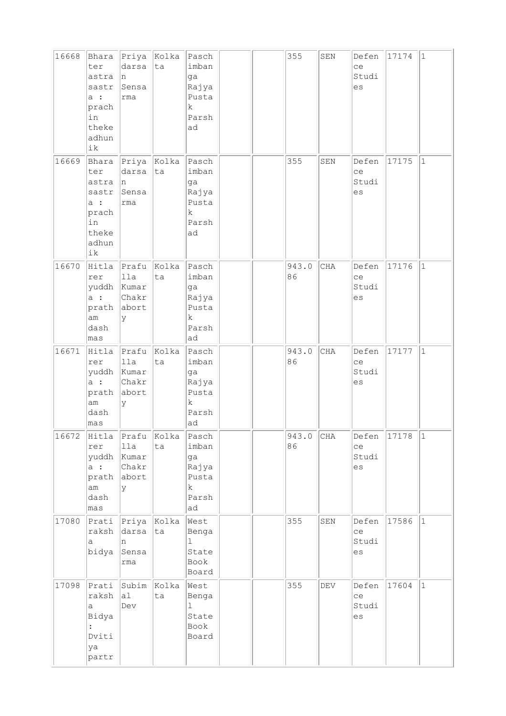| 16668 | Bhara<br>ter<br>astra<br>sastr<br>a:<br>prach<br>in<br>theke<br>adhun<br>ik | Priya Kolka<br>darsa<br>n<br>Sensa<br>rma      | ta          | Pasch<br>imban<br>ga<br>Rajya<br>Pusta<br>k<br>Parsh<br>ad           |  | 355         | SEN | Defen<br>ce<br>Studi<br>es | 17174 | 1           |
|-------|-----------------------------------------------------------------------------|------------------------------------------------|-------------|----------------------------------------------------------------------|--|-------------|-----|----------------------------|-------|-------------|
| 16669 | Bhara<br>ter<br>astra<br>sastr<br>a:<br>prach<br>in<br>theke<br>adhun<br>ik | $ Priya $ Kolka<br>darsa<br>In<br>Sensa<br>rma | ta          | Pasch<br>imban<br>ga<br>Rajya<br>Pusta<br>$\rm k$<br>Parsh<br>ad     |  | 355         | SEN | Defen<br>ce<br>Studi<br>es | 17175 | $\vert$ 1   |
| 16670 | Hitla<br>rer<br>yuddh<br>a:<br>prath<br>am<br>dash<br>mas                   | Prafu<br>11a<br>Kumar<br>Chakr<br>abort<br>У   | Kolka<br>ta | Pasch<br>imban<br>ga<br>Rajya<br>Pusta<br>k<br>Parsh<br>ad           |  | 943.0<br>86 | CHA | Defen<br>ce<br>Studi<br>es | 17176 | $ 1\rangle$ |
| 16671 | Hitla<br>rer<br>yuddh<br>a :<br>prath<br>am<br>dash<br>mas                  | Prafu<br>11a<br>Kumar<br>Chakr<br>abort<br>У   | Kolka<br>ta | Pasch<br>imban<br>ga<br>Rajya<br>Pusta<br>k<br>Parsh<br>ad           |  | 943.0<br>86 | CHA | Defen<br>ce<br>Studi<br>es | 17177 | $1\,$       |
| 16672 | Hitla<br>rer<br>yuddh<br>a:<br>prath<br>am<br>dash<br>mas                   | Prafu<br>11a<br>Kumar<br>Chakr<br>abort<br>У   | Kolka<br>ta | Pasch<br>imban<br>ga<br>Rajya<br>Pusta<br>$\mathbf k$<br>Parsh<br>ad |  | 943.0<br>86 | CHA | Defen<br>ce<br>Studi<br>es | 17178 | $ 1\rangle$ |
| 17080 | Prati<br>raksh<br>а<br>bidya                                                | Priya Kolka<br>darsa<br>n<br>Sensa<br>rma      | ta          | West<br>Benga<br>$\mathbf{1}$<br>State<br>Book<br>Board              |  | 355         | SEN | Defen<br>ce<br>Studi<br>es | 17586 | $ 1\rangle$ |
| 17098 | Prati<br>raksh<br>а<br>Bidya<br>Dviti<br>ya<br>partr                        | Subim<br>al<br>Dev                             | Kolka<br>ta | West<br>Benga<br>$\mathbf{1}$<br>State<br>Book<br>Board              |  | 355         | DEV | Defen<br>ce<br>Studi<br>es | 17604 | $\vert$ 1   |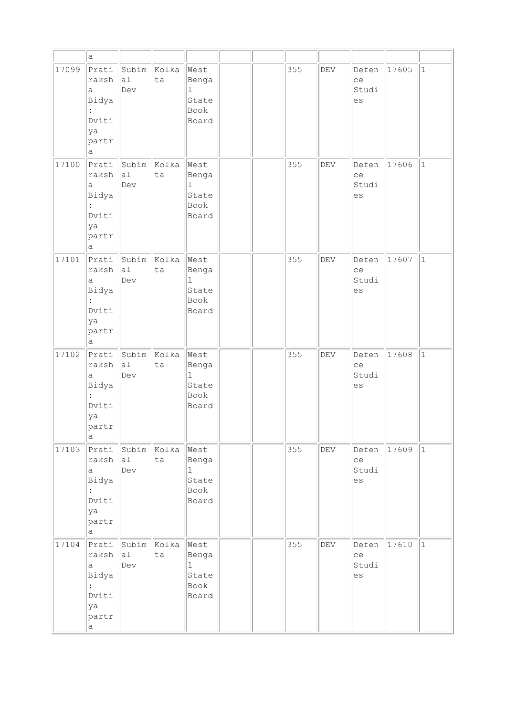|       | a                                                                               |                      |             |                                                         |  |     |                             |                             |       |             |
|-------|---------------------------------------------------------------------------------|----------------------|-------------|---------------------------------------------------------|--|-----|-----------------------------|-----------------------------|-------|-------------|
| 17099 | Prati<br>raksh<br>a<br>Bidya<br>Dviti<br>ya<br>partr<br>а                       | Subim<br>al<br>Dev   | Kolka<br>ta | West<br>Benga<br>$\mathbf 1$<br>State<br>Book<br>Board  |  | 355 | <b>DEV</b>                  | Defen<br>ce<br>Studi<br>es  | 17605 | $ 1\rangle$ |
| 17100 | Prati<br>raksh<br>a<br>Bidya<br>$\ddot{\cdot}$<br>Dviti<br>ya<br>partr<br>а     | Subim<br> a1 <br>Dev | Kolka<br>ta | West<br>Benga<br>$\mathbf 1$<br>State<br>Book<br>Board  |  | 355 | $\mathop{\rm DEV}\nolimits$ | Defen<br>ce<br>Studi<br>es  | 17606 | $\vert$ 1   |
| 17101 | $ $ Prati<br>raksh<br>a<br>Bidya<br>Dviti<br>ya<br>partr<br>a                   | Subim<br>al<br>Dev   | Kolka<br>ta | West<br>Benga<br>$\mathbf 1$<br>State<br>Book<br>Board  |  | 355 | DEV                         | Defen<br>ce<br>Studi<br>es  | 17607 | $\vert$ 1   |
| 17102 | Prati<br>raksh<br>a<br>Bidya<br>$\ddot{\cdot}$<br>Dviti<br>ya<br>partr<br>a     | Subim<br> a1 <br>Dev | Kolka<br>ta | West<br>Benga<br>$\mathbf 1$<br>State<br>Book<br>Board  |  | 355 | $\mathop{\rm DEV}\nolimits$ | Defen<br>ce<br>Studi<br>es  | 17608 | $\vert$ 1   |
| 17103 | Prati<br>raksh<br>a<br>Bidya<br>Dviti<br>ya<br>partr<br>$\mathsf{a}$            | Subim<br> a1 <br>Dev | Kolka<br>ta | West<br>Benga<br>$\mathbf 1$<br>State<br>Book<br>Board  |  | 355 | DEV                         | Defen<br>ce<br>Studi<br>es  | 17609 | $ 1\rangle$ |
| 17104 | $ $ Prati<br>raksh<br>a<br>Bidya<br>$\ddot{\cdot}$<br>Dviti<br>ya<br>partr<br>a | Subim<br>al<br>Dev   | Kolka<br>ta | West<br>Benga<br>$\mathbf{1}$<br>State<br>Book<br>Board |  | 355 | $\mathop{\rm DEV}\nolimits$ | Defen<br> ce<br>Studi<br>es | 17610 | $\vert$ 1   |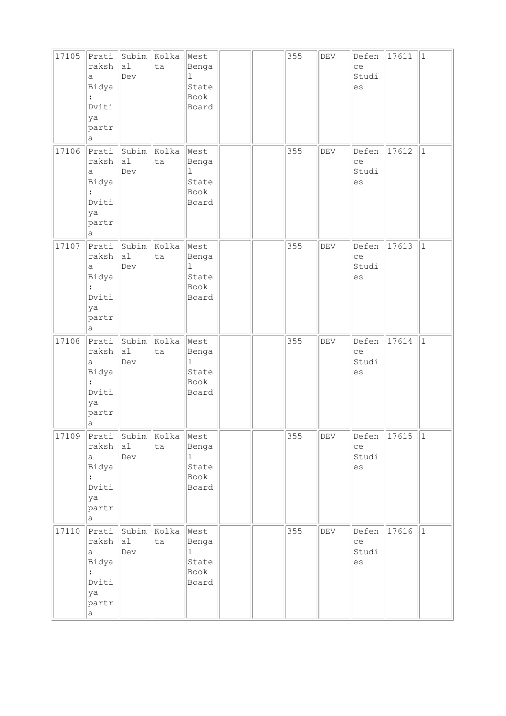| 17105 | Prati<br>raksh<br>a<br>Bidya<br>Dviti<br>ya<br>partr<br>а                                      | Subim<br>a1<br>Dev   | Kolka<br>ta       | West<br>Benga<br>$\mathbf{1}$<br>State<br>Book<br>Board |  | 355 | DEV                         | Defen<br>ce<br>Studi<br>es | 17611 | $1\,$        |
|-------|------------------------------------------------------------------------------------------------|----------------------|-------------------|---------------------------------------------------------|--|-----|-----------------------------|----------------------------|-------|--------------|
| 17106 | $ $ Prati<br>raksh<br>а<br>Bidya<br>Dviti<br>ya<br>partr<br>а                                  | Subim<br> a1 <br>Dev | Kolka<br>ta       | West<br>Benga<br>$\vert$ 1<br>State<br>Book<br>Board    |  | 355 | $\mathop{\rm DEV}\nolimits$ | Defen<br>ce<br>Studi<br>es | 17612 | $\mathbf{1}$ |
| 17107 | Prati<br>raksh<br>a<br>Bidya<br>$\ddot{\cdot}$<br>Dviti<br>ya<br>partr<br>а                    | Subim<br> a <br>Dev  | Kolka<br>ta       | West<br>Benga<br>$\mathbf 1$<br>State<br>Book<br>Board  |  | 355 | DEV                         | Defen<br>ce<br>Studi<br>es | 17613 | $1\,$        |
| 17108 | Prati<br>raksh<br>a<br>Bidya<br>Dviti<br>ya<br>partr<br>$\rm{a}$                               | Subim<br>a1<br>Dev   | Kolka<br>ta       | West<br>Benga<br>$\mathbf 1$<br>State<br>Book<br>Board  |  | 355 | $\mathop{\rm DEV}\nolimits$ | Defen<br>ce<br>Studi<br>es | 17614 | $1\,$        |
| 17109 | Prati<br>raksh<br>a<br>Bidya<br>Dviti<br>ya<br>partr<br>а                                      | Subim<br> a1 <br>Dev | Kolka<br>ta       | West<br>Benga<br>$\mathbf{1}$<br>State<br>Book<br>Board |  | 355 | DEV                         | Defen<br>ce<br>Studi<br>es | 17615 | $\mathbf 1$  |
| 17110 | $ $ Prati<br>raksh<br>a<br>Bidya<br>$\ddot{\phantom{a}}$<br>Dviti<br>ya<br>partr<br>$\mbox{a}$ | a1<br>Dev            | Subim Kolka<br>ta | West<br>Benga<br>$\mathbf 1$<br>State<br>Book<br>Board  |  | 355 | $\mathop{\rm DEV}\nolimits$ | Defen<br>ce<br>Studi<br>es | 17616 | $\mathbf{1}$ |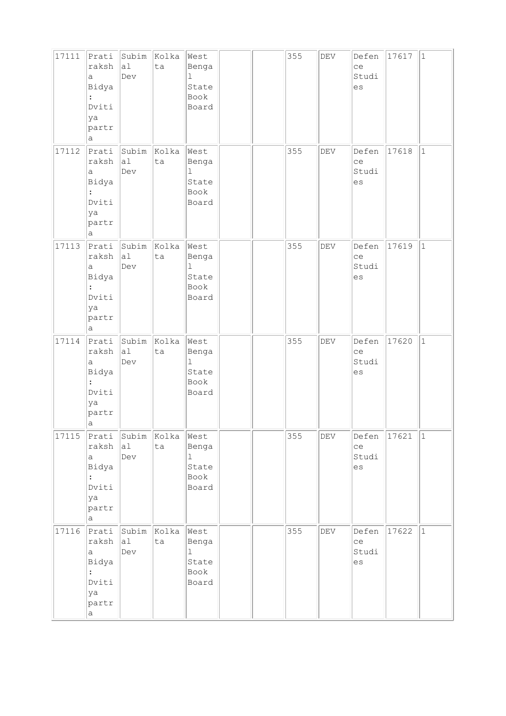| 17111 | Prati<br>raksh<br>а<br>Bidya<br>Dviti<br>ya<br>partr<br>а                   | Subim<br>al<br>Dev   | Kolka<br>ta | West<br>Benga<br>$\mathbf 1$<br>State<br>Book<br>Board  |  | 355 | DEV        | Defen<br>ce<br>Studi<br>es | 17617 | 1           |
|-------|-----------------------------------------------------------------------------|----------------------|-------------|---------------------------------------------------------|--|-----|------------|----------------------------|-------|-------------|
| 17112 | Prati<br>raksh<br>а<br>Bidya<br>$\ddot{\cdot}$<br>Dviti<br>ya<br>partr<br>а | Subim<br> a1 <br>Dev | Kolka<br>ta | West<br>Benga<br>$\mathbf 1$<br>State<br>Book<br>Board  |  | 355 | DEV        | Defen<br>ce<br>Studi<br>es | 17618 | $\vert$ 1   |
| 17113 | Prati<br>raksh<br>a<br>Bidya<br>Dviti<br>ya<br>partr<br>а                   | Subim<br>al<br>Dev   | Kolka<br>ta | West<br>Benga<br>$\mathbf 1$<br>State<br>Book<br>Board  |  | 355 | <b>DEV</b> | Defen<br>ce<br>Studi<br>es | 17619 | $\vert$ 1   |
| 17114 | Prati<br>raksh<br>а<br>Bidya<br>Dviti<br>ya<br>partr<br>a                   | Subim<br> a <br>Dev  | Kolka<br>ta | West<br>Benga<br>$\mathbf 1$<br>State<br>Book<br>Board  |  | 355 | DEV        | Defen<br>ce<br>Studi<br>es | 17620 | $\vert$ 1   |
| 17115 | Prati<br>raksh<br>а<br>Bidya<br>Dviti<br>ya<br>partr<br>а                   | Subim<br> a1 <br>Dev | Kolka<br>ta | West<br>Benga<br>$\mathbf{1}$<br>State<br>Book<br>Board |  | 355 | DEV        | Defen<br>ce<br>Studi<br>es | 17621 | $ 1\rangle$ |
| 17116 | Prati<br>raksh<br>a<br>Bidya<br>Dviti<br>ya<br>partr<br>a                   | Subim<br>a1<br>Dev   | Kolka<br>ta | West<br>Benga<br>$\mathbf 1$<br>State<br>Book<br>Board  |  | 355 | DEV        | Defen<br>ce<br>Studi<br>es | 17622 | $ 1\rangle$ |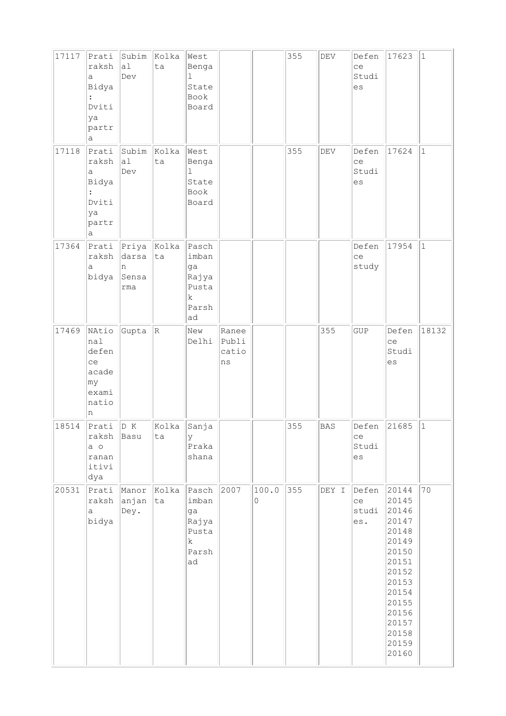| 17117<br>17118 | Prati<br>raksh<br>a<br>Bidya<br>Dviti<br>ya<br>partr<br>a<br>Prati | Subim<br>a1<br>Dev<br>Subim                         | Kolka<br>ta<br>Kolka | West<br>Benga<br>ı<br>State<br>Book<br>Board<br>West                 |                                     |            | 355<br>355 | $\mathop{\rm DEV}\nolimits$<br>$\mathop{\rm DEV}\nolimits$ | Defen<br>ce<br>Studi<br>es<br>Defen | 17623<br>17624                                                                                                                                        | $\mathbf 1$<br>$\mathbf{1}$ |
|----------------|--------------------------------------------------------------------|-----------------------------------------------------|----------------------|----------------------------------------------------------------------|-------------------------------------|------------|------------|------------------------------------------------------------|-------------------------------------|-------------------------------------------------------------------------------------------------------------------------------------------------------|-----------------------------|
|                | raksh<br>а<br>Bidya<br>Dviti<br>ya<br>partr<br>а                   | a1<br>Dev                                           | ta                   | Benga<br>$\mathbf 1$<br>State<br>Book<br>Board                       |                                     |            |            |                                                            | ce<br>Studi<br>es                   |                                                                                                                                                       |                             |
| 17364          | Prati<br>raksh<br>а<br>bidya                                       | $ {\tt Priya} $ Kolka<br>darsa<br>n<br>Sensa<br>rma | ta                   | Pasch<br>imban<br>ga<br>Rajya<br>Pusta<br>k<br>Parsh<br>ad           |                                     |            |            |                                                            | Defen<br>ce<br>study                | 17954                                                                                                                                                 | $\mathbf{1}$                |
| 17469          | NAtio<br>nal<br>defen<br>ce<br>acade<br> my<br>exami<br>natio<br>n | Gupta                                               | $\vert$ R            | New<br>Delhi                                                         | Ranee<br>Publi<br>catio<br>$\rm ns$ |            |            | 355                                                        | GUP                                 | Defen<br>ce<br>Studi<br>es                                                                                                                            | 18132                       |
| 18514          | Prati<br>raksh<br>$a$ o<br>ranan<br>$\it itivi$<br>dya             | D K<br>Basu                                         | Kolka<br>ta          | sanja<br>У<br>Praka<br>shana                                         |                                     |            | 355        | <b>BAS</b>                                                 | Defen<br>ce<br>Studi<br>es          | 21685                                                                                                                                                 | $\vert$ 1                   |
| 20531          | Prati<br>raksh<br>a<br>bidya                                       | Manor<br>anjan<br>Dey.                              | Kolka<br>ta          | Pasch<br>imban<br>ga<br>Rajya<br>Pusta<br>$\mathbf k$<br>Parsh<br>ad | 2007                                | 100.0<br>0 | 355        | DEY I                                                      | Defen<br>ce<br>studi<br>es.         | 20144<br>20145<br>20146<br>20147<br>20148<br>20149<br>20150<br>20151<br>20152<br>20153<br>20154<br>20155<br>20156<br>20157<br>20158<br>20159<br>20160 | 70                          |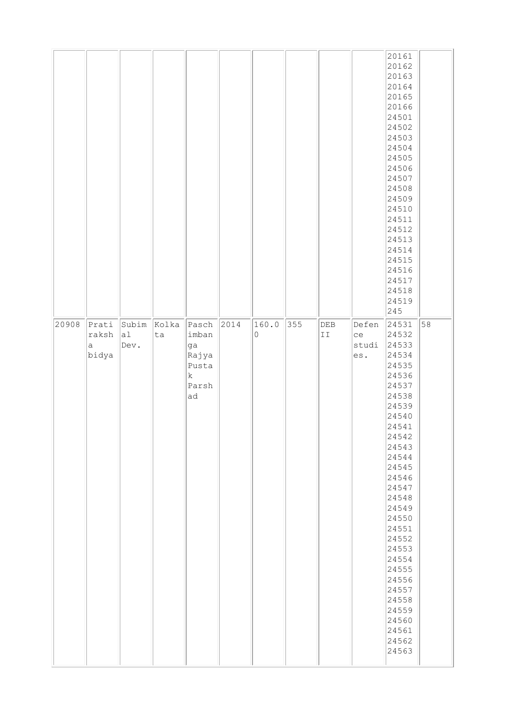|       |                                     |                     |             |                                                                  |      |                       |     |                      |                             | 20161<br>20162<br>20163<br>20164<br>20165<br>20166<br>24501<br>24502<br>24503<br>24504<br>24505<br>24506<br>24507<br>24508<br>24509<br>24510<br>24511<br>24512<br>24513<br>24514<br>24515<br>24516<br>24517<br>24518<br>24519<br>245                                                                  |    |
|-------|-------------------------------------|---------------------|-------------|------------------------------------------------------------------|------|-----------------------|-----|----------------------|-----------------------------|-------------------------------------------------------------------------------------------------------------------------------------------------------------------------------------------------------------------------------------------------------------------------------------------------------|----|
| 20908 | Prati<br>raksh<br>$\rm{a}$<br>bidya | Subim<br>a1<br>Dev. | Kolka<br>ta | Pasch<br>imban<br>ga<br>Rajya<br>Pusta<br>$\rm k$<br>Parsh<br>ad | 2014 | 160.0<br>$\mathsf{O}$ | 355 | DEB<br>$\mathtt{II}$ | Defen<br>ce<br>studi<br>es. | 24531<br>24532<br>24533<br>24534<br>24535<br>24536<br>24537<br>24538<br>24539<br>24540<br>24541<br>24542<br>24543<br>24544<br>24545<br>24546<br>24547<br>24548<br>24549<br>24550<br>24551<br>24552<br>24553<br>24554<br>24555<br>24556<br>24557<br>24558<br>24559<br>24560<br>24561<br>24562<br>24563 | 58 |